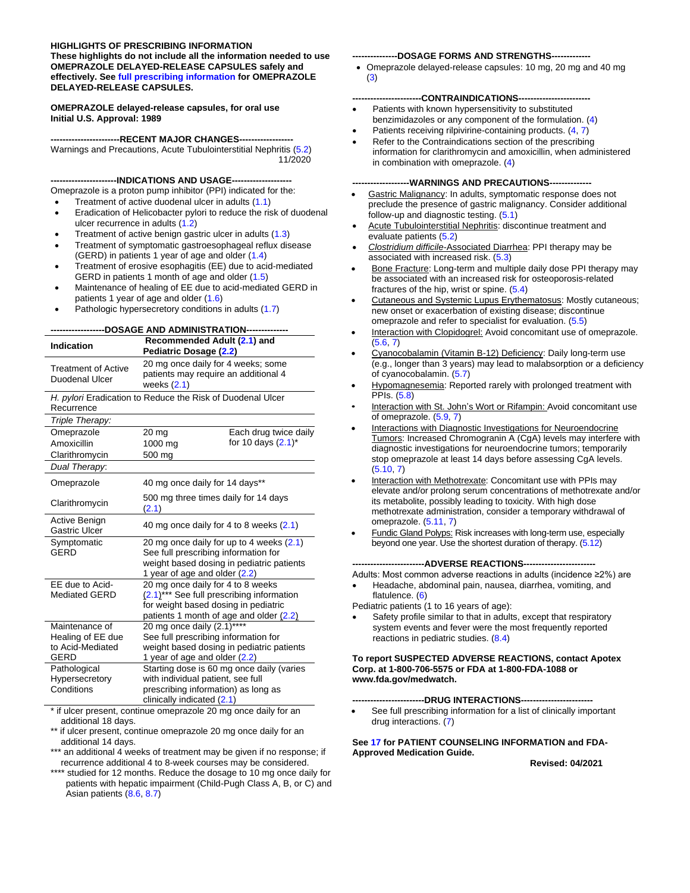#### **HIGHLIGHTS OF PRESCRIBING INFORMATION These highlights do not include all the information needed to use OMEPRAZOLE DELAYED-RELEASE CAPSULES safely and effectively. See [full prescribing information](#page-2-0) for OMEPRAZOLE**

**DELAYED-RELEASE CAPSULES. OMEPRAZOLE delayed-release capsules, for oral use**

# **Initial U.S. Approval: 1989**

**-----------------------RECENT MAJOR CHANGES------------------** Warnings and Precautions, Acute Tubulointerstitial Nephritis [\(5.2\)](#page-5-0) 11/2020

**----------------------INDICATIONS AND USAGE--------------------**

Omeprazole is a proton pump inhibitor (PPI) indicated for the:

- Treatment of active duodenal ulcer in adults [\(1.1\)](#page-2-1)
- Eradication of Helicobacter pylori to reduce the risk of duodenal ulcer recurrence in adults [\(1.2\)](#page-2-2)
- Treatment of active benign gastric ulcer in adults [\(1.3\)](#page-2-3)
- Treatment of symptomatic gastroesophageal reflux disease (GERD) in patients 1 year of age and older [\(1.4\)](#page-2-4)
- Treatment of erosive esophagitis (EE) due to acid-mediated GERD in patients 1 month of age and older [\(1.5\)](#page-2-5)
- Maintenance of healing of EE due to acid-mediated GERD in patients 1 year of age and older [\(1.6\)](#page-3-0)
- Pathologic hypersecretory conditions in adults [\(1.7\)](#page-3-1)

|                                                                                                   | <b>DOSAGE AND ADMINISTRATION-----</b>                                                                                                                                                 |                                                |  |
|---------------------------------------------------------------------------------------------------|---------------------------------------------------------------------------------------------------------------------------------------------------------------------------------------|------------------------------------------------|--|
| Indication                                                                                        | Recommended Adult (2.1) and<br>Pediatric Dosage (2.2)                                                                                                                                 |                                                |  |
| <b>Treatment of Active</b><br>Duodenal Ulcer                                                      | 20 mg once daily for 4 weeks; some<br>patients may require an additional 4<br>weeks $(2.1)$                                                                                           |                                                |  |
| Recurrence                                                                                        | H. pylori Eradication to Reduce the Risk of Duodenal Ulcer                                                                                                                            |                                                |  |
| Triple Therapy:                                                                                   |                                                                                                                                                                                       |                                                |  |
| Omeprazole<br>Amoxicillin<br>Clarithromycin                                                       | 20 <sub>mg</sub><br>1000 mg<br>500 mg                                                                                                                                                 | Each drug twice daily<br>for 10 days $(2.1)^*$ |  |
| Dual Therapy:                                                                                     |                                                                                                                                                                                       |                                                |  |
| Omeprazole                                                                                        | 40 mg once daily for 14 days**                                                                                                                                                        |                                                |  |
| Clarithromycin                                                                                    | 500 mg three times daily for 14 days<br>(2.1)                                                                                                                                         |                                                |  |
| Active Benign<br><b>Gastric Ulcer</b>                                                             | 40 mg once daily for 4 to 8 weeks (2.1)                                                                                                                                               |                                                |  |
| Symptomatic<br>GERD                                                                               | 20 mg once daily for up to 4 weeks (2.1)<br>See full prescribing information for<br>weight based dosing in pediatric patients<br>1 year of age and older (2.2)                        |                                                |  |
| EE due to Acid-<br><b>Mediated GERD</b>                                                           | 20 mg once daily for 4 to 8 weeks<br>(2.1)*** See full prescribing information<br>for weight based dosing in pediatric<br>patients 1 month of age and older (2.2)                     |                                                |  |
| Maintenance of<br>Healing of EE due<br>to Acid-Mediated<br>GERD<br>Pathological<br>Hypersecretory | 20 mg once daily (2.1)****<br>See full prescribing information for<br>weight based dosing in pediatric patients<br>1 year of age and older (2.2)<br>with individual patient, see full | Starting dose is 60 mg once daily (varies      |  |
| Conditions                                                                                        | prescribing information) as long as<br>clinically indicated (2.1)                                                                                                                     |                                                |  |

\* if ulcer present, continue omeprazole 20 mg once daily for an additional 18 days.

- \*\* if ulcer present, continue omeprazole 20 mg once daily for an additional 14 days.
- \*\*\* an additional 4 weeks of treatment may be given if no response; if recurrence additional 4 to 8-week courses may be considered.
- \*\*\*\* studied for 12 months. Reduce the dosage to 10 mg once daily for patients with hepatic impairment (Child-Pugh Class A, B, or C) and Asian patients [\(8.6,](#page-17-0) [8.7\)](#page-17-1)

#### **---------------DOSAGE FORMS AND STRENGTHS-------------**

• Omeprazole delayed-release capsules: 10 mg, 20 mg and 40 mg [\(3\)](#page-5-1)

#### **-----------------------CONTRAINDICATIONS------------------------**

- Patients with known hypersensitivity to substituted benzimidazoles or any component of the formulation. [\(4\)](#page-5-2)
- Patients receiving rilpivirine-containing products. [\(4,](#page-5-2) [7\)](#page-10-0)
- Refer to the Contraindications section of the prescribing information for clarithromycin and amoxicillin, when administered in combination with omeprazole. [\(4\)](#page-5-2)

#### **-------------------WARNINGS AND PRECAUTIONS--------------**

- Gastric Malignancy: In adults, symptomatic response does not preclude the presence of gastric malignancy. Consider additional follow-up and diagnostic testing. [\(5.1\)](#page-5-3)
- Acute Tubulointerstitial Nephritis: discontinue treatment and evaluate patients [\(5.2\)](#page-5-0)
- *Clostridium difficile*-Associated Diarrhea: PPI therapy may be associated with increased risk. [\(5.3\)](#page-6-0)
- Bone Fracture: Long-term and multiple daily dose PPI therapy may be associated with an increased risk for osteoporosis-related fractures of the hip, wrist or spine. [\(5.4\)](#page-6-1)
- Cutaneous and Systemic Lupus Erythematosus: Mostly cutaneous; new onset or exacerbation of existing disease; discontinue omeprazole and refer to specialist for evaluation. [\(5.5\)](#page-6-2)
- Interaction with Clopidogrel: Avoid concomitant use of omeprazole.  $(5.6, 7)$  $(5.6, 7)$
- Cyanocobalamin (Vitamin B-12) Deficiency: Daily long-term use (e.g., longer than 3 years) may lead to malabsorption or a deficiency of cyanocobalamin. [\(5.7\)](#page-7-0)
- Hypomagnesemia: Reported rarely with prolonged treatment with PPIs. [\(5.8\)](#page-7-1)
- Interaction with St. John's Wort or Rifampin: Avoid concomitant use of omeprazole. [\(5.9,](#page-7-2) [7\)](#page-10-0)
- Interactions with Diagnostic Investigations for Neuroendocrine Tumors: Increased Chromogranin A (CgA) levels may interfere with diagnostic investigations for neuroendocrine tumors; temporarily stop omeprazole at least 14 days before assessing CgA levels. [\(5.10,](#page-7-3) [7\)](#page-10-0)
- Interaction with Methotrexate: Concomitant use with PPIs may elevate and/or prolong serum concentrations of methotrexate and/or its metabolite, possibly leading to toxicity. With high dose methotrexate administration, consider a temporary withdrawal of omeprazole. [\(5.11,](#page-7-4) [7\)](#page-10-0)
- **Fundic Gland Polyps: Risk increases with long-term use, especially** beyond one year. Use the shortest duration of therapy. [\(5.12\)](#page-7-5)

**------------------------ADVERSE REACTIONS------------------------**

Adults: Most common adverse reactions in adults (incidence ≥2%) are • Headache, abdominal pain, nausea, diarrhea, vomiting, and flatulence. [\(6\)](#page-7-6)

Pediatric patients (1 to 16 years of age):

Safety profile similar to that in adults, except that respiratory system events and fever were the most frequently reported reactions in pediatric studies. [\(8.4\)](#page-15-0)

#### **To report SUSPECTED ADVERSE REACTIONS, contact Apotex Corp. at 1-800-706-5575 or FDA at 1-800-FDA-1088 or www.fda.gov/medwatch.**

#### **------------------------DRUG INTERACTIONS------------------------**

See full prescribing information for a list of clinically important drug interactions. [\(7\)](#page-10-0)

#### **See [17](#page-33-0) for PATIENT COUNSELING INFORMATION and FDA-Approved Medication Guide.**

**Revised: 04/2021**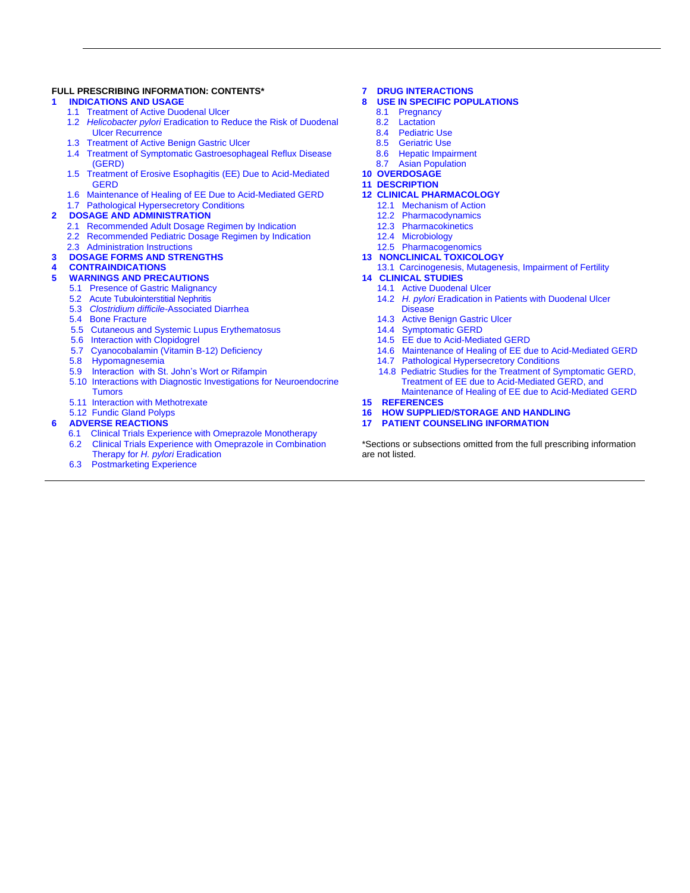#### **FULL PRESCRIBING INFORMATION: CONTENTS\***

#### **[1 INDICATIONS AND USAGE](#page-2-6)**

- [1.1 Treatment of Active Duodenal Ulcer](#page-2-1)
- 1.2 *Helicobacter pylori* [Eradication to Reduce the Risk of Duodenal](#page-2-2)  [Ulcer Recurrence](#page-2-2)
- [1.3 Treatment of Active Benign Gastric Ulcer](#page-2-3)
- [1.4 Treatment of Symptomatic Gastroesophageal Reflux Disease](#page-2-4)  [\(GERD\)](#page-2-4)
- [1.5 Treatment of Erosive Esophagitis \(EE\) Due to Acid-Mediated](#page-2-5)  **[GERD](#page-2-5)**
- [1.6 Maintenance of Healing of EE Due to Acid-Mediated GERD](#page-3-0)
- [1.7 Pathological Hypersecretory Conditions](#page-3-1)

#### **[2 DOSAGE AND ADMINISTRATION](#page-3-3)**

- [2.1 Recommended Adult Dosage Regimen by Indication](#page-3-2)
- [2.2 Recommended Pediatric Dosage Regimen by Indication](#page-4-0)
- [2.3 Administration Instructions](#page-4-1)
- **[3 DOSAGE FORMS AND STRENGTHS](#page-5-1)**

# **[4 CONTRAINDICATIONS](#page-5-2)**

#### **[5 WARNINGS AND PRECAUTIONS](#page-5-4)**

- 5.1 [Presence of Gastric Malignancy](#page-5-3)
- 5.2 [Acute Tubulointerstitial Nephritis](#page-5-0)
- 5.3 *Clostridium difficile-*[Associated Diarrhea](#page-6-0)
- 5.4 [Bone Fracture](#page-6-1)
- [5.5 Cutaneous and Systemic Lupus Erythematosus](#page-6-2)
- [5.6 Interaction with Clopidogrel](#page-6-3)
- [5.7 Cyanocobalamin \(Vitamin B-12\) Deficiency](#page-7-0)
- [5.8 Hypomagnesemia](#page-7-1)
- [5.9 Interaction with St. John's Wort or Rifampin](#page-7-2)
- [5.10 Interactions with Diagnostic Investigations for Neuroendocrine](#page-7-3)  **[Tumors](#page-7-3)**
- [5.11 Interaction with Methotrexate](#page-7-4)
- [5.12 Fundic Gland Polyps](#page-7-5)

#### **[6 ADVERSE REACTIONS](#page-7-6)**

- [6.1 Clinical Trials Experience with Omeprazole Monotherapy](#page-8-0)
- 6.2 [Clinical Trials Experience with Omeprazole in Combination](#page-8-1)  [Therapy for](#page-8-1) *H. pylori* Eradication
- [6.3 Postmarketing Experience](#page-9-0)

#### **[7 DRUG INTERACTIONS](#page-10-0)**

- **USE IN SPECIFIC POPULATIONS** 
	- [8.1 Pregnancy](#page-13-1)<br>8.2 Lactation
	- Lactation
	- [8.4 Pediatric Use](#page-15-0)
	- [8.5 Geriatric Use](#page-16-0)
	- [8.6 Hepatic Impairment](#page-17-0) [8.7 Asian Population](#page-17-1)
- 
- **[10 OVERDOSAGE](#page-17-2) [11 DESCRIPTION](#page-17-3)**

#### **[12 CLINICAL PHARMACOLOGY](#page-18-0)**

- [12.1 Mechanism of Action](#page-18-1)
	- [12.2 Pharmacodynamics](#page-18-2)
	- [12.3 Pharmacokinetics](#page-19-0)
	- [12.4 Microbiology](#page-23-0)
	-
- [12.5 Pharmacogenomics](#page-25-0) **[13 NONCLINICAL TOXICOLOGY](#page-25-1)**
- 13.1 [Carcinogenesis, Mutagenesis, Impairment of Fertility](#page-25-2)

#### **[14 CLINICAL STUDIES](#page-26-0)**

- [14.1 Active Duodenal Ulcer](#page-26-1)
	- 14.2 *H. pylori* [Eradication in Patients with Duodenal Ulcer](#page-27-0)  **[Disease](#page-27-0)**
	- [14.3 Active Benign Gastric Ulcer](#page-29-0)
	- [14.4 Symptomatic](#page-29-1) GERD
	- [14.5 EE due to Acid-Mediated GERD](#page-30-0)
	- [14.6 Maintenance of Healing of EE due to Acid-Mediated GERD](#page-30-1)
	- [14.7 Pathological Hypersecretory Conditions](#page-30-2)
	- [14.8 Pediatric Studies for the Treatment of Symptomatic GERD,](#page-31-0) [Treatment of EE due to Acid-Mediated GERD, and](#page-31-0)  [Maintenance of Healing of EE due to](#page-31-0) Acid-Mediated GERD
- **[15 REFERENCES](#page-32-0)**
- **[16 HOW SUPPLIED/STORAGE AND HANDLING](#page-32-1)**
- **[17 PATIENT COUNSELING INFORMATION](#page-33-0)**

\*Sections or subsections omitted from the full prescribing information are not listed.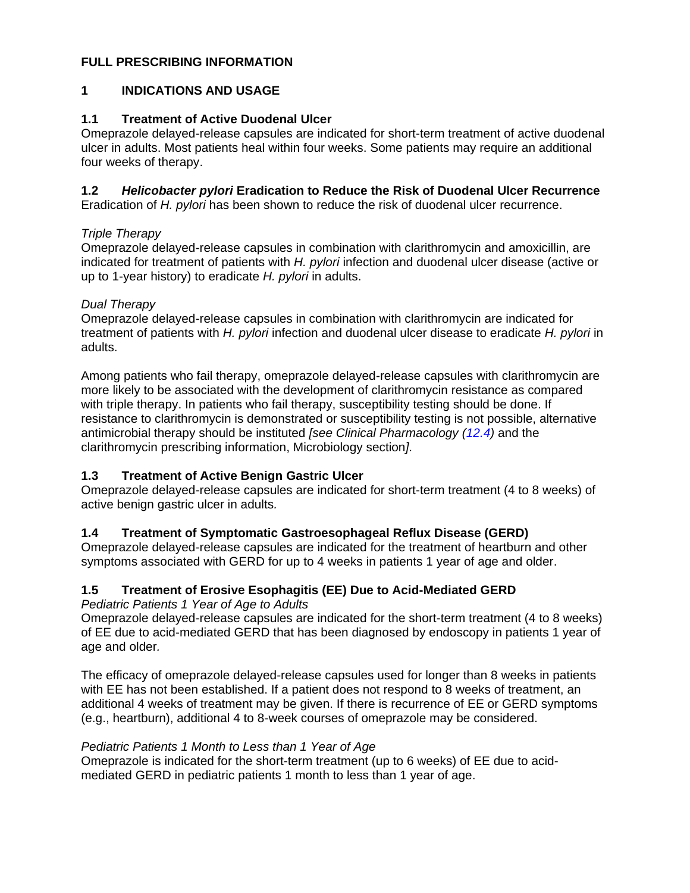### <span id="page-2-0"></span>**FULL PRESCRIBING INFORMATION**

### <span id="page-2-6"></span>**1 INDICATIONS AND USAGE**

### <span id="page-2-1"></span>**1.1 Treatment of Active Duodenal Ulcer**

Omeprazole delayed-release capsules are indicated for short-term treatment of active duodenal ulcer in adults. Most patients heal within four weeks. Some patients may require an additional four weeks of therapy.

### <span id="page-2-2"></span>**1.2** *Helicobacter pylori* **Eradication to Reduce the Risk of Duodenal Ulcer Recurrence**

Eradication of *H. pylori* has been shown to reduce the risk of duodenal ulcer recurrence.

### *Triple Therapy*

Omeprazole delayed-release capsules in combination with clarithromycin and amoxicillin, are indicated for treatment of patients with *H. pylori* infection and duodenal ulcer disease (active or up to 1-year history) to eradicate *H. pylori* in adults.

### *Dual Therapy*

Omeprazole delayed-release capsules in combination with clarithromycin are indicated for treatment of patients with *H. pylori* infection and duodenal ulcer disease to eradicate *H. pylori* in adults.

Among patients who fail therapy, omeprazole delayed-release capsules with clarithromycin are more likely to be associated with the development of clarithromycin resistance as compared with triple therapy. In patients who fail therapy, susceptibility testing should be done. If resistance to clarithromycin is demonstrated or susceptibility testing is not possible, alternative antimicrobial therapy should be instituted *[see Clinical Pharmacology [\(12.4\)](#page-23-0)* and the clarithromycin prescribing information, Microbiology section*]*.

### <span id="page-2-3"></span>**1.3 Treatment of Active Benign Gastric Ulcer**

Omeprazole delayed-release capsules are indicated for short-term treatment (4 to 8 weeks) of active benign gastric ulcer in adults*.*

### <span id="page-2-4"></span>**1.4 Treatment of Symptomatic Gastroesophageal Reflux Disease (GERD)**

Omeprazole delayed-release capsules are indicated for the treatment of heartburn and other symptoms associated with GERD for up to 4 weeks in patients 1 year of age and older.

### <span id="page-2-5"></span>**1.5 Treatment of Erosive Esophagitis (EE) Due to Acid-Mediated GERD**

*Pediatric Patients 1 Year of Age to Adults*

Omeprazole delayed-release capsules are indicated for the short-term treatment (4 to 8 weeks) of EE due to acid-mediated GERD that has been diagnosed by endoscopy in patients 1 year of age and older*.*

The efficacy of omeprazole delayed-release capsules used for longer than 8 weeks in patients with EE has not been established. If a patient does not respond to 8 weeks of treatment, an additional 4 weeks of treatment may be given. If there is recurrence of EE or GERD symptoms (e.g., heartburn), additional 4 to 8-week courses of omeprazole may be considered.

### *Pediatric Patients 1 Month to Less than 1 Year of Age*

Omeprazole is indicated for the short-term treatment (up to 6 weeks) of EE due to acidmediated GERD in pediatric patients 1 month to less than 1 year of age.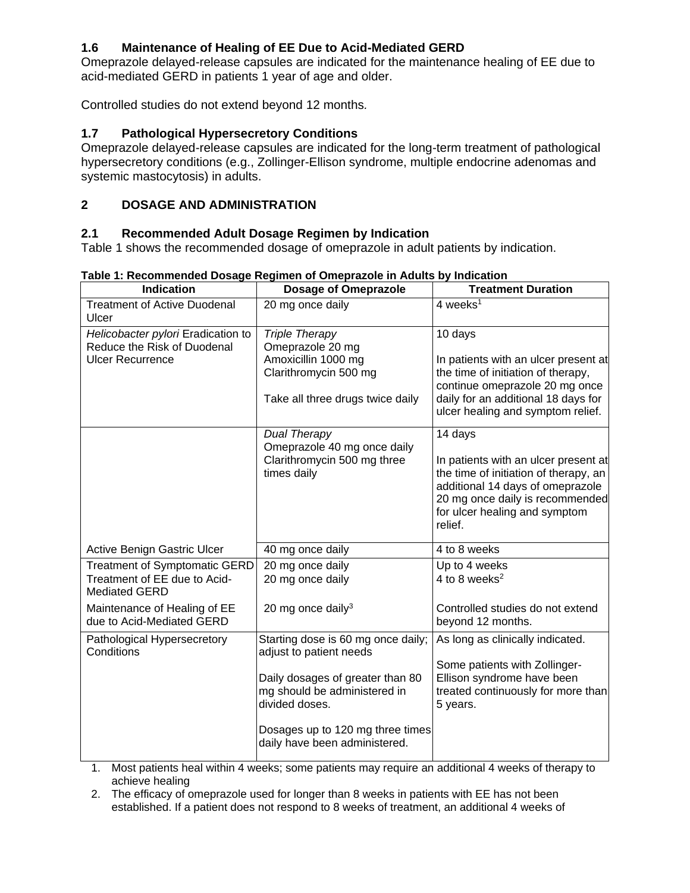### <span id="page-3-0"></span>**1.6 Maintenance of Healing of EE Due to Acid-Mediated GERD**

Omeprazole delayed-release capsules are indicated for the maintenance healing of EE due to acid-mediated GERD in patients 1 year of age and older.

Controlled studies do not extend beyond 12 months*.*

# <span id="page-3-1"></span>**1.7 Pathological Hypersecretory Conditions**

Omeprazole delayed-release capsules are indicated for the long-term treatment of pathological hypersecretory conditions (e.g., Zollinger-Ellison syndrome, multiple endocrine adenomas and systemic mastocytosis) in adults.

# <span id="page-3-3"></span>**2 DOSAGE AND ADMINISTRATION**

### <span id="page-3-2"></span>**2.1 Recommended Adult Dosage Regimen by Indication**

Table 1 shows the recommended dosage of omeprazole in adult patients by indication.

| <b>Indication</b>                                         | <b>Dosage of Omeprazole</b>                                                        | <b>Treatment Duration</b>                                                                                                                                                                        |
|-----------------------------------------------------------|------------------------------------------------------------------------------------|--------------------------------------------------------------------------------------------------------------------------------------------------------------------------------------------------|
| <b>Treatment of Active Duodenal</b><br>Ulcer              | 20 mg once daily                                                                   | 4 weeks <sup>1</sup>                                                                                                                                                                             |
| Helicobacter pylori Eradication to                        | <b>Triple Therapy</b>                                                              | 10 days                                                                                                                                                                                          |
| Reduce the Risk of Duodenal                               | Omeprazole 20 mg                                                                   |                                                                                                                                                                                                  |
| <b>Ulcer Recurrence</b>                                   | Amoxicillin 1000 mg<br>Clarithromycin 500 mg                                       | In patients with an ulcer present at<br>the time of initiation of therapy,<br>continue omeprazole 20 mg once                                                                                     |
|                                                           | Take all three drugs twice daily                                                   | daily for an additional 18 days for<br>ulcer healing and symptom relief.                                                                                                                         |
|                                                           | <b>Dual Therapy</b><br>Omeprazole 40 mg once daily                                 | 14 days                                                                                                                                                                                          |
|                                                           | Clarithromycin 500 mg three<br>times daily                                         | In patients with an ulcer present at<br>the time of initiation of therapy, an<br>additional 14 days of omeprazole<br>20 mg once daily is recommended<br>for ulcer healing and symptom<br>relief. |
| Active Benign Gastric Ulcer                               | 40 mg once daily                                                                   | 4 to 8 weeks                                                                                                                                                                                     |
| <b>Treatment of Symptomatic GERD</b>                      | 20 mg once daily                                                                   | Up to 4 weeks                                                                                                                                                                                    |
| Treatment of EE due to Acid-<br><b>Mediated GERD</b>      | 20 mg once daily                                                                   | 4 to 8 weeks <sup>2</sup>                                                                                                                                                                        |
| Maintenance of Healing of EE<br>due to Acid-Mediated GERD | 20 mg once daily $3$                                                               | Controlled studies do not extend<br>beyond 12 months.                                                                                                                                            |
| Pathological Hypersecretory<br>Conditions                 | Starting dose is 60 mg once daily;<br>adjust to patient needs                      | As long as clinically indicated.                                                                                                                                                                 |
|                                                           | Daily dosages of greater than 80<br>mg should be administered in<br>divided doses. | Some patients with Zollinger-<br>Ellison syndrome have been<br>treated continuously for more than<br>5 years.                                                                                    |
|                                                           | Dosages up to 120 mg three times<br>daily have been administered.                  |                                                                                                                                                                                                  |

### **Table 1: Recommended Dosage Regimen of Omeprazole in Adults by Indication**

1. Most patients heal within 4 weeks; some patients may require an additional 4 weeks of therapy to achieve healing

2. The efficacy of omeprazole used for longer than 8 weeks in patients with EE has not been established. If a patient does not respond to 8 weeks of treatment, an additional 4 weeks of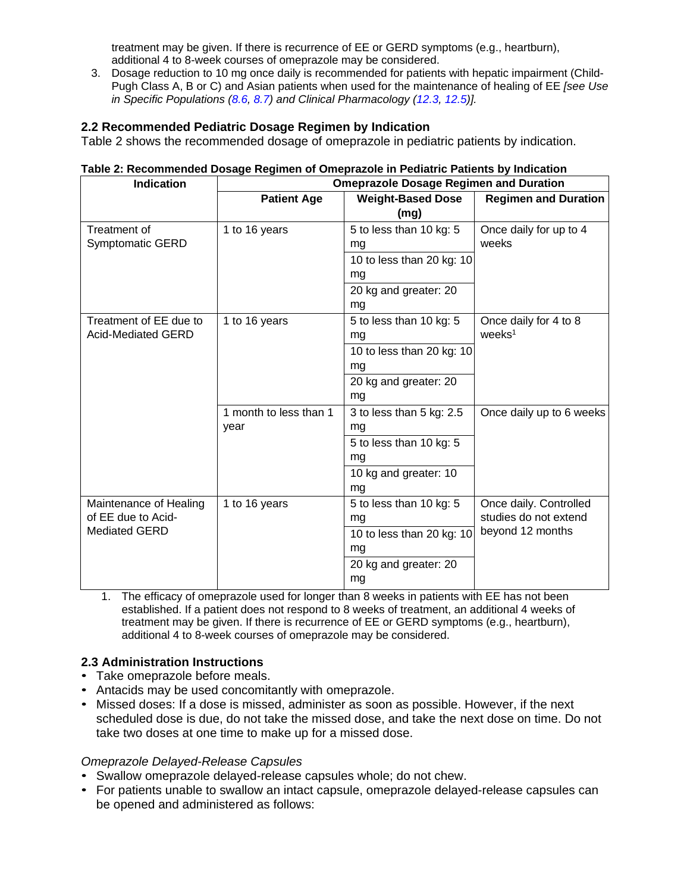treatment may be given. If there is recurrence of EE or GERD symptoms (e.g., heartburn), additional 4 to 8-week courses of omeprazole may be considered.

3. Dosage reduction to 10 mg once daily is recommended for patients with hepatic impairment (Child-Pugh Class A, B or C) and Asian patients when used for the maintenance of healing of EE *[see Use in Specific Populations [\(8.6,](#page-17-0) [8.7\)](#page-17-1) and Clinical Pharmacology [\(12.3,](#page-19-0) [12.5\)](#page-25-0)].* 

### <span id="page-4-0"></span>**2.2 Recommended Pediatric Dosage Regimen by Indication**

Table 2 shows the recommended dosage of omeprazole in pediatric patients by indication.

#### **Table 2: Recommended Dosage Regimen of Omeprazole in Pediatric Patients by Indication**

| <b>Indication</b>         | <b>Omeprazole Dosage Regimen and Duration</b> |                           |                             |
|---------------------------|-----------------------------------------------|---------------------------|-----------------------------|
|                           | <b>Patient Age</b>                            | <b>Weight-Based Dose</b>  | <b>Regimen and Duration</b> |
|                           |                                               | (mg)                      |                             |
| Treatment of              | 1 to 16 years                                 | 5 to less than 10 kg: 5   | Once daily for up to 4      |
| Symptomatic GERD          |                                               | mg                        | weeks                       |
|                           |                                               | 10 to less than 20 kg: 10 |                             |
|                           |                                               | mg                        |                             |
|                           |                                               | 20 kg and greater: 20     |                             |
|                           |                                               | mg                        |                             |
| Treatment of EE due to    | 1 to 16 years                                 | 5 to less than 10 kg: 5   | Once daily for 4 to 8       |
| <b>Acid-Mediated GERD</b> |                                               | mg                        | $wee$ ks <sup>1</sup>       |
|                           |                                               | 10 to less than 20 kg: 10 |                             |
|                           |                                               | mg                        |                             |
|                           |                                               | 20 kg and greater: 20     |                             |
|                           |                                               | mg                        |                             |
|                           | 1 month to less than 1                        | 3 to less than 5 kg: 2.5  | Once daily up to 6 weeks    |
|                           | year                                          | mg                        |                             |
|                           |                                               | 5 to less than 10 kg: 5   |                             |
|                           |                                               | mg                        |                             |
|                           |                                               | 10 kg and greater: 10     |                             |
|                           |                                               | mg                        |                             |
| Maintenance of Healing    | 1 to 16 years                                 | 5 to less than 10 kg: 5   | Once daily. Controlled      |
| of EE due to Acid-        |                                               | ma                        | studies do not extend       |
| <b>Mediated GERD</b>      |                                               | 10 to less than 20 kg: 10 | beyond 12 months            |
|                           |                                               | mg                        |                             |
|                           |                                               | 20 kg and greater: 20     |                             |
|                           |                                               | mg                        |                             |

1. The efficacy of omeprazole used for longer than 8 weeks in patients with EE has not been established. If a patient does not respond to 8 weeks of treatment, an additional 4 weeks of treatment may be given. If there is recurrence of EE or GERD symptoms (e.g., heartburn), additional 4 to 8-week courses of omeprazole may be considered.

#### <span id="page-4-1"></span>**2.3 Administration Instructions**

- Take omeprazole before meals.
- Antacids may be used concomitantly with omeprazole.
- Missed doses: If a dose is missed, administer as soon as possible. However, if the next scheduled dose is due, do not take the missed dose, and take the next dose on time. Do not take two doses at one time to make up for a missed dose.

#### *Omeprazole Delayed-Release Capsules*

- Swallow omeprazole delayed-release capsules whole; do not chew.
- For patients unable to swallow an intact capsule, omeprazole delayed-release capsules can be opened and administered as follows: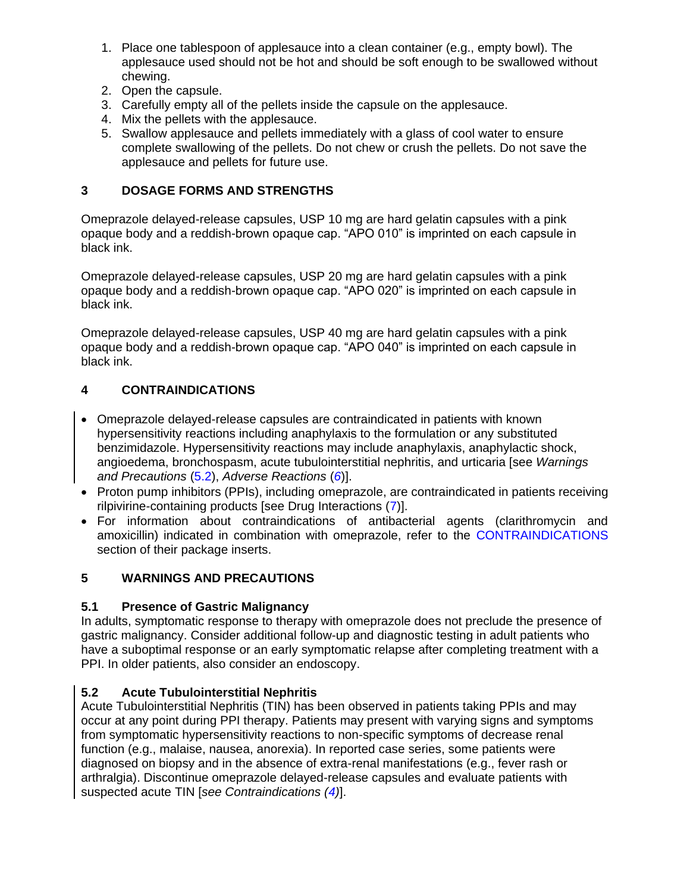- 1. Place one tablespoon of applesauce into a clean container (e.g., empty bowl). The applesauce used should not be hot and should be soft enough to be swallowed without chewing.
- 2. Open the capsule.
- 3. Carefully empty all of the pellets inside the capsule on the applesauce.
- 4. Mix the pellets with the applesauce.
- 5. Swallow applesauce and pellets immediately with a glass of cool water to ensure complete swallowing of the pellets. Do not chew or crush the pellets. Do not save the applesauce and pellets for future use.

### <span id="page-5-1"></span>**3 DOSAGE FORMS AND STRENGTHS**

Omeprazole delayed-release capsules, USP 10 mg are hard gelatin capsules with a pink opaque body and a reddish-brown opaque cap. "APO 010" is imprinted on each capsule in black ink.

Omeprazole delayed-release capsules, USP 20 mg are hard gelatin capsules with a pink opaque body and a reddish-brown opaque cap. "APO 020" is imprinted on each capsule in black ink.

Omeprazole delayed-release capsules, USP 40 mg are hard gelatin capsules with a pink opaque body and a reddish-brown opaque cap. "APO 040" is imprinted on each capsule in black ink.

# <span id="page-5-2"></span>**4 CONTRAINDICATIONS**

- Omeprazole delayed-release capsules are contraindicated in patients with known hypersensitivity reactions including anaphylaxis to the formulation or any substituted benzimidazole. Hypersensitivity reactions may include anaphylaxis, anaphylactic shock, angioedema, bronchospasm, acute tubulointerstitial nephritis, and urticaria [see *Warnings and Precautions* [\(5.2\)](#page-5-0), *Adverse Reactions* (*[6](#page-7-6)*)].
- Proton pump inhibitors (PPIs), including omeprazole, are contraindicated in patients receiving rilpivirine-containing products [see Drug Interactions [\(7\)](#page-10-0)].
- For information about contraindications of antibacterial agents (clarithromycin and amoxicillin) indicated in combination with omeprazole, refer to the [CONTRAINDICATIONS](#page-5-2) section of their package inserts.

# <span id="page-5-4"></span>**5 WARNINGS AND PRECAUTIONS**

### <span id="page-5-3"></span>**5.1 Presence of Gastric Malignancy**

In adults, symptomatic response to therapy with omeprazole does not preclude the presence of gastric malignancy. Consider additional follow-up and diagnostic testing in adult patients who have a suboptimal response or an early symptomatic relapse after completing treatment with a PPI. In older patients, also consider an endoscopy.

# <span id="page-5-0"></span>**5.2 Acute Tubulointerstitial Nephritis**

Acute Tubulointerstitial Nephritis (TIN) has been observed in patients taking PPIs and may occur at any point during PPI therapy. Patients may present with varying signs and symptoms from symptomatic hypersensitivity reactions to non-specific symptoms of decrease renal function (e.g., malaise, nausea, anorexia). In reported case series, some patients were diagnosed on biopsy and in the absence of extra-renal manifestations (e.g., fever rash or arthralgia). Discontinue omeprazole delayed-release capsules and evaluate patients with suspected acute TIN [*see Contraindications [\(4\)](#page-5-2)*].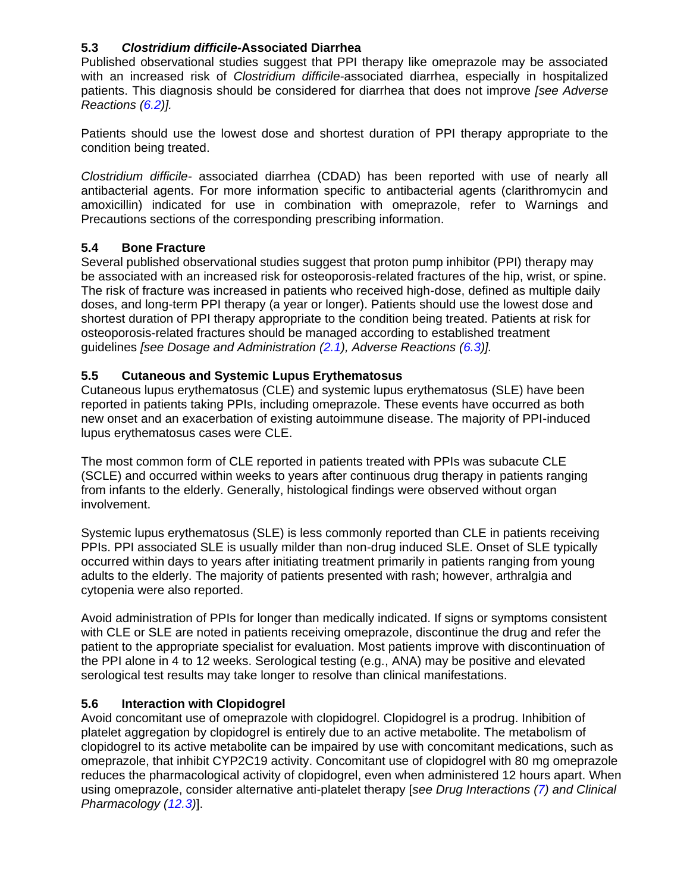### <span id="page-6-0"></span>**5.3** *Clostridium difficile-***Associated Diarrhea**

Published observational studies suggest that PPI therapy like omeprazole may be associated with an increased risk of *Clostridium difficile-*associated diarrhea, especially in hospitalized patients. This diagnosis should be considered for diarrhea that does not improve *[see Adverse Reactions [\(6.2\)](#page-8-1)].*

Patients should use the lowest dose and shortest duration of PPI therapy appropriate to the condition being treated.

*Clostridium difficile-* associated diarrhea (CDAD) has been reported with use of nearly all antibacterial agents. For more information specific to antibacterial agents (clarithromycin and amoxicillin) indicated for use in combination with omeprazole, refer to Warnings and Precautions sections of the corresponding prescribing information.

### <span id="page-6-1"></span>**5.4 Bone Fracture**

Several published observational studies suggest that proton pump inhibitor (PPI) therapy may be associated with an increased risk for osteoporosis-related fractures of the hip, wrist, or spine. The risk of fracture was increased in patients who received high-dose, defined as multiple daily doses, and long-term PPI therapy (a year or longer). Patients should use the lowest dose and shortest duration of PPI therapy appropriate to the condition being treated. Patients at risk for osteoporosis-related fractures should be managed according to established treatment guidelines *[see Dosage and Administration [\(2.1\)](#page-3-2), Adverse Reactions [\(6.3\)](#page-9-0)].*

### <span id="page-6-2"></span>**5.5 Cutaneous and Systemic Lupus Erythematosus**

Cutaneous lupus erythematosus (CLE) and systemic lupus erythematosus (SLE) have been reported in patients taking PPIs, including omeprazole. These events have occurred as both new onset and an exacerbation of existing autoimmune disease. The majority of PPI-induced lupus erythematosus cases were CLE.

The most common form of CLE reported in patients treated with PPIs was subacute CLE (SCLE) and occurred within weeks to years after continuous drug therapy in patients ranging from infants to the elderly. Generally, histological findings were observed without organ involvement.

Systemic lupus erythematosus (SLE) is less commonly reported than CLE in patients receiving PPIs. PPI associated SLE is usually milder than non-drug induced SLE. Onset of SLE typically occurred within days to years after initiating treatment primarily in patients ranging from young adults to the elderly. The majority of patients presented with rash; however, arthralgia and cytopenia were also reported.

Avoid administration of PPIs for longer than medically indicated. If signs or symptoms consistent with CLE or SLE are noted in patients receiving omeprazole, discontinue the drug and refer the patient to the appropriate specialist for evaluation. Most patients improve with discontinuation of the PPI alone in 4 to 12 weeks. Serological testing (e.g., ANA) may be positive and elevated serological test results may take longer to resolve than clinical manifestations.

### <span id="page-6-3"></span>**5.6 Interaction with Clopidogrel**

Avoid concomitant use of omeprazole with clopidogrel. Clopidogrel is a prodrug. Inhibition of platelet aggregation by clopidogrel is entirely due to an active metabolite. The metabolism of clopidogrel to its active metabolite can be impaired by use with concomitant medications, such as omeprazole, that inhibit CYP2C19 activity. Concomitant use of clopidogrel with 80 mg omeprazole reduces the pharmacological activity of clopidogrel, even when administered 12 hours apart. When using omeprazole, consider alternative anti-platelet therapy [*see Drug Interactions [\(7\)](#page-10-0) and Clinical Pharmacology [\(12.3\)](#page-19-0)*].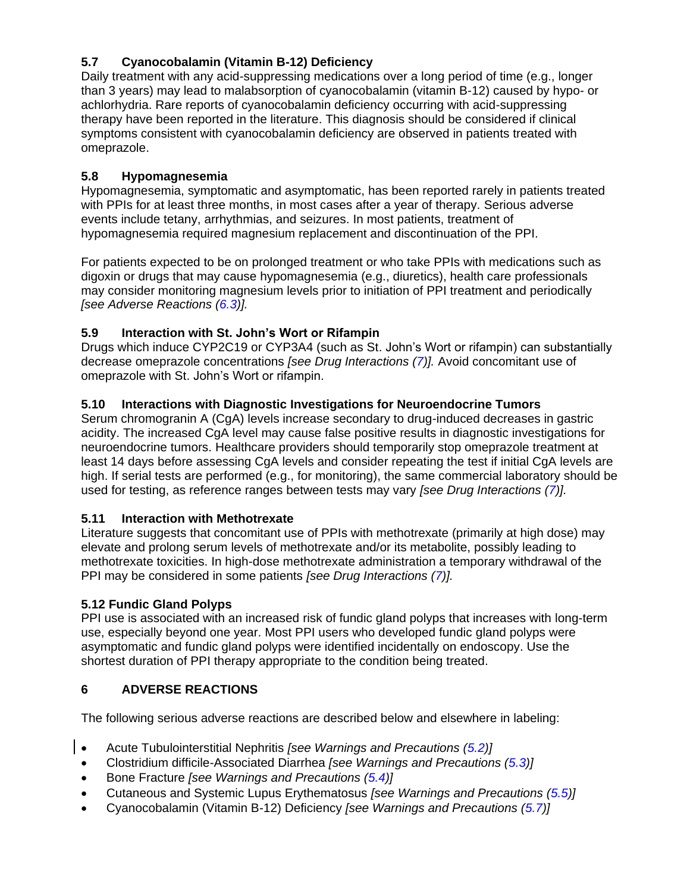# <span id="page-7-0"></span>**5.7 Cyanocobalamin (Vitamin B-12) Deficiency**

Daily treatment with any acid-suppressing medications over a long period of time (e.g., longer than 3 years) may lead to malabsorption of cyanocobalamin (vitamin B-12) caused by hypo- or achlorhydria. Rare reports of cyanocobalamin deficiency occurring with acid-suppressing therapy have been reported in the literature. This diagnosis should be considered if clinical symptoms consistent with cyanocobalamin deficiency are observed in patients treated with omeprazole.

### <span id="page-7-1"></span>**5.8 Hypomagnesemia**

Hypomagnesemia, symptomatic and asymptomatic, has been reported rarely in patients treated with PPIs for at least three months, in most cases after a year of therapy. Serious adverse events include tetany, arrhythmias, and seizures. In most patients, treatment of hypomagnesemia required magnesium replacement and discontinuation of the PPI.

For patients expected to be on prolonged treatment or who take PPIs with medications such as digoxin or drugs that may cause hypomagnesemia (e.g., diuretics), health care professionals may consider monitoring magnesium levels prior to initiation of PPI treatment and periodically *[see Adverse Reactions [\(6.3\)](#page-9-0)].*

### <span id="page-7-2"></span>**5.9 Interaction with St. John's Wort or Rifampin**

Drugs which induce CYP2C19 or CYP3A4 (such as St. John's Wort or rifampin) can substantially decrease omeprazole concentrations *[see Drug Interactions [\(7\)](#page-10-0)].* Avoid concomitant use of omeprazole with St. John's Wort or rifampin.

### <span id="page-7-3"></span>**5.10 Interactions with Diagnostic Investigations for Neuroendocrine Tumors**

Serum chromogranin A (CgA) levels increase secondary to drug-induced decreases in gastric acidity. The increased CgA level may cause false positive results in diagnostic investigations for neuroendocrine tumors. Healthcare providers should temporarily stop omeprazole treatment at least 14 days before assessing CgA levels and consider repeating the test if initial CgA levels are high. If serial tests are performed (e.g., for monitoring), the same commercial laboratory should be used for testing, as reference ranges between tests may vary *[see Drug Interactions [\(7\)](#page-10-0)].*

### <span id="page-7-4"></span>**5.11 Interaction with Methotrexate**

Literature suggests that concomitant use of PPIs with methotrexate (primarily at high dose) may elevate and prolong serum levels of methotrexate and/or its metabolite, possibly leading to methotrexate toxicities. In high-dose methotrexate administration a temporary withdrawal of the PPI may be considered in some patients *[see Drug Interactions [\(7\)](#page-10-0)].*

### <span id="page-7-5"></span>**5.12 Fundic Gland Polyps**

PPI use is associated with an increased risk of fundic gland polyps that increases with long-term use, especially beyond one year. Most PPI users who developed fundic gland polyps were asymptomatic and fundic gland polyps were identified incidentally on endoscopy. Use the shortest duration of PPI therapy appropriate to the condition being treated.

### <span id="page-7-6"></span>**6 ADVERSE REACTIONS**

The following serious adverse reactions are described below and elsewhere in labeling:

- Acute Tubulointerstitial Nephritis *[see Warnings and Precautions [\(5.2\)](#page-5-0)]*
	- Clostridium difficile-Associated Diarrhea *[see Warnings and Precautions [\(5.3\)](#page-6-0)]*
	- Bone Fracture *[see Warnings and Precautions [\(5.4\)](#page-6-1)]*
- Cutaneous and Systemic Lupus Erythematosus *[see Warnings and Precautions [\(5.5\)](#page-6-2)]*
- Cyanocobalamin (Vitamin B-12) Deficiency *[see Warnings and Precautions [\(5.7\)](#page-7-0)]*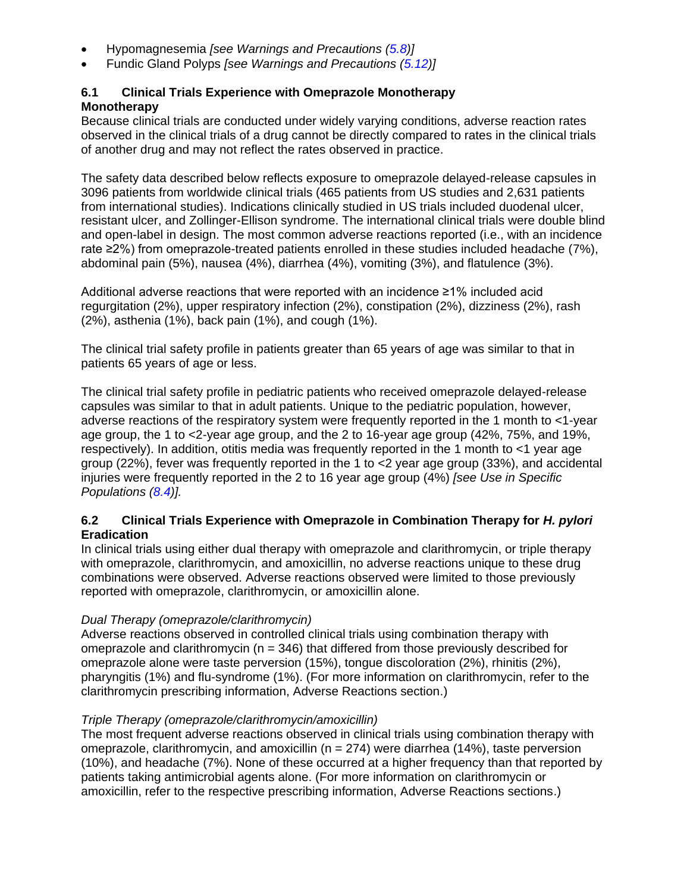- Hypomagnesemia *[see Warnings and Precautions [\(5.8\)](#page-7-1)]*
- Fundic Gland Polyps *[see Warnings and Precautions [\(5.12\)](#page-7-5)]*

### <span id="page-8-0"></span>**6.1 Clinical Trials Experience with Omeprazole Monotherapy Monotherapy**

Because clinical trials are conducted under widely varying conditions, adverse reaction rates observed in the clinical trials of a drug cannot be directly compared to rates in the clinical trials of another drug and may not reflect the rates observed in practice.

The safety data described below reflects exposure to omeprazole delayed-release capsules in 3096 patients from worldwide clinical trials (465 patients from US studies and 2,631 patients from international studies). Indications clinically studied in US trials included duodenal ulcer, resistant ulcer, and Zollinger-Ellison syndrome. The international clinical trials were double blind and open-label in design. The most common adverse reactions reported (i.e., with an incidence rate ≥2%) from omeprazole-treated patients enrolled in these studies included headache (7%), abdominal pain (5%), nausea (4%), diarrhea (4%), vomiting (3%), and flatulence (3%).

Additional adverse reactions that were reported with an incidence ≥1% included acid regurgitation (2%), upper respiratory infection (2%), constipation (2%), dizziness (2%), rash (2%), asthenia (1%), back pain (1%), and cough (1%).

The clinical trial safety profile in patients greater than 65 years of age was similar to that in patients 65 years of age or less.

The clinical trial safety profile in pediatric patients who received omeprazole delayed-release capsules was similar to that in adult patients. Unique to the pediatric population, however, adverse reactions of the respiratory system were frequently reported in the 1 month to <1-year age group, the 1 to <2-year age group, and the 2 to 16-year age group (42%, 75%, and 19%, respectively). In addition, otitis media was frequently reported in the 1 month to <1 year age group (22%), fever was frequently reported in the 1 to <2 year age group (33%), and accidental injuries were frequently reported in the 2 to 16 year age group (4%) *[see Use in Specific Populations [\(8.4\)](#page-15-0)].*

### <span id="page-8-1"></span>**6.2 Clinical Trials Experience with Omeprazole in Combination Therapy for** *H. pylori*  **Eradication**

In clinical trials using either dual therapy with omeprazole and clarithromycin, or triple therapy with omeprazole, clarithromycin, and amoxicillin, no adverse reactions unique to these drug combinations were observed. Adverse reactions observed were limited to those previously reported with omeprazole, clarithromycin, or amoxicillin alone.

### *Dual Therapy (omeprazole/clarithromycin)*

Adverse reactions observed in controlled clinical trials using combination therapy with omeprazole and clarithromycin ( $n = 346$ ) that differed from those previously described for omeprazole alone were taste perversion (15%), tongue discoloration (2%), rhinitis (2%), pharyngitis (1%) and flu-syndrome (1%). (For more information on clarithromycin, refer to the clarithromycin prescribing information, Adverse Reactions section.)

### *Triple Therapy (omeprazole/clarithromycin/amoxicillin)*

The most frequent adverse reactions observed in clinical trials using combination therapy with omeprazole, clarithromycin, and amoxicillin ( $n = 274$ ) were diarrhea (14%), taste perversion (10%), and headache (7%). None of these occurred at a higher frequency than that reported by patients taking antimicrobial agents alone. (For more information on clarithromycin or amoxicillin, refer to the respective prescribing information, Adverse Reactions sections.)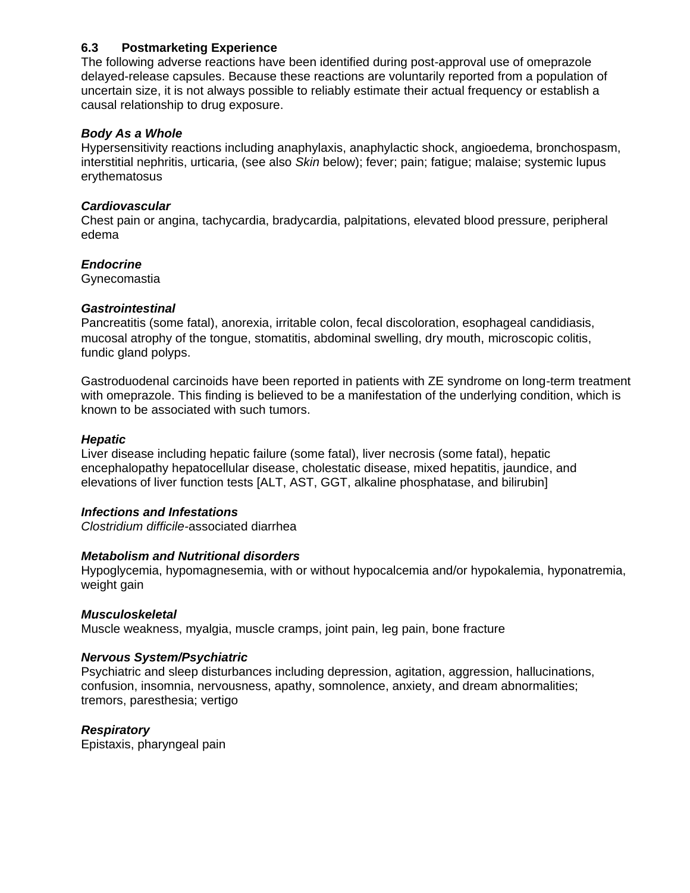### <span id="page-9-0"></span>**6.3 Postmarketing Experience**

The following adverse reactions have been identified during post-approval use of omeprazole delayed-release capsules. Because these reactions are voluntarily reported from a population of uncertain size, it is not always possible to reliably estimate their actual frequency or establish a causal relationship to drug exposure.

#### *Body As a Whole*

Hypersensitivity reactions including anaphylaxis, anaphylactic shock, angioedema, bronchospasm, interstitial nephritis, urticaria, (see also *Skin* below); fever; pain; fatigue; malaise; systemic lupus erythematosus

### *Cardiovascular*

Chest pain or angina, tachycardia, bradycardia, palpitations, elevated blood pressure, peripheral edema

### *Endocrine*

**Gynecomastia** 

### *Gastrointestinal*

Pancreatitis (some fatal), anorexia, irritable colon, fecal discoloration, esophageal candidiasis, mucosal atrophy of the tongue, stomatitis, abdominal swelling, dry mouth, microscopic colitis, fundic gland polyps.

Gastroduodenal carcinoids have been reported in patients with ZE syndrome on long-term treatment with omeprazole. This finding is believed to be a manifestation of the underlying condition, which is known to be associated with such tumors.

### *Hepatic*

Liver disease including hepatic failure (some fatal), liver necrosis (some fatal), hepatic encephalopathy hepatocellular disease, cholestatic disease, mixed hepatitis, jaundice, and elevations of liver function tests [ALT, AST, GGT, alkaline phosphatase, and bilirubin]

#### *Infections and Infestations*

*Clostridium difficile-*associated diarrhea

#### *Metabolism and Nutritional disorders*

Hypoglycemia, hypomagnesemia, with or without hypocalcemia and/or hypokalemia, hyponatremia, weight gain

#### *Musculoskeletal*

Muscle weakness, myalgia, muscle cramps, joint pain, leg pain, bone fracture

#### *Nervous System/Psychiatric*

Psychiatric and sleep disturbances including depression, agitation, aggression, hallucinations, confusion, insomnia, nervousness, apathy, somnolence, anxiety, and dream abnormalities; tremors, paresthesia; vertigo

#### *Respiratory*

Epistaxis, pharyngeal pain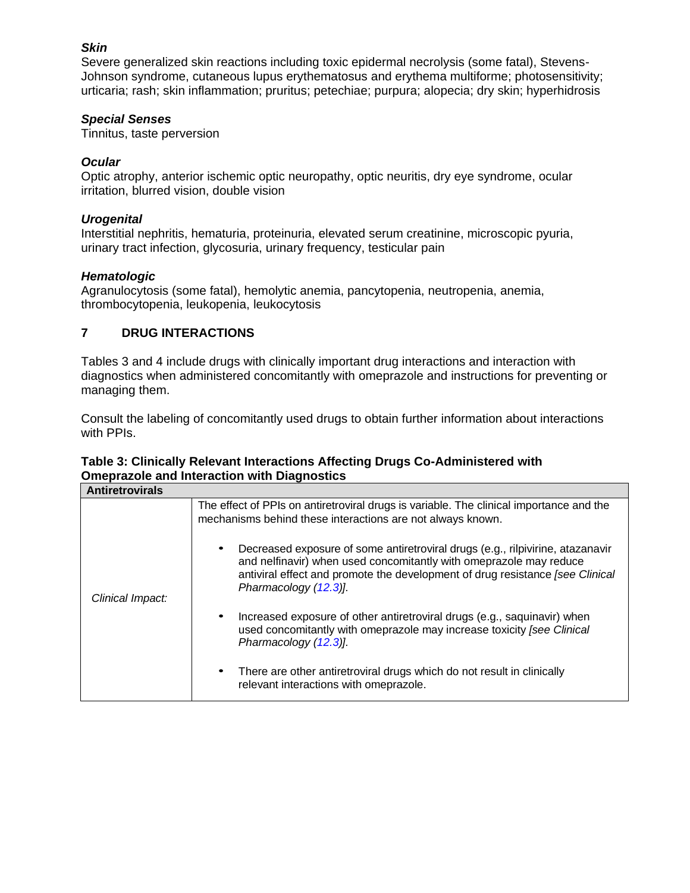### *Skin*

Severe generalized skin reactions including toxic epidermal necrolysis (some fatal), Stevens-Johnson syndrome, cutaneous lupus erythematosus and erythema multiforme; photosensitivity; urticaria; rash; skin inflammation; pruritus; petechiae; purpura; alopecia; dry skin; hyperhidrosis

### *Special Senses*

Tinnitus, taste perversion

### *Ocular*

Optic atrophy, anterior ischemic optic neuropathy, optic neuritis, dry eye syndrome, ocular irritation, blurred vision, double vision

### *Urogenital*

Interstitial nephritis, hematuria, proteinuria, elevated serum creatinine, microscopic pyuria, urinary tract infection, glycosuria, urinary frequency, testicular pain

### *Hematologic*

Agranulocytosis (some fatal), hemolytic anemia, pancytopenia, neutropenia, anemia, thrombocytopenia, leukopenia, leukocytosis

### <span id="page-10-0"></span>**7 DRUG INTERACTIONS**

Tables 3 and 4 include drugs with clinically important drug interactions and interaction with diagnostics when administered concomitantly with omeprazole and instructions for preventing or managing them.

Consult the labeling of concomitantly used drugs to obtain further information about interactions with PPIs.

### **Table 3: Clinically Relevant Interactions Affecting Drugs Co-Administered with Omeprazole and Interaction with Diagnostics**

| <b>Antiretrovirals</b> |                                                                                                                                                                                                                                                                |
|------------------------|----------------------------------------------------------------------------------------------------------------------------------------------------------------------------------------------------------------------------------------------------------------|
|                        | The effect of PPIs on antiretroviral drugs is variable. The clinical importance and the<br>mechanisms behind these interactions are not always known.                                                                                                          |
| Clinical Impact:       | Decreased exposure of some antiretroviral drugs (e.g., rilpivirine, atazanavir<br>and nelfinavir) when used concomitantly with omeprazole may reduce<br>antiviral effect and promote the development of drug resistance [see Clinical<br>Pharmacology (12.3)]. |
|                        | Increased exposure of other antiretroviral drugs (e.g., saquinavir) when<br>used concomitantly with omeprazole may increase toxicity [see Clinical<br>Pharmacology (12.3).                                                                                     |
|                        | There are other antiretroviral drugs which do not result in clinically<br>relevant interactions with omeprazole.                                                                                                                                               |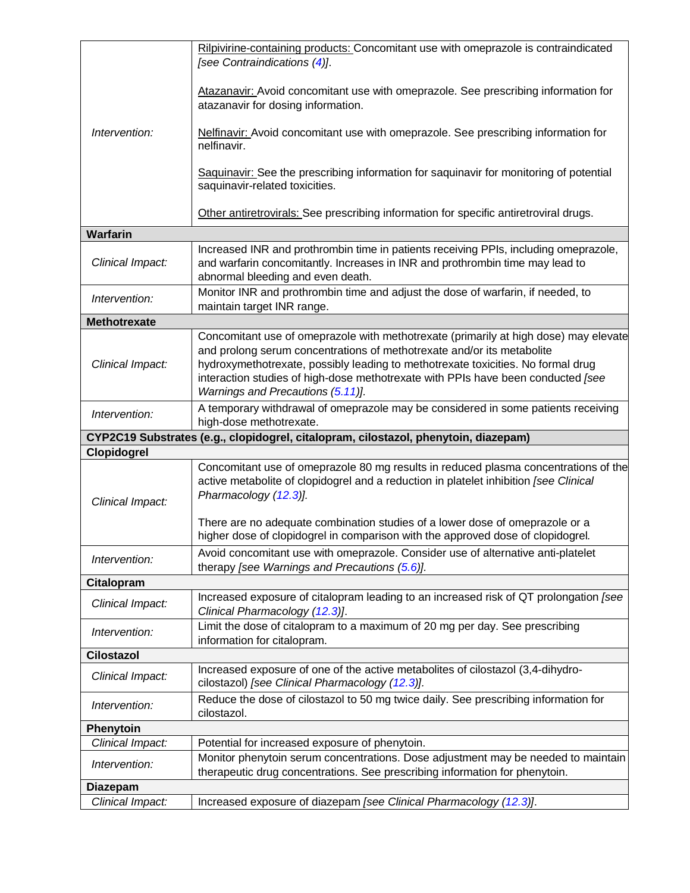|                                     | Rilpivirine-containing products: Concomitant use with omeprazole is contraindicated<br>[see Contraindications (4)].                                                                                                                                                                                                                                                         |
|-------------------------------------|-----------------------------------------------------------------------------------------------------------------------------------------------------------------------------------------------------------------------------------------------------------------------------------------------------------------------------------------------------------------------------|
|                                     | Atazanavir: Avoid concomitant use with omeprazole. See prescribing information for<br>atazanavir for dosing information.                                                                                                                                                                                                                                                    |
| Intervention:                       | Nelfinavir: Avoid concomitant use with omeprazole. See prescribing information for<br>nelfinavir.                                                                                                                                                                                                                                                                           |
|                                     | Saquinavir: See the prescribing information for saquinavir for monitoring of potential<br>saquinavir-related toxicities.                                                                                                                                                                                                                                                    |
|                                     | Other antiretrovirals: See prescribing information for specific antiretroviral drugs.                                                                                                                                                                                                                                                                                       |
| <b>Warfarin</b>                     |                                                                                                                                                                                                                                                                                                                                                                             |
| Clinical Impact:                    | Increased INR and prothrombin time in patients receiving PPIs, including omeprazole,<br>and warfarin concomitantly. Increases in INR and prothrombin time may lead to<br>abnormal bleeding and even death.                                                                                                                                                                  |
| Intervention:                       | Monitor INR and prothrombin time and adjust the dose of warfarin, if needed, to<br>maintain target INR range.                                                                                                                                                                                                                                                               |
| <b>Methotrexate</b>                 |                                                                                                                                                                                                                                                                                                                                                                             |
| Clinical Impact:                    | Concomitant use of omeprazole with methotrexate (primarily at high dose) may elevate<br>and prolong serum concentrations of methotrexate and/or its metabolite<br>hydroxymethotrexate, possibly leading to methotrexate toxicities. No formal drug<br>interaction studies of high-dose methotrexate with PPIs have been conducted [see<br>Warnings and Precautions (5.11)]. |
| Intervention:                       | A temporary withdrawal of omeprazole may be considered in some patients receiving<br>high-dose methotrexate.                                                                                                                                                                                                                                                                |
|                                     |                                                                                                                                                                                                                                                                                                                                                                             |
|                                     | CYP2C19 Substrates (e.g., clopidogrel, citalopram, cilostazol, phenytoin, diazepam)                                                                                                                                                                                                                                                                                         |
| Clopidogrel                         |                                                                                                                                                                                                                                                                                                                                                                             |
| Clinical Impact:                    | Concomitant use of omeprazole 80 mg results in reduced plasma concentrations of the<br>active metabolite of clopidogrel and a reduction in platelet inhibition [see Clinical<br>Pharmacology (12.3)].                                                                                                                                                                       |
|                                     | There are no adequate combination studies of a lower dose of omeprazole or a<br>higher dose of clopidogrel in comparison with the approved dose of clopidogrel.                                                                                                                                                                                                             |
| Intervention:                       | Avoid concomitant use with omeprazole. Consider use of alternative anti-platelet<br>therapy [see Warnings and Precautions (5.6)].                                                                                                                                                                                                                                           |
| <b>Citalopram</b>                   |                                                                                                                                                                                                                                                                                                                                                                             |
| Clinical Impact:                    | Increased exposure of citalopram leading to an increased risk of QT prolongation (see<br>Clinical Pharmacology (12.3)].                                                                                                                                                                                                                                                     |
| Intervention:                       | Limit the dose of citalopram to a maximum of 20 mg per day. See prescribing<br>information for citalopram.                                                                                                                                                                                                                                                                  |
| <b>Cilostazol</b>                   |                                                                                                                                                                                                                                                                                                                                                                             |
| Clinical Impact:                    | Increased exposure of one of the active metabolites of cilostazol (3,4-dihydro-<br>cilostazol) [see Clinical Pharmacology (12.3)].                                                                                                                                                                                                                                          |
| Intervention:                       | Reduce the dose of cilostazol to 50 mg twice daily. See prescribing information for<br>cilostazol.                                                                                                                                                                                                                                                                          |
| Phenytoin                           |                                                                                                                                                                                                                                                                                                                                                                             |
| Clinical Impact:                    | Potential for increased exposure of phenytoin.                                                                                                                                                                                                                                                                                                                              |
| Intervention:                       | Monitor phenytoin serum concentrations. Dose adjustment may be needed to maintain<br>therapeutic drug concentrations. See prescribing information for phenytoin.                                                                                                                                                                                                            |
| <b>Diazepam</b><br>Clinical Impact: | Increased exposure of diazepam [see Clinical Pharmacology (12.3)].                                                                                                                                                                                                                                                                                                          |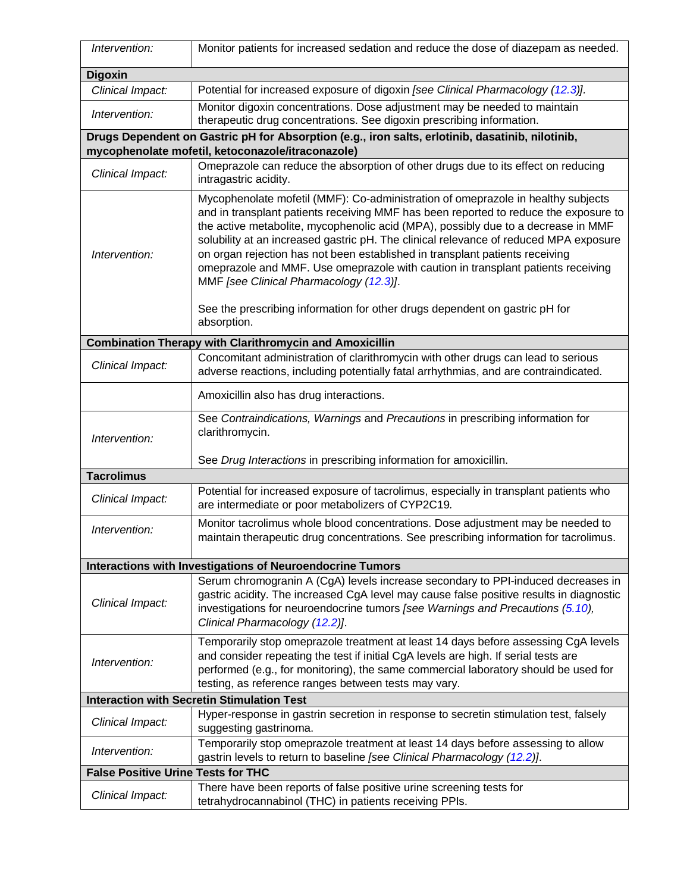| Intervention:                                     | Monitor patients for increased sedation and reduce the dose of diazepam as needed.                                                                                                                                                                                                                                                                                                                                                                                                                                                                                    |  |
|---------------------------------------------------|-----------------------------------------------------------------------------------------------------------------------------------------------------------------------------------------------------------------------------------------------------------------------------------------------------------------------------------------------------------------------------------------------------------------------------------------------------------------------------------------------------------------------------------------------------------------------|--|
| <b>Digoxin</b>                                    |                                                                                                                                                                                                                                                                                                                                                                                                                                                                                                                                                                       |  |
| Clinical Impact:                                  | Potential for increased exposure of digoxin [see Clinical Pharmacology (12.3)].                                                                                                                                                                                                                                                                                                                                                                                                                                                                                       |  |
| Intervention:                                     | Monitor digoxin concentrations. Dose adjustment may be needed to maintain<br>therapeutic drug concentrations. See digoxin prescribing information.                                                                                                                                                                                                                                                                                                                                                                                                                    |  |
|                                                   | Drugs Dependent on Gastric pH for Absorption (e.g., iron salts, erlotinib, dasatinib, nilotinib,<br>mycophenolate mofetil, ketoconazole/itraconazole)                                                                                                                                                                                                                                                                                                                                                                                                                 |  |
|                                                   | Omeprazole can reduce the absorption of other drugs due to its effect on reducing                                                                                                                                                                                                                                                                                                                                                                                                                                                                                     |  |
| Clinical Impact:                                  | intragastric acidity.                                                                                                                                                                                                                                                                                                                                                                                                                                                                                                                                                 |  |
| Intervention:                                     | Mycophenolate mofetil (MMF): Co-administration of omeprazole in healthy subjects<br>and in transplant patients receiving MMF has been reported to reduce the exposure to<br>the active metabolite, mycophenolic acid (MPA), possibly due to a decrease in MMF<br>solubility at an increased gastric pH. The clinical relevance of reduced MPA exposure<br>on organ rejection has not been established in transplant patients receiving<br>omeprazole and MMF. Use omeprazole with caution in transplant patients receiving<br>MMF [see Clinical Pharmacology (12.3)]. |  |
|                                                   | See the prescribing information for other drugs dependent on gastric pH for<br>absorption.                                                                                                                                                                                                                                                                                                                                                                                                                                                                            |  |
|                                                   | <b>Combination Therapy with Clarithromycin and Amoxicillin</b>                                                                                                                                                                                                                                                                                                                                                                                                                                                                                                        |  |
| Clinical Impact:                                  | Concomitant administration of clarithromycin with other drugs can lead to serious<br>adverse reactions, including potentially fatal arrhythmias, and are contraindicated.                                                                                                                                                                                                                                                                                                                                                                                             |  |
|                                                   | Amoxicillin also has drug interactions.                                                                                                                                                                                                                                                                                                                                                                                                                                                                                                                               |  |
| Intervention:                                     | See Contraindications, Warnings and Precautions in prescribing information for<br>clarithromycin.                                                                                                                                                                                                                                                                                                                                                                                                                                                                     |  |
|                                                   | See Drug Interactions in prescribing information for amoxicillin.                                                                                                                                                                                                                                                                                                                                                                                                                                                                                                     |  |
| <b>Tacrolimus</b>                                 |                                                                                                                                                                                                                                                                                                                                                                                                                                                                                                                                                                       |  |
| Clinical Impact:                                  | Potential for increased exposure of tacrolimus, especially in transplant patients who<br>are intermediate or poor metabolizers of CYP2C19.                                                                                                                                                                                                                                                                                                                                                                                                                            |  |
| Intervention:                                     | Monitor tacrolimus whole blood concentrations. Dose adjustment may be needed to<br>maintain therapeutic drug concentrations. See prescribing information for tacrolimus.                                                                                                                                                                                                                                                                                                                                                                                              |  |
|                                                   | <b>Interactions with Investigations of Neuroendocrine Tumors</b>                                                                                                                                                                                                                                                                                                                                                                                                                                                                                                      |  |
| Clinical Impact:                                  | Serum chromogranin A (CgA) levels increase secondary to PPI-induced decreases in<br>gastric acidity. The increased CgA level may cause false positive results in diagnostic<br>investigations for neuroendocrine tumors [see Warnings and Precautions (5.10),<br>Clinical Pharmacology (12.2)].                                                                                                                                                                                                                                                                       |  |
| Intervention:                                     | Temporarily stop omeprazole treatment at least 14 days before assessing CgA levels<br>and consider repeating the test if initial CgA levels are high. If serial tests are<br>performed (e.g., for monitoring), the same commercial laboratory should be used for<br>testing, as reference ranges between tests may vary.                                                                                                                                                                                                                                              |  |
| <b>Interaction with Secretin Stimulation Test</b> |                                                                                                                                                                                                                                                                                                                                                                                                                                                                                                                                                                       |  |
| Clinical Impact:                                  | Hyper-response in gastrin secretion in response to secretin stimulation test, falsely<br>suggesting gastrinoma.                                                                                                                                                                                                                                                                                                                                                                                                                                                       |  |
| Intervention:                                     | Temporarily stop omeprazole treatment at least 14 days before assessing to allow<br>gastrin levels to return to baseline [see Clinical Pharmacology (12.2)].                                                                                                                                                                                                                                                                                                                                                                                                          |  |
| <b>False Positive Urine Tests for THC</b>         |                                                                                                                                                                                                                                                                                                                                                                                                                                                                                                                                                                       |  |
| Clinical Impact:                                  | There have been reports of false positive urine screening tests for<br>tetrahydrocannabinol (THC) in patients receiving PPIs.                                                                                                                                                                                                                                                                                                                                                                                                                                         |  |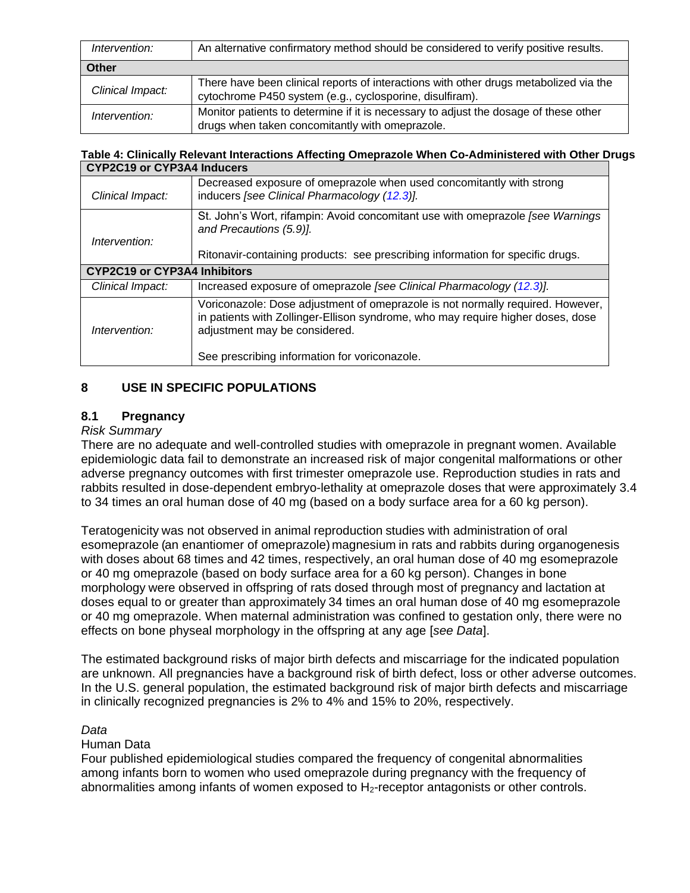| Intervention:    | An alternative confirmatory method should be considered to verify positive results.                                                               |
|------------------|---------------------------------------------------------------------------------------------------------------------------------------------------|
| Other            |                                                                                                                                                   |
| Clinical Impact: | There have been clinical reports of interactions with other drugs metabolized via the<br>cytochrome P450 system (e.g., cyclosporine, disulfiram). |
| Intervention:    | Monitor patients to determine if it is necessary to adjust the dosage of these other<br>drugs when taken concomitantly with omeprazole.           |

#### **Table 4: Clinically Relevant Interactions Affecting Omeprazole When Co-Administered with Other Drugs CYP2C19 or CYP3A4 Inducers**

| OTT ZOTJ OF OTT JAT INGGETS         |                                                                                                                                                                                                                                                     |
|-------------------------------------|-----------------------------------------------------------------------------------------------------------------------------------------------------------------------------------------------------------------------------------------------------|
| Clinical Impact:                    | Decreased exposure of omeprazole when used concomitantly with strong<br>inducers [see Clinical Pharmacology (12.3)].                                                                                                                                |
| Intervention:                       | St. John's Wort, rifampin: Avoid concomitant use with omeprazole [see Warnings]<br>and Precautions (5.9)].<br>Ritonavir-containing products: see prescribing information for specific drugs.                                                        |
| <b>CYP2C19 or CYP3A4 Inhibitors</b> |                                                                                                                                                                                                                                                     |
| Clinical Impact:                    | Increased exposure of omeprazole [see Clinical Pharmacology (12.3)].                                                                                                                                                                                |
| Intervention:                       | Voriconazole: Dose adjustment of omeprazole is not normally required. However,<br>in patients with Zollinger-Ellison syndrome, who may require higher doses, dose<br>adjustment may be considered.<br>See prescribing information for voriconazole. |

### <span id="page-13-0"></span>**8 USE IN SPECIFIC POPULATIONS**

# <span id="page-13-1"></span>**8.1 Pregnancy**

### *Risk Summary*

There are no adequate and well-controlled studies with omeprazole in pregnant women. Available epidemiologic data fail to demonstrate an increased risk of major congenital malformations or other adverse pregnancy outcomes with first trimester omeprazole use. Reproduction studies in rats and rabbits resulted in dose-dependent embryo-lethality at omeprazole doses that were approximately 3.4 to 34 times an oral human dose of 40 mg (based on a body surface area for a 60 kg person).

Teratogenicity was not observed in animal reproduction studies with administration of oral esomeprazole (an enantiomer of omeprazole) magnesium in rats and rabbits during organogenesis with doses about 68 times and 42 times, respectively, an oral human dose of 40 mg esomeprazole or 40 mg omeprazole (based on body surface area for a 60 kg person). Changes in bone morphology were observed in offspring of rats dosed through most of pregnancy and lactation at doses equal to or greater than approximately 34 times an oral human dose of 40 mg esomeprazole or 40 mg omeprazole. When maternal administration was confined to gestation only, there were no effects on bone physeal morphology in the offspring at any age [*see Data*].

The estimated background risks of major birth defects and miscarriage for the indicated population are unknown. All pregnancies have a background risk of birth defect, loss or other adverse outcomes. In the U.S. general population, the estimated background risk of major birth defects and miscarriage in clinically recognized pregnancies is 2% to 4% and 15% to 20%, respectively.

### *Data*

#### Human Data

Four published epidemiological studies compared the frequency of congenital abnormalities among infants born to women who used omeprazole during pregnancy with the frequency of abnormalities among infants of women exposed to  $H_2$ -receptor antagonists or other controls.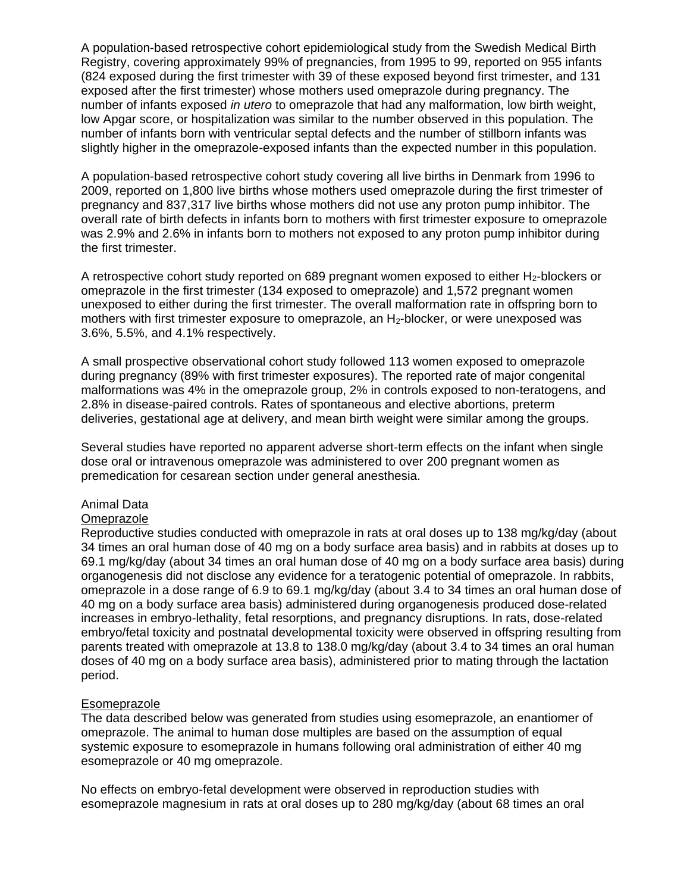A population-based retrospective cohort epidemiological study from the Swedish Medical Birth Registry, covering approximately 99% of pregnancies, from 1995 to 99, reported on 955 infants (824 exposed during the first trimester with 39 of these exposed beyond first trimester, and 131 exposed after the first trimester) whose mothers used omeprazole during pregnancy. The number of infants exposed *in utero* to omeprazole that had any malformation, low birth weight, low Apgar score, or hospitalization was similar to the number observed in this population. The number of infants born with ventricular septal defects and the number of stillborn infants was slightly higher in the omeprazole-exposed infants than the expected number in this population.

A population-based retrospective cohort study covering all live births in Denmark from 1996 to 2009, reported on 1,800 live births whose mothers used omeprazole during the first trimester of pregnancy and 837,317 live births whose mothers did not use any proton pump inhibitor. The overall rate of birth defects in infants born to mothers with first trimester exposure to omeprazole was 2.9% and 2.6% in infants born to mothers not exposed to any proton pump inhibitor during the first trimester.

A retrospective cohort study reported on 689 pregnant women exposed to either  $H_2$ -blockers or omeprazole in the first trimester (134 exposed to omeprazole) and 1,572 pregnant women unexposed to either during the first trimester. The overall malformation rate in offspring born to mothers with first trimester exposure to omeprazole, an H<sub>2</sub>-blocker, or were unexposed was 3.6%, 5.5%, and 4.1% respectively.

A small prospective observational cohort study followed 113 women exposed to omeprazole during pregnancy (89% with first trimester exposures). The reported rate of major congenital malformations was 4% in the omeprazole group, 2% in controls exposed to non-teratogens, and 2.8% in disease-paired controls. Rates of spontaneous and elective abortions, preterm deliveries, gestational age at delivery, and mean birth weight were similar among the groups.

Several studies have reported no apparent adverse short-term effects on the infant when single dose oral or intravenous omeprazole was administered to over 200 pregnant women as premedication for cesarean section under general anesthesia.

### Animal Data

#### **Omeprazole**

Reproductive studies conducted with omeprazole in rats at oral doses up to 138 mg/kg/day (about 34 times an oral human dose of 40 mg on a body surface area basis) and in rabbits at doses up to 69.1 mg/kg/day (about 34 times an oral human dose of 40 mg on a body surface area basis) during organogenesis did not disclose any evidence for a teratogenic potential of omeprazole. In rabbits, omeprazole in a dose range of 6.9 to 69.1 mg/kg/day (about 3.4 to 34 times an oral human dose of 40 mg on a body surface area basis) administered during organogenesis produced dose-related increases in embryo-lethality, fetal resorptions, and pregnancy disruptions. In rats, dose-related embryo/fetal toxicity and postnatal developmental toxicity were observed in offspring resulting from parents treated with omeprazole at 13.8 to 138.0 mg/kg/day (about 3.4 to 34 times an oral human doses of 40 mg on a body surface area basis), administered prior to mating through the lactation period.

#### Esomeprazole

The data described below was generated from studies using esomeprazole, an enantiomer of omeprazole. The animal to human dose multiples are based on the assumption of equal systemic exposure to esomeprazole in humans following oral administration of either 40 mg esomeprazole or 40 mg omeprazole.

No effects on embryo-fetal development were observed in reproduction studies with esomeprazole magnesium in rats at oral doses up to 280 mg/kg/day (about 68 times an oral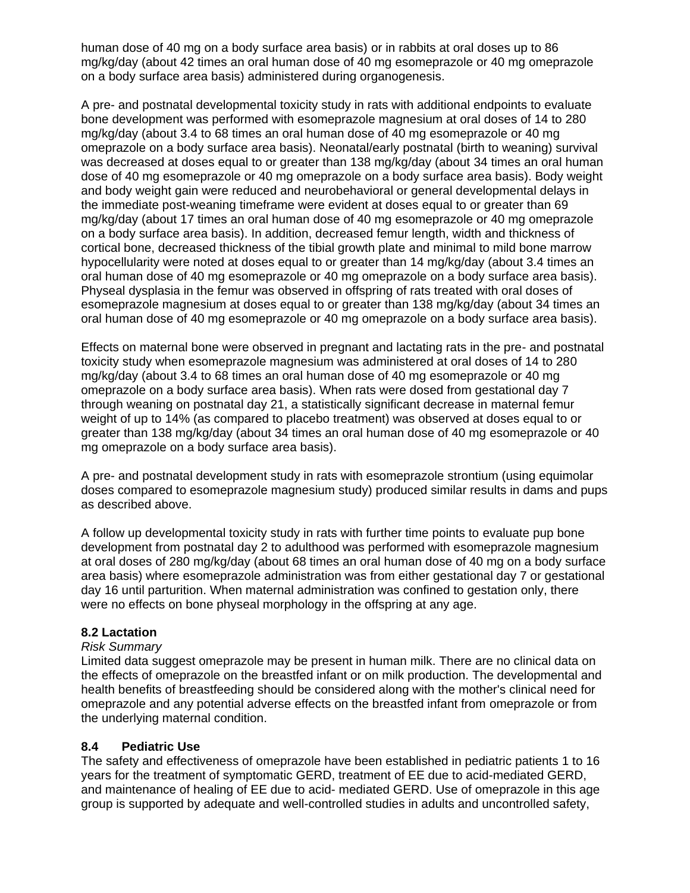human dose of 40 mg on a body surface area basis) or in rabbits at oral doses up to 86 mg/kg/day (about 42 times an oral human dose of 40 mg esomeprazole or 40 mg omeprazole on a body surface area basis) administered during organogenesis.

A pre- and postnatal developmental toxicity study in rats with additional endpoints to evaluate bone development was performed with esomeprazole magnesium at oral doses of 14 to 280 mg/kg/day (about 3.4 to 68 times an oral human dose of 40 mg esomeprazole or 40 mg omeprazole on a body surface area basis). Neonatal/early postnatal (birth to weaning) survival was decreased at doses equal to or greater than 138 mg/kg/day (about 34 times an oral human dose of 40 mg esomeprazole or 40 mg omeprazole on a body surface area basis). Body weight and body weight gain were reduced and neurobehavioral or general developmental delays in the immediate post-weaning timeframe were evident at doses equal to or greater than 69 mg/kg/day (about 17 times an oral human dose of 40 mg esomeprazole or 40 mg omeprazole on a body surface area basis). In addition, decreased femur length, width and thickness of cortical bone, decreased thickness of the tibial growth plate and minimal to mild bone marrow hypocellularity were noted at doses equal to or greater than 14 mg/kg/day (about 3.4 times an oral human dose of 40 mg esomeprazole or 40 mg omeprazole on a body surface area basis). Physeal dysplasia in the femur was observed in offspring of rats treated with oral doses of esomeprazole magnesium at doses equal to or greater than 138 mg/kg/day (about 34 times an oral human dose of 40 mg esomeprazole or 40 mg omeprazole on a body surface area basis).

Effects on maternal bone were observed in pregnant and lactating rats in the pre- and postnatal toxicity study when esomeprazole magnesium was administered at oral doses of 14 to 280 mg/kg/day (about 3.4 to 68 times an oral human dose of 40 mg esomeprazole or 40 mg omeprazole on a body surface area basis). When rats were dosed from gestational day 7 through weaning on postnatal day 21, a statistically significant decrease in maternal femur weight of up to 14% (as compared to placebo treatment) was observed at doses equal to or greater than 138 mg/kg/day (about 34 times an oral human dose of 40 mg esomeprazole or 40 mg omeprazole on a body surface area basis).

A pre- and postnatal development study in rats with esomeprazole strontium (using equimolar doses compared to esomeprazole magnesium study) produced similar results in dams and pups as described above.

A follow up developmental toxicity study in rats with further time points to evaluate pup bone development from postnatal day 2 to adulthood was performed with esomeprazole magnesium at oral doses of 280 mg/kg/day (about 68 times an oral human dose of 40 mg on a body surface area basis) where esomeprazole administration was from either gestational day 7 or gestational day 16 until parturition. When maternal administration was confined to gestation only, there were no effects on bone physeal morphology in the offspring at any age.

### <span id="page-15-1"></span>**8.2 Lactation**

#### *Risk Summary*

Limited data suggest omeprazole may be present in human milk. There are no clinical data on the effects of omeprazole on the breastfed infant or on milk production. The developmental and health benefits of breastfeeding should be considered along with the mother's clinical need for omeprazole and any potential adverse effects on the breastfed infant from omeprazole or from the underlying maternal condition.

### <span id="page-15-0"></span>**8.4 Pediatric Use**

The safety and effectiveness of omeprazole have been established in pediatric patients 1 to 16 years for the treatment of symptomatic GERD, treatment of EE due to acid-mediated GERD, and maintenance of healing of EE due to acid- mediated GERD. Use of omeprazole in this age group is supported by adequate and well-controlled studies in adults and uncontrolled safety,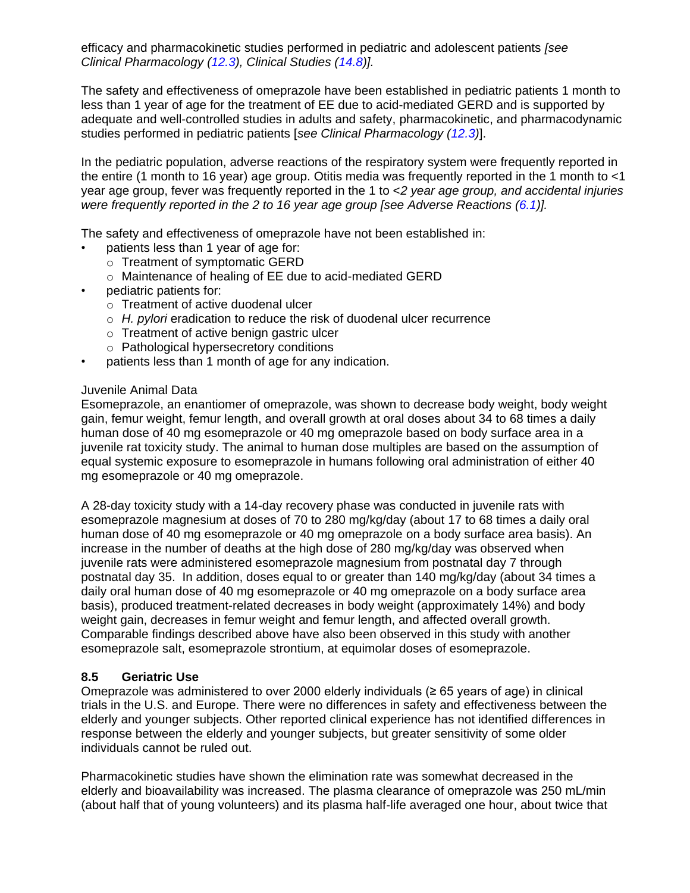efficacy and pharmacokinetic studies performed in pediatric and adolescent patients *[see Clinical Pharmacology [\(12.3\)](#page-19-0), Clinical Studies [\(14.8\)](#page-31-0)].*

The safety and effectiveness of omeprazole have been established in pediatric patients 1 month to less than 1 year of age for the treatment of EE due to acid-mediated GERD and is supported by adequate and well-controlled studies in adults and safety, pharmacokinetic, and pharmacodynamic studies performed in pediatric patients [*see Clinical Pharmacology [\(12.3\)](#page-19-0)*].

In the pediatric population, adverse reactions of the respiratory system were frequently reported in the entire (1 month to 16 year) age group. Otitis media was frequently reported in the 1 month to <1 year age group, fever was frequently reported in the 1 to <*2 year age group, and accidental injuries were frequently reported in the 2 to 16 year age group [see Adverse Reactions [\(6.1\)](#page-8-0)].*

The safety and effectiveness of omeprazole have not been established in:

- patients less than 1 year of age for:
	- o Treatment of symptomatic GERD
	- o Maintenance of healing of EE due to acid-mediated GERD
- pediatric patients for:
	- o Treatment of active duodenal ulcer
	- o *H. pylori* eradication to reduce the risk of duodenal ulcer recurrence
	- o Treatment of active benign gastric ulcer
	- o Pathological hypersecretory conditions
- patients less than 1 month of age for any indication.

### Juvenile Animal Data

Esomeprazole, an enantiomer of omeprazole, was shown to decrease body weight, body weight gain, femur weight, femur length, and overall growth at oral doses about 34 to 68 times a daily human dose of 40 mg esomeprazole or 40 mg omeprazole based on body surface area in a juvenile rat toxicity study. The animal to human dose multiples are based on the assumption of equal systemic exposure to esomeprazole in humans following oral administration of either 40 mg esomeprazole or 40 mg omeprazole.

A 28-day toxicity study with a 14-day recovery phase was conducted in juvenile rats with esomeprazole magnesium at doses of 70 to 280 mg/kg/day (about 17 to 68 times a daily oral human dose of 40 mg esomeprazole or 40 mg omeprazole on a body surface area basis). An increase in the number of deaths at the high dose of 280 mg/kg/day was observed when juvenile rats were administered esomeprazole magnesium from postnatal day 7 through postnatal day 35. In addition, doses equal to or greater than 140 mg/kg/day (about 34 times a daily oral human dose of 40 mg esomeprazole or 40 mg omeprazole on a body surface area basis), produced treatment-related decreases in body weight (approximately 14%) and body weight gain, decreases in femur weight and femur length, and affected overall growth. Comparable findings described above have also been observed in this study with another esomeprazole salt, esomeprazole strontium, at equimolar doses of esomeprazole.

### <span id="page-16-0"></span>**8.5 Geriatric Use**

Omeprazole was administered to over 2000 elderly individuals ( $\geq 65$  years of age) in clinical trials in the U.S. and Europe. There were no differences in safety and effectiveness between the elderly and younger subjects. Other reported clinical experience has not identified differences in response between the elderly and younger subjects, but greater sensitivity of some older individuals cannot be ruled out.

Pharmacokinetic studies have shown the elimination rate was somewhat decreased in the elderly and bioavailability was increased. The plasma clearance of omeprazole was 250 mL/min (about half that of young volunteers) and its plasma half-life averaged one hour, about twice that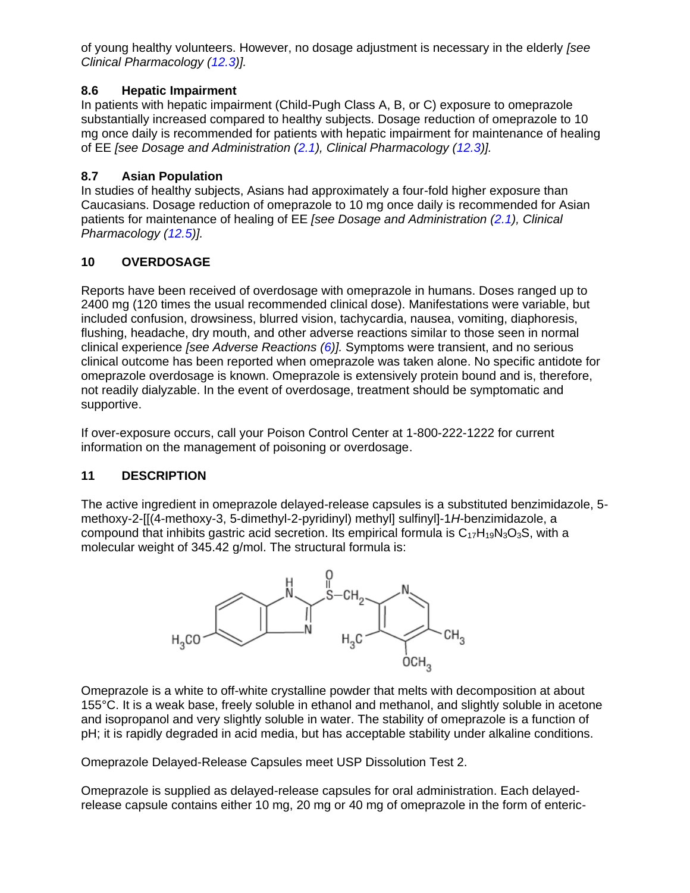of young healthy volunteers. However, no dosage adjustment is necessary in the elderly *[see Clinical Pharmacology [\(12.3\)](#page-19-0)].*

### <span id="page-17-0"></span>**8.6 Hepatic Impairment**

In patients with hepatic impairment (Child-Pugh Class A, B, or C) exposure to omeprazole substantially increased compared to healthy subjects. Dosage reduction of omeprazole to 10 mg once daily is recommended for patients with hepatic impairment for maintenance of healing of EE *[see Dosage and Administration [\(2.1\)](#page-3-2), Clinical Pharmacology [\(12.3\)](#page-19-0)].*

# <span id="page-17-1"></span>**8.7 Asian Population**

In studies of healthy subjects, Asians had approximately a four-fold higher exposure than Caucasians. Dosage reduction of omeprazole to 10 mg once daily is recommended for Asian patients for maintenance of healing of EE *[see Dosage and Administration [\(2.1\)](#page-3-2), Clinical Pharmacology [\(12.5\)](#page-25-0)].*

# <span id="page-17-2"></span>**10 OVERDOSAGE**

Reports have been received of overdosage with omeprazole in humans. Doses ranged up to 2400 mg (120 times the usual recommended clinical dose). Manifestations were variable, but included confusion, drowsiness, blurred vision, tachycardia, nausea, vomiting, diaphoresis, flushing, headache, dry mouth, and other adverse reactions similar to those seen in normal clinical experience *[see Adverse Reactions [\(6\)](#page-7-6)].* Symptoms were transient, and no serious clinical outcome has been reported when omeprazole was taken alone. No specific antidote for omeprazole overdosage is known. Omeprazole is extensively protein bound and is, therefore, not readily dialyzable. In the event of overdosage, treatment should be symptomatic and supportive.

If over-exposure occurs, call your Poison Control Center at 1-800-222-1222 for current information on the management of poisoning or overdosage.

# <span id="page-17-3"></span>**11 DESCRIPTION**

The active ingredient in omeprazole delayed-release capsules is a substituted benzimidazole, 5 methoxy-2-[[(4-methoxy-3, 5-dimethyl-2-pyridinyl) methyl] sulfinyl]-1*H*-benzimidazole, a compound that inhibits gastric acid secretion. Its empirical formula is  $C_{17}H_{19}N_3O_3S$ , with a molecular weight of 345.42 g/mol. The structural formula is:



Omeprazole is a white to off-white crystalline powder that melts with decomposition at about 155°C. It is a weak base, freely soluble in ethanol and methanol, and slightly soluble in acetone and isopropanol and very slightly soluble in water. The stability of omeprazole is a function of pH; it is rapidly degraded in acid media, but has acceptable stability under alkaline conditions.

Omeprazole Delayed-Release Capsules meet USP Dissolution Test 2.

Omeprazole is supplied as delayed-release capsules for oral administration. Each delayedrelease capsule contains either 10 mg, 20 mg or 40 mg of omeprazole in the form of enteric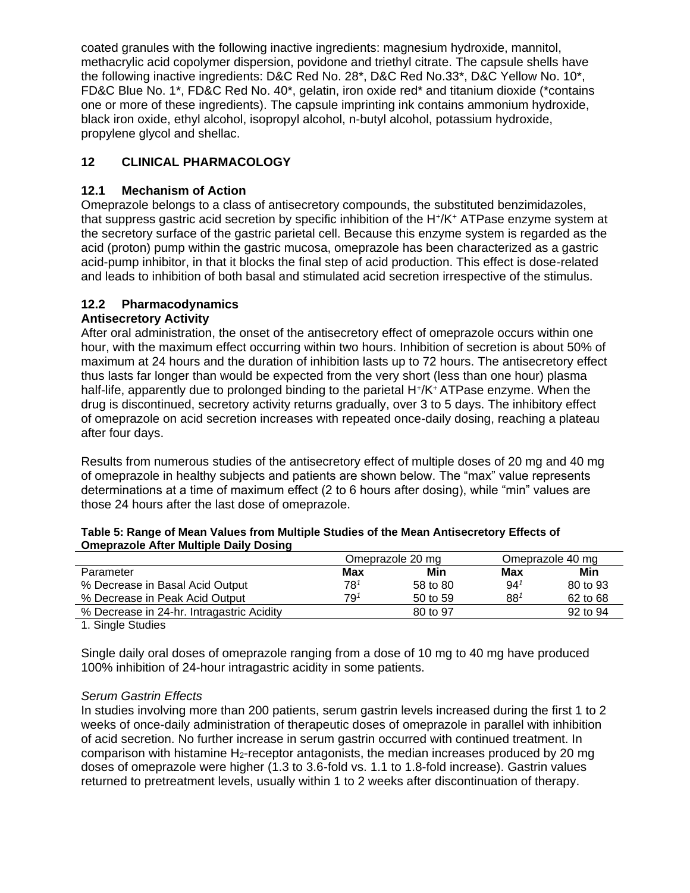coated granules with the following inactive ingredients: magnesium hydroxide, mannitol, methacrylic acid copolymer dispersion, povidone and triethyl citrate. The capsule shells have the following inactive ingredients: D&C Red No. 28\*, D&C Red No.33\*, D&C Yellow No. 10\*, FD&C Blue No. 1\*, FD&C Red No. 40\*, gelatin, iron oxide red\* and titanium dioxide (\*contains one or more of these ingredients). The capsule imprinting ink contains ammonium hydroxide, black iron oxide, ethyl alcohol, isopropyl alcohol, n-butyl alcohol, potassium hydroxide, propylene glycol and shellac.

# <span id="page-18-0"></span>**12 CLINICAL PHARMACOLOGY**

### <span id="page-18-1"></span>**12.1 Mechanism of Action**

Omeprazole belongs to a class of antisecretory compounds, the substituted benzimidazoles, that suppress gastric acid secretion by specific inhibition of the H<sup>+</sup> /K<sup>+</sup> ATPase enzyme system at the secretory surface of the gastric parietal cell. Because this enzyme system is regarded as the acid (proton) pump within the gastric mucosa, omeprazole has been characterized as a gastric acid-pump inhibitor, in that it blocks the final step of acid production. This effect is dose-related and leads to inhibition of both basal and stimulated acid secretion irrespective of the stimulus.

### <span id="page-18-2"></span>**12.2 Pharmacodynamics**

### **Antisecretory Activity**

After oral administration, the onset of the antisecretory effect of omeprazole occurs within one hour, with the maximum effect occurring within two hours. Inhibition of secretion is about 50% of maximum at 24 hours and the duration of inhibition lasts up to 72 hours. The antisecretory effect thus lasts far longer than would be expected from the very short (less than one hour) plasma half-life, apparently due to prolonged binding to the parietal H<sup>+</sup>/K<sup>+</sup> ATPase enzyme. When the drug is discontinued, secretory activity returns gradually, over 3 to 5 days. The inhibitory effect of omeprazole on acid secretion increases with repeated once-daily dosing, reaching a plateau after four days.

Results from numerous studies of the antisecretory effect of multiple doses of 20 mg and 40 mg of omeprazole in healthy subjects and patients are shown below. The "max" value represents determinations at a time of maximum effect (2 to 6 hours after dosing), while "min" values are those 24 hours after the last dose of omeprazole.

|                                           |     | Omeprazole 20 mg    |                 | Omeprazole 40 mg |
|-------------------------------------------|-----|---------------------|-----------------|------------------|
| Parameter                                 | Max | Min                 | Max             | Min              |
| % Decrease in Basal Acid Output           | 781 | 58 to 80            | 94 <sup>1</sup> | 80 to 93         |
| % Decrease in Peak Acid Output            | 791 | $50 \text{ to } 59$ | 88 <sup>1</sup> | 62 to 68         |
| % Decrease in 24-hr. Intragastric Acidity |     | 80 to 97            |                 | 92 to 94         |
|                                           |     |                     |                 |                  |

| Table 5: Range of Mean Values from Multiple Studies of the Mean Antisecretory Effects of |
|------------------------------------------------------------------------------------------|
| <b>Omeprazole After Multiple Daily Dosing</b>                                            |

1. Single Studies

Single daily oral doses of omeprazole ranging from a dose of 10 mg to 40 mg have produced 100% inhibition of 24-hour intragastric acidity in some patients.

### *Serum Gastrin Effects*

In studies involving more than 200 patients, serum gastrin levels increased during the first 1 to 2 weeks of once-daily administration of therapeutic doses of omeprazole in parallel with inhibition of acid secretion. No further increase in serum gastrin occurred with continued treatment. In comparison with histamine  $H_2$ -receptor antagonists, the median increases produced by 20 mg doses of omeprazole were higher (1.3 to 3.6-fold vs. 1.1 to 1.8-fold increase). Gastrin values returned to pretreatment levels, usually within 1 to 2 weeks after discontinuation of therapy.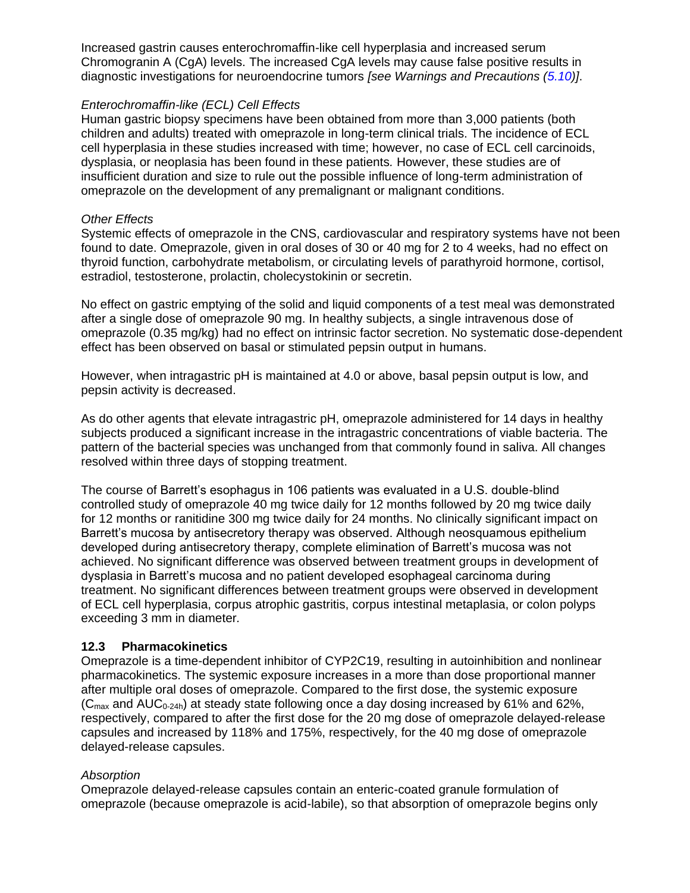Increased gastrin causes enterochromaffin-like cell hyperplasia and increased serum Chromogranin A (CgA) levels. The increased CgA levels may cause false positive results in diagnostic investigations for neuroendocrine tumors *[see Warnings and Precautions [\(5.10\)](#page-7-3)]*.

### *Enterochromaffin-like (ECL) Cell Effects*

Human gastric biopsy specimens have been obtained from more than 3,000 patients (both children and adults) treated with omeprazole in long-term clinical trials. The incidence of ECL cell hyperplasia in these studies increased with time; however, no case of ECL cell carcinoids, dysplasia, or neoplasia has been found in these patients*.* However, these studies are of insufficient duration and size to rule out the possible influence of long-term administration of omeprazole on the development of any premalignant or malignant conditions.

#### *Other Effects*

Systemic effects of omeprazole in the CNS, cardiovascular and respiratory systems have not been found to date. Omeprazole, given in oral doses of 30 or 40 mg for 2 to 4 weeks, had no effect on thyroid function, carbohydrate metabolism, or circulating levels of parathyroid hormone, cortisol, estradiol, testosterone, prolactin, cholecystokinin or secretin.

No effect on gastric emptying of the solid and liquid components of a test meal was demonstrated after a single dose of omeprazole 90 mg. In healthy subjects, a single intravenous dose of omeprazole (0.35 mg/kg) had no effect on intrinsic factor secretion. No systematic dose-dependent effect has been observed on basal or stimulated pepsin output in humans.

However, when intragastric pH is maintained at 4.0 or above, basal pepsin output is low, and pepsin activity is decreased.

As do other agents that elevate intragastric pH, omeprazole administered for 14 days in healthy subjects produced a significant increase in the intragastric concentrations of viable bacteria. The pattern of the bacterial species was unchanged from that commonly found in saliva. All changes resolved within three days of stopping treatment.

The course of Barrett's esophagus in 106 patients was evaluated in a U.S. double-blind controlled study of omeprazole 40 mg twice daily for 12 months followed by 20 mg twice daily for 12 months or ranitidine 300 mg twice daily for 24 months. No clinically significant impact on Barrett's mucosa by antisecretory therapy was observed. Although neosquamous epithelium developed during antisecretory therapy, complete elimination of Barrett's mucosa was not achieved. No significant difference was observed between treatment groups in development of dysplasia in Barrett's mucosa and no patient developed esophageal carcinoma during treatment. No significant differences between treatment groups were observed in development of ECL cell hyperplasia, corpus atrophic gastritis, corpus intestinal metaplasia, or colon polyps exceeding 3 mm in diameter*.*

### <span id="page-19-0"></span>**12.3 Pharmacokinetics**

Omeprazole is a time-dependent inhibitor of CYP2C19, resulting in autoinhibition and nonlinear pharmacokinetics. The systemic exposure increases in a more than dose proportional manner after multiple oral doses of omeprazole. Compared to the first dose, the systemic exposure  $(C_{\text{max}}$  and AUC<sub>0-24h</sub>) at steady state following once a day dosing increased by 61% and 62%, respectively, compared to after the first dose for the 20 mg dose of omeprazole delayed-release capsules and increased by 118% and 175%, respectively, for the 40 mg dose of omeprazole delayed-release capsules.

#### *Absorption*

Omeprazole delayed-release capsules contain an enteric-coated granule formulation of omeprazole (because omeprazole is acid-labile), so that absorption of omeprazole begins only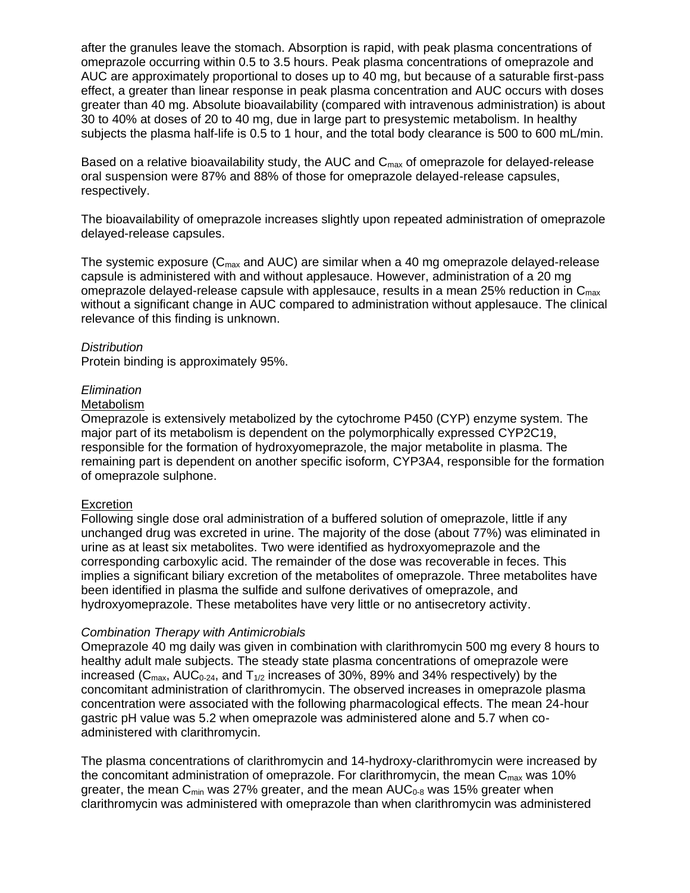after the granules leave the stomach. Absorption is rapid, with peak plasma concentrations of omeprazole occurring within 0.5 to 3.5 hours. Peak plasma concentrations of omeprazole and AUC are approximately proportional to doses up to 40 mg, but because of a saturable first-pass effect, a greater than linear response in peak plasma concentration and AUC occurs with doses greater than 40 mg. Absolute bioavailability (compared with intravenous administration) is about 30 to 40% at doses of 20 to 40 mg, due in large part to presystemic metabolism. In healthy subjects the plasma half-life is 0.5 to 1 hour, and the total body clearance is 500 to 600 mL/min.

Based on a relative bioavailability study, the AUC and  $C_{\text{max}}$  of omeprazole for delayed-release oral suspension were 87% and 88% of those for omeprazole delayed-release capsules, respectively.

The bioavailability of omeprazole increases slightly upon repeated administration of omeprazole delayed-release capsules.

The systemic exposure ( $C_{\text{max}}$  and AUC) are similar when a 40 mg omeprazole delayed-release capsule is administered with and without applesauce. However, administration of a 20 mg omeprazole delayed-release capsule with applesauce, results in a mean 25% reduction in  $C_{\text{max}}$ without a significant change in AUC compared to administration without applesauce. The clinical relevance of this finding is unknown.

#### *Distribution*

Protein binding is approximately 95%.

#### *Elimination*

#### **Metabolism**

Omeprazole is extensively metabolized by the cytochrome P450 (CYP) enzyme system. The major part of its metabolism is dependent on the polymorphically expressed CYP2C19, responsible for the formation of hydroxyomeprazole, the major metabolite in plasma. The remaining part is dependent on another specific isoform, CYP3A4, responsible for the formation of omeprazole sulphone.

#### **Excretion**

Following single dose oral administration of a buffered solution of omeprazole, little if any unchanged drug was excreted in urine. The majority of the dose (about 77%) was eliminated in urine as at least six metabolites. Two were identified as hydroxyomeprazole and the corresponding carboxylic acid. The remainder of the dose was recoverable in feces. This implies a significant biliary excretion of the metabolites of omeprazole. Three metabolites have been identified in plasma the sulfide and sulfone derivatives of omeprazole, and hydroxyomeprazole. These metabolites have very little or no antisecretory activity.

#### *Combination Therapy with Antimicrobials*

Omeprazole 40 mg daily was given in combination with clarithromycin 500 mg every 8 hours to healthy adult male subjects. The steady state plasma concentrations of omeprazole were increased ( $C_{\text{max}}$ , AU $C_{0-24}$ , and  $T_{1/2}$  increases of 30%, 89% and 34% respectively) by the concomitant administration of clarithromycin. The observed increases in omeprazole plasma concentration were associated with the following pharmacological effects. The mean 24-hour gastric pH value was 5.2 when omeprazole was administered alone and 5.7 when coadministered with clarithromycin.

The plasma concentrations of clarithromycin and 14-hydroxy-clarithromycin were increased by the concomitant administration of omeprazole. For clarithromycin, the mean  $C_{\text{max}}$  was 10% greater, the mean  $C_{\text{min}}$  was 27% greater, and the mean  $AUC_{0.8}$  was 15% greater when clarithromycin was administered with omeprazole than when clarithromycin was administered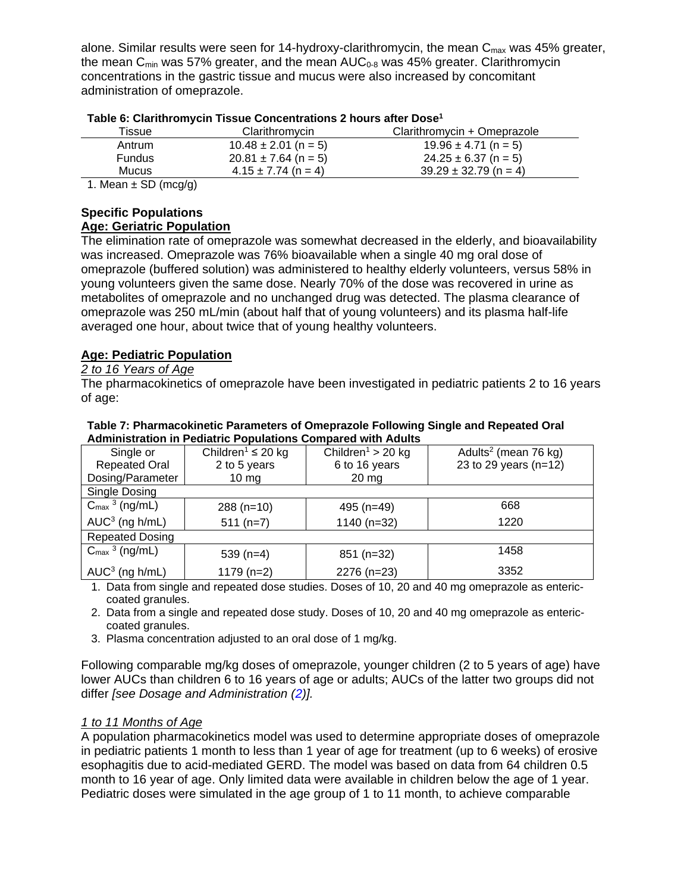alone. Similar results were seen for 14-hydroxy-clarithromycin, the mean  $C_{\text{max}}$  was 45% greater, the mean  $C_{\text{min}}$  was 57% greater, and the mean  $AUC_{0.8}$  was 45% greater. Clarithromycin concentrations in the gastric tissue and mucus were also increased by concomitant administration of omeprazole.

| Tissue                                 | Clarithromycin           | Clarithromycin + Omeprazole |
|----------------------------------------|--------------------------|-----------------------------|
| Antrum                                 | $10.48 \pm 2.01$ (n = 5) | $19.96 \pm 4.71$ (n = 5)    |
| Fundus                                 | $20.81 \pm 7.64$ (n = 5) | $24.25 \pm 6.37$ (n = 5)    |
| Mucus                                  | $4.15 \pm 7.74$ (n = 4)  | $39.29 \pm 32.79$ (n = 4)   |
| $\lambda$ Messey CD $(\omega, \omega)$ |                          |                             |

| Table 6: Clarithromycin Tissue Concentrations 2 hours after Dose <sup>1</sup> |  |  |  |  |
|-------------------------------------------------------------------------------|--|--|--|--|
|-------------------------------------------------------------------------------|--|--|--|--|

1. Mean  $\pm$  SD (mcg/g)

### **Specific Populations**

### **Age: Geriatric Population**

The elimination rate of omeprazole was somewhat decreased in the elderly, and bioavailability was increased. Omeprazole was 76% bioavailable when a single 40 mg oral dose of omeprazole (buffered solution) was administered to healthy elderly volunteers, versus 58% in young volunteers given the same dose. Nearly 70% of the dose was recovered in urine as metabolites of omeprazole and no unchanged drug was detected. The plasma clearance of omeprazole was 250 mL/min (about half that of young volunteers) and its plasma half-life averaged one hour, about twice that of young healthy volunteers.

### **Age: Pediatric Population**

### *2 to 16 Years of Age*

Single Dosing

 $AUC<sup>3</sup>$  (ng h/mL)

 $AUC<sup>3</sup>$  (ng h/mL)

Repeated Dosing

 $C<sub>max</sub>$ <sup>3</sup>

 $C<sub>max</sub>$ <sup>3</sup>

The pharmacokinetics of omeprazole have been investigated in pediatric patients 2 to 16 years of age:

| <b>1996 1.1 namidyonment i arameters or omeprazoic i onoming omgic and nepeated Oran</b><br><b>Administration in Pediatric Populations Compared with Adults</b> |                                    |                               |                                  |  |
|-----------------------------------------------------------------------------------------------------------------------------------------------------------------|------------------------------------|-------------------------------|----------------------------------|--|
| Single or                                                                                                                                                       | Children <sup>1</sup> $\leq$ 20 kg | Children <sup>1</sup> > 20 kg | Adults <sup>2</sup> (mean 76 kg) |  |
| <b>Repeated Oral</b>                                                                                                                                            | 2 to 5 years                       | 6 to 16 years                 | 23 to 29 years $(n=12)$          |  |
| Dosing/Parameter                                                                                                                                                | 10 mg                              | 20 mg                         |                                  |  |

# **Table 7: Pharmacokinetic Parameters of Omeprazole Following Single and Repeated Oral**

1. Data from single and repeated dose studies. Doses of 10, 20 and 40 mg omeprazole as entericcoated granules.

288 (n=10)  $\vert$  495 (n=49)  $\vert$  668

 $(511 (n=7)$  1140 (n=32) 1220

 $(539 \text{ (n=4)} \qquad \qquad 851 \text{ (n=32)} \qquad \qquad 1458$ 

 $(1179 \text{ (n=2)})$  2276 (n=23)  $\vert$  3352

2. Data from a single and repeated dose study. Doses of 10, 20 and 40 mg omeprazole as entericcoated granules.

3. Plasma concentration adjusted to an oral dose of 1 mg/kg.

Following comparable mg/kg doses of omeprazole, younger children (2 to 5 years of age) have lower AUCs than children 6 to 16 years of age or adults; AUCs of the latter two groups did not differ *[see Dosage and Administration [\(2\)](#page-3-3)].*

#### *1 to 11 Months of Age*

A population pharmacokinetics model was used to determine appropriate doses of omeprazole in pediatric patients 1 month to less than 1 year of age for treatment (up to 6 weeks) of erosive esophagitis due to acid-mediated GERD. The model was based on data from 64 children 0.5 month to 16 year of age. Only limited data were available in children below the age of 1 year. Pediatric doses were simulated in the age group of 1 to 11 month, to achieve comparable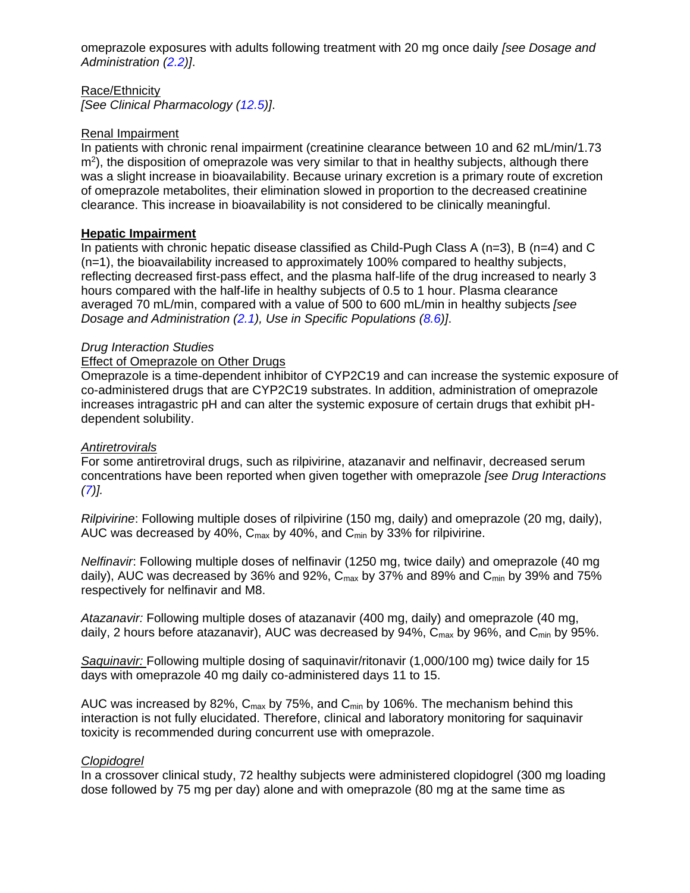omeprazole exposures with adults following treatment with 20 mg once daily *[see Dosage and Administration [\(2.2\)](#page-4-0)]*.

Race/Ethnicity *[See Clinical Pharmacology [\(12.5\)](#page-25-0)]*.

### Renal Impairment

In patients with chronic renal impairment (creatinine clearance between 10 and 62 mL/min/1.73 m<sup>2</sup>), the disposition of omeprazole was very similar to that in healthy subjects, although there was a slight increase in bioavailability. Because urinary excretion is a primary route of excretion of omeprazole metabolites, their elimination slowed in proportion to the decreased creatinine clearance. This increase in bioavailability is not considered to be clinically meaningful.

### **Hepatic Impairment**

In patients with chronic hepatic disease classified as Child-Pugh Class A (n=3), B (n=4) and C (n=1), the bioavailability increased to approximately 100% compared to healthy subjects, reflecting decreased first-pass effect, and the plasma half-life of the drug increased to nearly 3 hours compared with the half-life in healthy subjects of 0.5 to 1 hour. Plasma clearance averaged 70 mL/min, compared with a value of 500 to 600 mL/min in healthy subjects *[see Dosage and Administration [\(2.1\)](#page-3-2), Use in Specific Populations [\(8.6\)](#page-17-0)]*.

#### *Drug Interaction Studies*

### Effect of Omeprazole on Other Drugs

Omeprazole is a time-dependent inhibitor of CYP2C19 and can increase the systemic exposure of co-administered drugs that are CYP2C19 substrates. In addition, administration of omeprazole increases intragastric pH and can alter the systemic exposure of certain drugs that exhibit pHdependent solubility.

#### *Antiretrovirals*

For some antiretroviral drugs, such as rilpivirine, atazanavir and nelfinavir, decreased serum concentrations have been reported when given together with omeprazole *[see Drug Interactions [\(7\)](#page-10-0)].*

*Rilpivirine*: Following multiple doses of rilpivirine (150 mg, daily) and omeprazole (20 mg, daily), AUC was decreased by 40%,  $C_{\text{max}}$  by 40%, and  $C_{\text{min}}$  by 33% for rilpivirine.

*Nelfinavir*: Following multiple doses of nelfinavir (1250 mg, twice daily) and omeprazole (40 mg daily), AUC was decreased by 36% and 92%,  $C_{\text{max}}$  by 37% and 89% and  $C_{\text{min}}$  by 39% and 75% respectively for nelfinavir and M8.

*Atazanavir:* Following multiple doses of atazanavir (400 mg, daily) and omeprazole (40 mg, daily. 2 hours before atazanavir), AUC was decreased by 94%, C<sub>max</sub> by 96%, and C<sub>min</sub> by 95%.

*Saquinavir:* Following multiple dosing of saquinavir/ritonavir (1,000/100 mg) twice daily for 15 days with omeprazole 40 mg daily co-administered days 11 to 15.

AUC was increased by 82%,  $C_{\text{max}}$  by 75%, and  $C_{\text{min}}$  by 106%. The mechanism behind this interaction is not fully elucidated. Therefore, clinical and laboratory monitoring for saquinavir toxicity is recommended during concurrent use with omeprazole.

#### *Clopidogrel*

In a crossover clinical study, 72 healthy subjects were administered clopidogrel (300 mg loading dose followed by 75 mg per day) alone and with omeprazole (80 mg at the same time as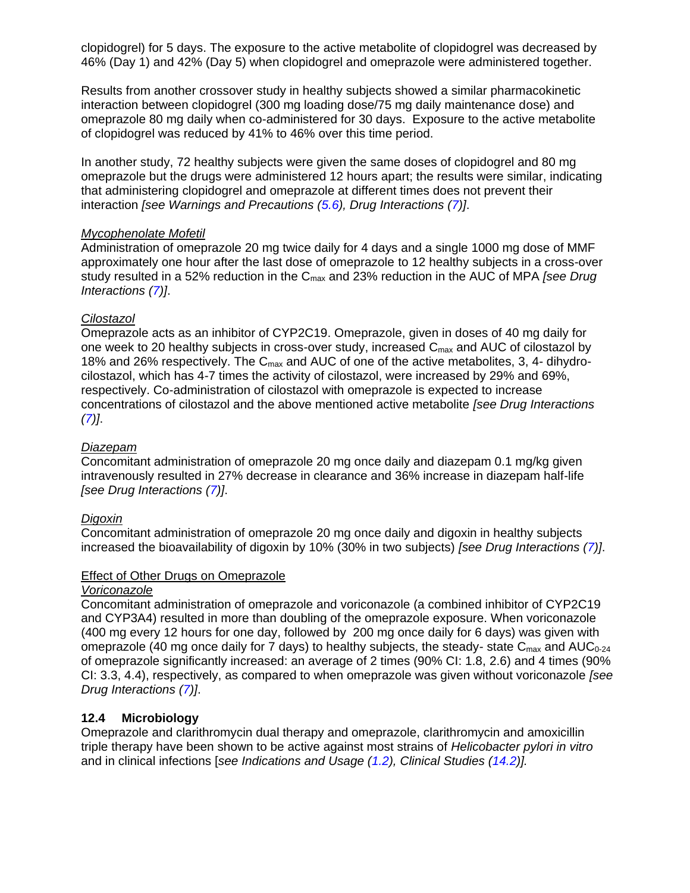clopidogrel) for 5 days. The exposure to the active metabolite of clopidogrel was decreased by 46% (Day 1) and 42% (Day 5) when clopidogrel and omeprazole were administered together.

Results from another crossover study in healthy subjects showed a similar pharmacokinetic interaction between clopidogrel (300 mg loading dose/75 mg daily maintenance dose) and omeprazole 80 mg daily when co-administered for 30 days. Exposure to the active metabolite of clopidogrel was reduced by 41% to 46% over this time period.

In another study, 72 healthy subjects were given the same doses of clopidogrel and 80 mg omeprazole but the drugs were administered 12 hours apart; the results were similar, indicating that administering clopidogrel and omeprazole at different times does not prevent their interaction *[see Warnings and Precautions [\(5.6\)](#page-6-3), Drug Interactions [\(7\)](#page-10-0)]*.

#### *Mycophenolate Mofetil*

Administration of omeprazole 20 mg twice daily for 4 days and a single 1000 mg dose of MMF approximately one hour after the last dose of omeprazole to 12 healthy subjects in a cross-over study resulted in a 52% reduction in the Cmax and 23% reduction in the AUC of MPA *[see Drug Interactions [\(7\)](#page-10-0)]*.

### *Cilostazol*

Omeprazole acts as an inhibitor of CYP2C19. Omeprazole, given in doses of 40 mg daily for one week to 20 healthy subjects in cross-over study, increased  $C_{\text{max}}$  and AUC of cilostazol by 18% and 26% respectively. The  $C_{\text{max}}$  and AUC of one of the active metabolites, 3, 4- dihydrocilostazol, which has 4-7 times the activity of cilostazol, were increased by 29% and 69%, respectively. Co-administration of cilostazol with omeprazole is expected to increase concentrations of cilostazol and the above mentioned active metabolite *[see Drug Interactions [\(7\)](#page-10-0)]*.

#### *Diazepam*

Concomitant administration of omeprazole 20 mg once daily and diazepam 0.1 mg/kg given intravenously resulted in 27% decrease in clearance and 36% increase in diazepam half-life *[see Drug Interactions [\(7\)](#page-10-0)]*.

### *Digoxin*

Concomitant administration of omeprazole 20 mg once daily and digoxin in healthy subjects increased the bioavailability of digoxin by 10% (30% in two subjects) *[see Drug Interactions [\(7\)](#page-10-0)]*.

#### Effect of Other Drugs on Omeprazole

#### *Voriconazole*

Concomitant administration of omeprazole and voriconazole (a combined inhibitor of CYP2C19 and CYP3A4) resulted in more than doubling of the omeprazole exposure. When voriconazole (400 mg every 12 hours for one day, followed by 200 mg once daily for 6 days) was given with omeprazole (40 mg once daily for 7 days) to healthy subjects, the steady- state  $C_{\text{max}}$  and AUC<sub>0-24</sub> of omeprazole significantly increased: an average of 2 times (90% CI: 1.8, 2.6) and 4 times (90% CI: 3.3, 4.4), respectively, as compared to when omeprazole was given without voriconazole *[see Drug Interactions [\(7\)](#page-10-0)]*.

#### <span id="page-23-0"></span>**12.4 Microbiology**

Omeprazole and clarithromycin dual therapy and omeprazole, clarithromycin and amoxicillin triple therapy have been shown to be active against most strains of *Helicobacter pylori in vitro*  and in clinical infections [*see Indications and Usage [\(1.2\)](#page-2-2), Clinical Studies [\(14.2\)](#page-27-0)].*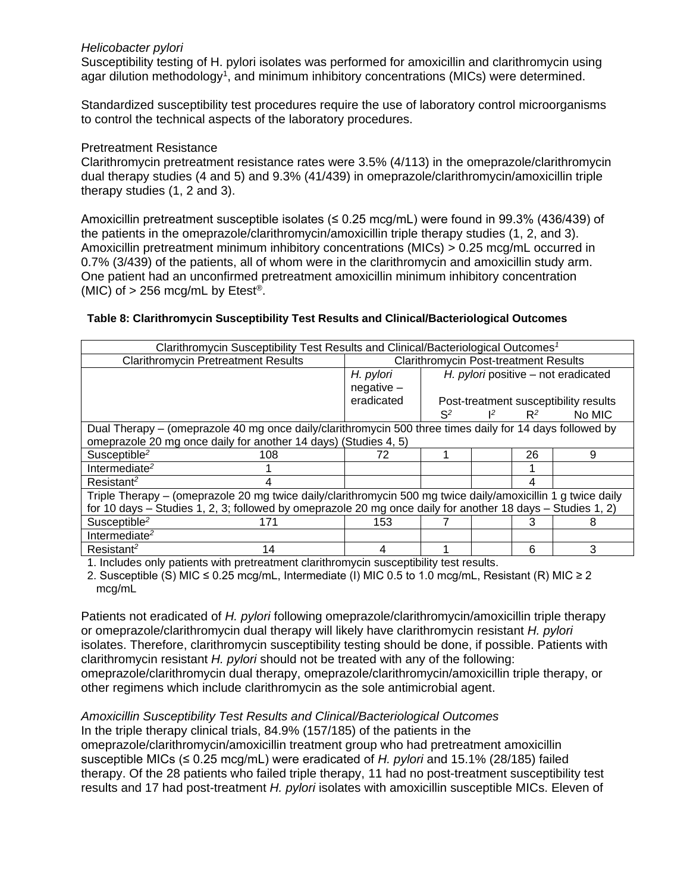#### *Helicobacter pylori*

Susceptibility testing of H. pylori isolates was performed for amoxicillin and clarithromycin using agar dilution methodology<sup>1</sup>, and minimum inhibitory concentrations (MICs) were determined.

Standardized susceptibility test procedures require the use of laboratory control microorganisms to control the technical aspects of the laboratory procedures.

### Pretreatment Resistance

Clarithromycin pretreatment resistance rates were 3.5% (4/113) in the omeprazole/clarithromycin dual therapy studies (4 and 5) and 9.3% (41/439) in omeprazole/clarithromycin/amoxicillin triple therapy studies (1, 2 and 3).

Amoxicillin pretreatment susceptible isolates ( $\leq 0.25$  mcg/mL) were found in 99.3% (436/439) of the patients in the omeprazole/clarithromycin/amoxicillin triple therapy studies (1, 2, and 3). Amoxicillin pretreatment minimum inhibitory concentrations (MICs) > 0.25 mcg/mL occurred in 0.7% (3/439) of the patients, all of whom were in the clarithromycin and amoxicillin study arm. One patient had an unconfirmed pretreatment amoxicillin minimum inhibitory concentration (MIC) of  $> 256$  mcg/mL by Etest<sup>®</sup>.

| Clarithromycin Susceptibility Test Results and Clinical/Bacteriological Outcomes <sup>1</sup>              |                                                                                                              |                                              |       |       |       |                                       |
|------------------------------------------------------------------------------------------------------------|--------------------------------------------------------------------------------------------------------------|----------------------------------------------|-------|-------|-------|---------------------------------------|
|                                                                                                            | <b>Clarithromycin Pretreatment Results</b>                                                                   | <b>Clarithromycin Post-treatment Results</b> |       |       |       |                                       |
|                                                                                                            |                                                                                                              | H. pylori                                    |       |       |       | H. pylori positive - not eradicated   |
|                                                                                                            |                                                                                                              | $negative -$                                 |       |       |       |                                       |
|                                                                                                            |                                                                                                              | eradicated                                   |       |       |       | Post-treatment susceptibility results |
|                                                                                                            |                                                                                                              |                                              | $S^2$ | $1^2$ | $R^2$ | No MIC                                |
|                                                                                                            | Dual Therapy – (omeprazole 40 mg once daily/clarithromycin 500 three times daily for 14 days followed by     |                                              |       |       |       |                                       |
|                                                                                                            | omeprazole 20 mg once daily for another 14 days) (Studies 4, 5)                                              |                                              |       |       |       |                                       |
| Susceptible <sup>2</sup>                                                                                   | 108                                                                                                          | 72                                           |       |       | 26    | 9                                     |
| Intermediate <sup>2</sup>                                                                                  |                                                                                                              |                                              |       |       |       |                                       |
| Resistant <sup>2</sup>                                                                                     |                                                                                                              |                                              |       |       |       |                                       |
|                                                                                                            | Triple Therapy - (omeprazole 20 mg twice daily/clarithromycin 500 mg twice daily/amoxicillin 1 g twice daily |                                              |       |       |       |                                       |
| for 10 days - Studies 1, 2, 3; followed by omeprazole 20 mg once daily for another 18 days - Studies 1, 2) |                                                                                                              |                                              |       |       |       |                                       |
| Susceptible <sup>2</sup>                                                                                   | 171                                                                                                          | 153                                          |       |       |       | õ                                     |
| Intermediate <sup>2</sup>                                                                                  |                                                                                                              |                                              |       |       |       |                                       |
| Resistant <sup>2</sup>                                                                                     | 14                                                                                                           |                                              |       |       | 6     | 3                                     |

#### **Table 8: Clarithromycin Susceptibility Test Results and Clinical/Bacteriological Outcomes**

1. Includes only patients with pretreatment clarithromycin susceptibility test results.

2. Susceptible (S) MIC ≤ 0.25 mcg/mL, Intermediate (I) MIC 0.5 to 1.0 mcg/mL, Resistant (R) MIC ≥ 2 mcg/mL

Patients not eradicated of *H. pylori* following omeprazole/clarithromycin/amoxicillin triple therapy or omeprazole/clarithromycin dual therapy will likely have clarithromycin resistant *H. pylori*  isolates. Therefore, clarithromycin susceptibility testing should be done, if possible. Patients with clarithromycin resistant *H. pylori* should not be treated with any of the following: omeprazole/clarithromycin dual therapy, omeprazole/clarithromycin/amoxicillin triple therapy, or other regimens which include clarithromycin as the sole antimicrobial agent.

#### *Amoxicillin Susceptibility Test Results and Clinical/Bacteriological Outcomes*

In the triple therapy clinical trials, 84.9% (157/185) of the patients in the omeprazole/clarithromycin/amoxicillin treatment group who had pretreatment amoxicillin susceptible MICs (≤ 0.25 mcg/mL) were eradicated of *H. pylori* and 15.1% (28/185) failed therapy. Of the 28 patients who failed triple therapy, 11 had no post-treatment susceptibility test results and 17 had post-treatment *H. pylori* isolates with amoxicillin susceptible MICs. Eleven of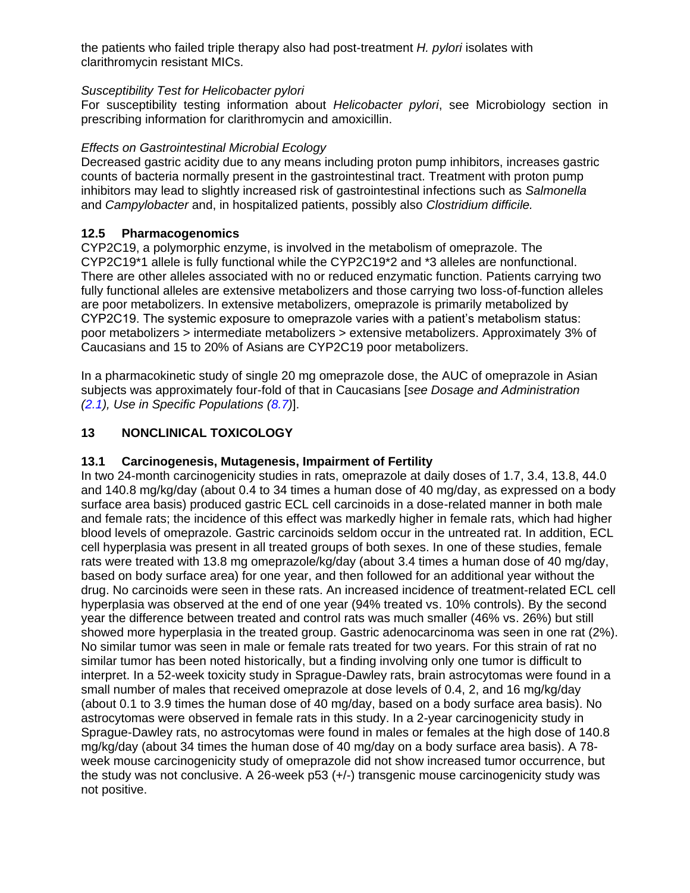the patients who failed triple therapy also had post-treatment *H. pylori* isolates with clarithromycin resistant MICs.

### *Susceptibility Test for Helicobacter pylori*

For susceptibility testing information about *Helicobacter pylori*, see Microbiology section in prescribing information for clarithromycin and amoxicillin.

### *Effects on Gastrointestinal Microbial Ecology*

Decreased gastric acidity due to any means including proton pump inhibitors, increases gastric counts of bacteria normally present in the gastrointestinal tract. Treatment with proton pump inhibitors may lead to slightly increased risk of gastrointestinal infections such as *Salmonella*  and *Campylobacter* and, in hospitalized patients, possibly also *Clostridium difficile.*

### <span id="page-25-0"></span>**12.5 Pharmacogenomics**

CYP2C19, a polymorphic enzyme, is involved in the metabolism of omeprazole. The CYP2C19\*1 allele is fully functional while the CYP2C19\*2 and \*3 alleles are nonfunctional. There are other alleles associated with no or reduced enzymatic function. Patients carrying two fully functional alleles are extensive metabolizers and those carrying two loss-of-function alleles are poor metabolizers. In extensive metabolizers, omeprazole is primarily metabolized by CYP2C19. The systemic exposure to omeprazole varies with a patient's metabolism status: poor metabolizers > intermediate metabolizers > extensive metabolizers. Approximately 3% of Caucasians and 15 to 20% of Asians are CYP2C19 poor metabolizers.

In a pharmacokinetic study of single 20 mg omeprazole dose, the AUC of omeprazole in Asian subjects was approximately four-fold of that in Caucasians [*see Dosage and Administration [\(2.1\)](#page-3-2), Use in Specific Populations [\(8.7\)](#page-17-1)*].

### <span id="page-25-1"></span>**13 NONCLINICAL TOXICOLOGY**

### <span id="page-25-2"></span>**13.1 Carcinogenesis, Mutagenesis, Impairment of Fertility**

In two 24-month carcinogenicity studies in rats, omeprazole at daily doses of 1.7, 3.4, 13.8, 44.0 and 140.8 mg/kg/day (about 0.4 to 34 times a human dose of 40 mg/day, as expressed on a body surface area basis) produced gastric ECL cell carcinoids in a dose-related manner in both male and female rats; the incidence of this effect was markedly higher in female rats, which had higher blood levels of omeprazole. Gastric carcinoids seldom occur in the untreated rat. In addition, ECL cell hyperplasia was present in all treated groups of both sexes. In one of these studies, female rats were treated with 13.8 mg omeprazole/kg/day (about 3.4 times a human dose of 40 mg/day, based on body surface area) for one year, and then followed for an additional year without the drug. No carcinoids were seen in these rats. An increased incidence of treatment-related ECL cell hyperplasia was observed at the end of one year (94% treated vs. 10% controls). By the second year the difference between treated and control rats was much smaller (46% vs. 26%) but still showed more hyperplasia in the treated group. Gastric adenocarcinoma was seen in one rat (2%). No similar tumor was seen in male or female rats treated for two years. For this strain of rat no similar tumor has been noted historically, but a finding involving only one tumor is difficult to interpret. In a 52-week toxicity study in Sprague-Dawley rats, brain astrocytomas were found in a small number of males that received omeprazole at dose levels of 0.4, 2, and 16 mg/kg/day (about 0.1 to 3.9 times the human dose of 40 mg/day, based on a body surface area basis). No astrocytomas were observed in female rats in this study. In a 2-year carcinogenicity study in Sprague-Dawley rats, no astrocytomas were found in males or females at the high dose of 140.8 mg/kg/day (about 34 times the human dose of 40 mg/day on a body surface area basis). A 78 week mouse carcinogenicity study of omeprazole did not show increased tumor occurrence, but the study was not conclusive. A 26-week p53 (+/-) transgenic mouse carcinogenicity study was not positive.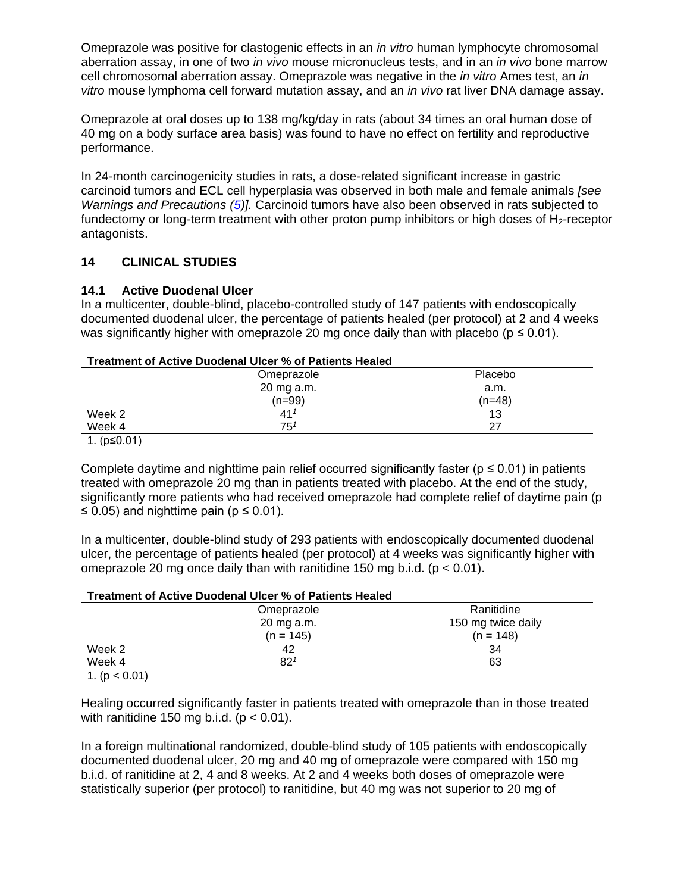Omeprazole was positive for clastogenic effects in an *in vitro* human lymphocyte chromosomal aberration assay, in one of two *in vivo* mouse micronucleus tests, and in an *in vivo* bone marrow cell chromosomal aberration assay. Omeprazole was negative in the *in vitro* Ames test, an *in vitro* mouse lymphoma cell forward mutation assay, and an *in vivo* rat liver DNA damage assay.

Omeprazole at oral doses up to 138 mg/kg/day in rats (about 34 times an oral human dose of 40 mg on a body surface area basis) was found to have no effect on fertility and reproductive performance.

In 24-month carcinogenicity studies in rats, a dose-related significant increase in gastric carcinoid tumors and ECL cell hyperplasia was observed in both male and female animals *[see Warnings and Precautions [\(5\)](#page-5-4)].* Carcinoid tumors have also been observed in rats subjected to fundectomy or long-term treatment with other proton pump inhibitors or high doses of  $H_2$ -receptor antagonists.

### <span id="page-26-0"></span>**14 CLINICAL STUDIES**

### <span id="page-26-1"></span>**14.1 Active Duodenal Ulcer**

In a multicenter, double-blind, placebo-controlled study of 147 patients with endoscopically documented duodenal ulcer, the percentage of patients healed (per protocol) at 2 and 4 weeks was significantly higher with omeprazole 20 mg once daily than with placebo ( $p \le 0.01$ ).

### **Treatment of Active Duodenal Ulcer % of Patients Healed**

|                  | Omeprazole      | Placebo  |
|------------------|-----------------|----------|
|                  | 20 mg a.m.      | a.m.     |
|                  | $(n=99)$        | $(n=48)$ |
| Week 2           | 41 <sup>7</sup> | 13       |
| Week 4           | $75^1$          | 27       |
| $4 \times 0.041$ |                 |          |

1. (p≤0.01)

Complete daytime and nighttime pain relief occurred significantly faster ( $p \le 0.01$ ) in patients treated with omeprazole 20 mg than in patients treated with placebo. At the end of the study, significantly more patients who had received omeprazole had complete relief of daytime pain (p ≤ 0.05) and nighttime pain ( $p$  ≤ 0.01).

In a multicenter, double-blind study of 293 patients with endoscopically documented duodenal ulcer, the percentage of patients healed (per protocol) at 4 weeks was significantly higher with omeprazole 20 mg once daily than with ranitidine 150 mg b.i.d. ( $p < 0.01$ ).

| Treatment of Active Duodenal Ulcer % of Patients Healed |                 |                    |  |  |
|---------------------------------------------------------|-----------------|--------------------|--|--|
|                                                         | Omeprazole      | Ranitidine         |  |  |
|                                                         | 20 mg a.m.      | 150 mg twice daily |  |  |
|                                                         | $(n = 145)$     | $(n = 148)$        |  |  |
| Week 2                                                  | 42              | 34                 |  |  |
| Week 4                                                  | 82 <sup>1</sup> | 63                 |  |  |
| 1 (n $\lt$ 0.01)                                        |                 |                    |  |  |

1. (p < 0.01)

Healing occurred significantly faster in patients treated with omeprazole than in those treated with ranitidine 150 mg b.i.d. ( $p < 0.01$ ).

In a foreign multinational randomized, double-blind study of 105 patients with endoscopically documented duodenal ulcer, 20 mg and 40 mg of omeprazole were compared with 150 mg b.i.d. of ranitidine at 2, 4 and 8 weeks. At 2 and 4 weeks both doses of omeprazole were statistically superior (per protocol) to ranitidine, but 40 mg was not superior to 20 mg of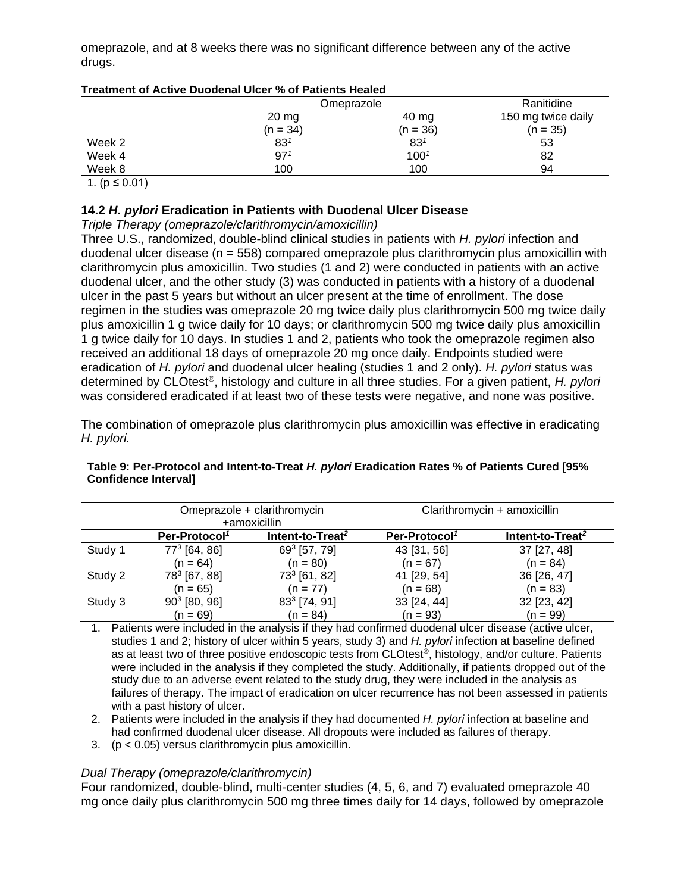omeprazole, and at 8 weeks there was no significant difference between any of the active drugs.

| Treatment of Active Duouenal Olcer 70 OF Fatients Healed |                 |                       |                    |  |
|----------------------------------------------------------|-----------------|-----------------------|--------------------|--|
|                                                          | Omeprazole      |                       | Ranitidine         |  |
|                                                          | $20 \text{ mg}$ | 40 mg                 | 150 mg twice daily |  |
|                                                          | $(n = 34)$      | $(n = 36)$            | $(n = 35)$         |  |
| Week 2                                                   | 83 <sup>1</sup> | $83^{\rm \textit{1}}$ | 53                 |  |
| Week 4                                                   | 97 <sup>1</sup> | $100^{1}$             | 82                 |  |
| Week 8                                                   | 100             | 100                   | 94                 |  |

### **Treatment of Active Duodenal Ulcer % of Patients Healed**

1. ( $p ≤ 0.01$ )

### <span id="page-27-0"></span>**14.2** *H. pylori* **Eradication in Patients with Duodenal Ulcer Disease**

### *Triple Therapy (omeprazole/clarithromycin/amoxicillin)*

Three U.S., randomized, double-blind clinical studies in patients with *H. pylori* infection and duodenal ulcer disease (n = 558) compared omeprazole plus clarithromycin plus amoxicillin with clarithromycin plus amoxicillin. Two studies (1 and 2) were conducted in patients with an active duodenal ulcer, and the other study (3) was conducted in patients with a history of a duodenal ulcer in the past 5 years but without an ulcer present at the time of enrollment. The dose regimen in the studies was omeprazole 20 mg twice daily plus clarithromycin 500 mg twice daily plus amoxicillin 1 g twice daily for 10 days; or clarithromycin 500 mg twice daily plus amoxicillin 1 g twice daily for 10 days. In studies 1 and 2, patients who took the omeprazole regimen also received an additional 18 days of omeprazole 20 mg once daily. Endpoints studied were eradication of *H. pylori* and duodenal ulcer healing (studies 1 and 2 only). *H. pylori* status was determined by CLOtest®, histology and culture in all three studies. For a given patient, *H. pylori*  was considered eradicated if at least two of these tests were negative, and none was positive.

The combination of omeprazole plus clarithromycin plus amoxicillin was effective in eradicating *H. pylori.* 

#### Omeprazole + clarithromycin +amoxicillin Clarithromycin + amoxicillin **Per-Protocol***<sup>1</sup>* **Intent-to-Treat***<sup>2</sup>* **Per-Protocol***<sup>1</sup>* **Intent-to-Treat***<sup>2</sup>* Study 1  $77^3$  [64, 86] (n = 64) 69<sup>3</sup> [57, 79]  $(n = 80)$ 43 [31, 56]  $(n = 67)$ 37 [27, 48]  $(n = 84)$ Study 2 [67, 88]  $(n = 65)$ 73<sup>3</sup> [61, 82]  $(n = 77)$ 41 [29, 54]  $(n = 68)$ 36 [26, 47]  $(n = 83)$ Study 3 [80, 96]  $(n = 69)$ 83<sup>3</sup> [74, 91]  $(n = 84)$ 33 [24, 44]  $(n = 93)$ 32 [23, 42]  $(n = 99)$

#### **Table 9: Per-Protocol and Intent-to-Treat** *H. pylori* **Eradication Rates % of Patients Cured [95% Confidence Interval]**

1. Patients were included in the analysis if they had confirmed duodenal ulcer disease (active ulcer, studies 1 and 2; history of ulcer within 5 years, study 3) and *H. pylori* infection at baseline defined as at least two of three positive endoscopic tests from CLOtest®, histology, and/or culture. Patients were included in the analysis if they completed the study. Additionally, if patients dropped out of the study due to an adverse event related to the study drug, they were included in the analysis as failures of therapy. The impact of eradication on ulcer recurrence has not been assessed in patients with a past history of ulcer.

- 2. Patients were included in the analysis if they had documented *H. pylori* infection at baseline and had confirmed duodenal ulcer disease. All dropouts were included as failures of therapy.
- 3. (p < 0.05) versus clarithromycin plus amoxicillin.

### *Dual Therapy (omeprazole/clarithromycin)*

Four randomized, double-blind, multi-center studies (4, 5, 6, and 7) evaluated omeprazole 40 mg once daily plus clarithromycin 500 mg three times daily for 14 days, followed by omeprazole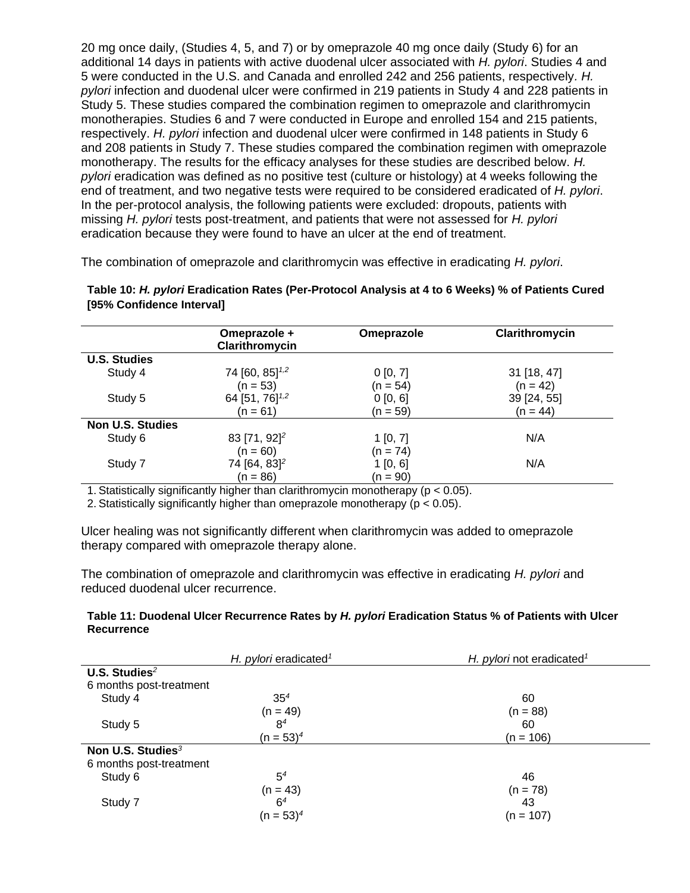20 mg once daily, (Studies 4, 5, and 7) or by omeprazole 40 mg once daily (Study 6) for an additional 14 days in patients with active duodenal ulcer associated with *H. pylori*. Studies 4 and 5 were conducted in the U.S. and Canada and enrolled 242 and 256 patients, respectively*. H. pylori* infection and duodenal ulcer were confirmed in 219 patients in Study 4 and 228 patients in Study 5. These studies compared the combination regimen to omeprazole and clarithromycin monotherapies. Studies 6 and 7 were conducted in Europe and enrolled 154 and 215 patients, respectively. *H. pylori* infection and duodenal ulcer were confirmed in 148 patients in Study 6 and 208 patients in Study 7. These studies compared the combination regimen with omeprazole monotherapy. The results for the efficacy analyses for these studies are described below. *H. pylori* eradication was defined as no positive test (culture or histology) at 4 weeks following the end of treatment, and two negative tests were required to be considered eradicated of *H. pylori*. In the per-protocol analysis, the following patients were excluded: dropouts, patients with missing *H. pylori* tests post-treatment, and patients that were not assessed for *H. pylori*  eradication because they were found to have an ulcer at the end of treatment.

The combination of omeprazole and clarithromycin was effective in eradicating *H. pylori*.

|                         | Omeprazole +<br>Clarithromycin | Omeprazole | Clarithromycin |
|-------------------------|--------------------------------|------------|----------------|
| <b>U.S. Studies</b>     |                                |            |                |
| Study 4                 | 74 [60, 85] <sup>1,2</sup>     | 0[0, 7]    | 31 [18, 47]    |
|                         | $(n = 53)$                     | $(n = 54)$ | $(n = 42)$     |
| Study 5                 | 64 [51, 76] <sup>1,2</sup>     | 0 [0, 6]   | 39 [24, 55]    |
|                         | $(n = 61)$                     | $(n = 59)$ | $(n = 44)$     |
| <b>Non U.S. Studies</b> |                                |            |                |
| Study 6                 | 83 [71, 92] <sup>2</sup>       | 1[0, 7]    | N/A            |
|                         | $(n = 60)$                     | $(n = 74)$ |                |
| Study 7                 | 74 [64, 83] <sup>2</sup>       | 1[0, 6]    | N/A            |
|                         | $(n = 86)$                     | $(n = 90)$ |                |

**Table 10:** *H. pylori* **Eradication Rates (Per-Protocol Analysis at 4 to 6 Weeks) % of Patients Cured [95% Confidence Interval]**

1. Statistically significantly higher than clarithromycin monotherapy (p < 0.05).

2. Statistically significantly higher than omeprazole monotherapy (p < 0.05).

Ulcer healing was not significantly different when clarithromycin was added to omeprazole therapy compared with omeprazole therapy alone.

The combination of omeprazole and clarithromycin was effective in eradicating *H. pylori* and reduced duodenal ulcer recurrence.

#### **Table 11: Duodenal Ulcer Recurrence Rates by** *H. pylori* **Eradication Status % of Patients with Ulcer Recurrence**

|                               | H. pylori eradicated <sup>1</sup> | H. pylori not eradicated <sup>1</sup> |
|-------------------------------|-----------------------------------|---------------------------------------|
| U.S. Studies $2$              |                                   |                                       |
| 6 months post-treatment       |                                   |                                       |
| Study 4                       | 35 <sup>4</sup>                   | 60                                    |
|                               | $(n = 49)$                        | $(n = 88)$                            |
| Study 5                       | 8 <sup>4</sup>                    | 60                                    |
|                               | $(n = 53)^4$                      | $(n = 106)$                           |
| Non U.S. Studies <sup>3</sup> |                                   |                                       |
| 6 months post-treatment       |                                   |                                       |
| Study 6                       | 5 <sup>4</sup>                    | 46                                    |
|                               | $(n = 43)$                        | $(n = 78)$                            |
| Study 7                       | 6 <sup>4</sup>                    | 43                                    |
|                               | $(n = 53)^4$                      | $(n = 107)$                           |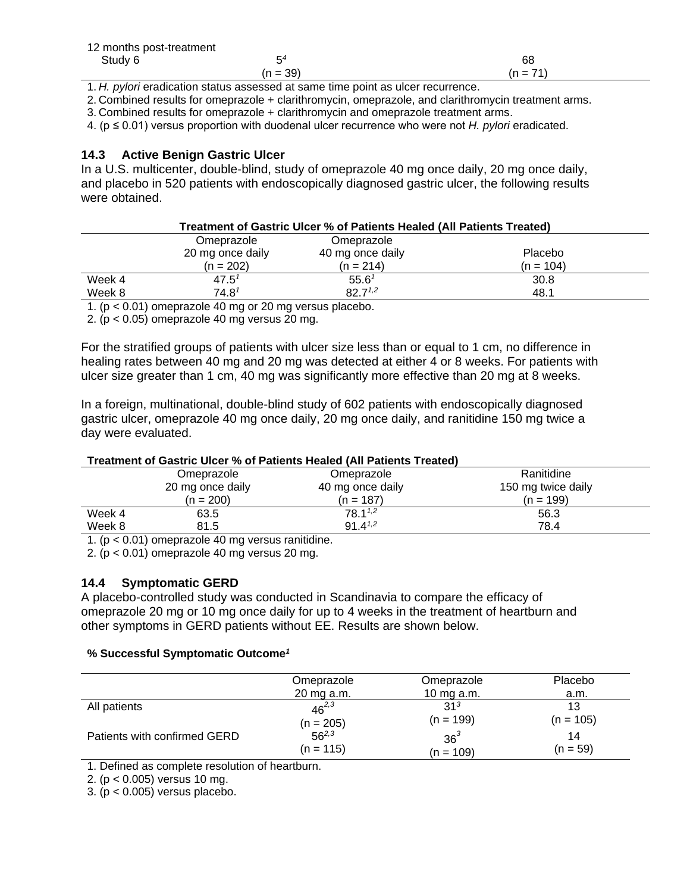| 12 months post-treatment |            |            |
|--------------------------|------------|------------|
| Study 6                  | E4         | 68         |
|                          | $(n = 39)$ | $(n = 71)$ |

1. *H. pylori* eradication status assessed at same time point as ulcer recurrence.

2. Combined results for omeprazole + clarithromycin, omeprazole, and clarithromycin treatment arms.

3. Combined results for omeprazole + clarithromycin and omeprazole treatment arms.

4. (p ≤ 0.01) versus proportion with duodenal ulcer recurrence who were not *H. pylori* eradicated.

### <span id="page-29-0"></span>**14.3 Active Benign Gastric Ulcer**

In a U.S. multicenter, double-blind, study of omeprazole 40 mg once daily, 20 mg once daily, and placebo in 520 patients with endoscopically diagnosed gastric ulcer, the following results were obtained.

### **Treatment of Gastric Ulcer % of Patients Healed (All Patients Treated)**

|        | Omeprazole                           | Omeprazole        |             |
|--------|--------------------------------------|-------------------|-------------|
|        | 20 mg once daily                     | 40 mg once daily  | Placebo     |
|        | $(n = 202)$                          | $(n = 214)$       | $(n = 104)$ |
| Week 4 | $47.5^{\circ}$                       | 55.6 <sup>7</sup> | 30.8        |
| Week 8 | $74.8^{\hspace{.5pt} \text{\it{}}7}$ | $82.7^{1,2}$      | 48.1        |

1. (p < 0.01) omeprazole 40 mg or 20 mg versus placebo.

2. (p < 0.05) omeprazole 40 mg versus 20 mg.

For the stratified groups of patients with ulcer size less than or equal to 1 cm, no difference in healing rates between 40 mg and 20 mg was detected at either 4 or 8 weeks. For patients with ulcer size greater than 1 cm, 40 mg was significantly more effective than 20 mg at 8 weeks.

In a foreign, multinational, double-blind study of 602 patients with endoscopically diagnosed gastric ulcer, omeprazole 40 mg once daily, 20 mg once daily, and ranitidine 150 mg twice a day were evaluated.

### **Treatment of Gastric Ulcer % of Patients Healed (All Patients Treated)**

|        | Omeprazole       | Omeprazole       | Ranitidine         |
|--------|------------------|------------------|--------------------|
|        | 20 mg once daily | 40 mg once daily | 150 mg twice daily |
|        | $(n = 200)$      | $(n = 187)$      | (n = 199)          |
| Week 4 | 63.5             | $78.1^{1,2}$     | 56.3               |
| Week 8 | 81.5             | $91 \, 4^{1,2}$  | 78.4               |
|        |                  |                  |                    |

1. (p < 0.01) omeprazole 40 mg versus ranitidine.

2. ( $p < 0.01$ ) omeprazole 40 mg versus 20 mg.

### <span id="page-29-1"></span>**14.4 Symptomatic GERD**

A placebo-controlled study was conducted in Scandinavia to compare the efficacy of omeprazole 20 mg or 10 mg once daily for up to 4 weeks in the treatment of heartburn and other symptoms in GERD patients without EE. Results are shown below.

#### **% Successful Symptomatic Outcome** *1*

|                              | Omeprazole  | Omeprazole      | Placebo     |
|------------------------------|-------------|-----------------|-------------|
|                              | 20 mg a.m.  | 10 mg a.m.      | a.m.        |
| All patients                 | $46^{2,3}$  | 31 <sup>3</sup> | 13          |
|                              | $(n = 205)$ | $(n = 199)$     | $(n = 105)$ |
| Patients with confirmed GERD | $56^{2,3}$  | $36^3$          | 14          |
|                              | $(n = 115)$ | $(n = 109)$     | $(n = 59)$  |

1. Defined as complete resolution of heartburn.

2. (p < 0.005) versus 10 mg.

3. ( $p < 0.005$ ) versus placebo.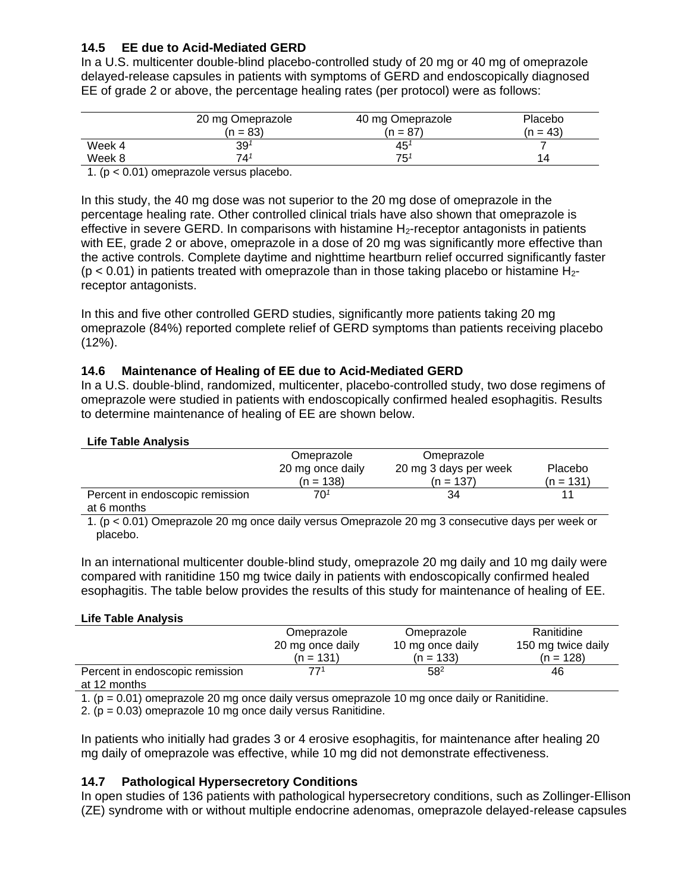### <span id="page-30-0"></span>**14.5 EE due to Acid-Mediated GERD**

In a U.S. multicenter double-blind placebo-controlled study of 20 mg or 40 mg of omeprazole delayed-release capsules in patients with symptoms of GERD and endoscopically diagnosed EE of grade 2 or above, the percentage healing rates (per protocol) were as follows:

|         | 20 mg Omeprazole            | 40 mg Omeprazole | Placebo  |
|---------|-----------------------------|------------------|----------|
|         | (n = 83)                    | (n = 87)         | $n = 43$ |
| Week 4  | $39^{\scriptscriptstyle 1}$ | 45               |          |
| Week 8  | 741                         | $75^{\circ}$     | 14       |
| - - - - | $\sim$                      |                  |          |

1. (p < 0.01) omeprazole versus placebo.

In this study, the 40 mg dose was not superior to the 20 mg dose of omeprazole in the percentage healing rate. Other controlled clinical trials have also shown that omeprazole is effective in severe GERD. In comparisons with histamine  $H_2$ -receptor antagonists in patients with EE, grade 2 or above, omeprazole in a dose of 20 mg was significantly more effective than the active controls. Complete daytime and nighttime heartburn relief occurred significantly faster  $(p < 0.01)$  in patients treated with omeprazole than in those taking placebo or histamine H<sub>2</sub>receptor antagonists.

In this and five other controlled GERD studies, significantly more patients taking 20 mg omeprazole (84%) reported complete relief of GERD symptoms than patients receiving placebo  $(12\%)$ .

### <span id="page-30-1"></span>**14.6 Maintenance of Healing of EE due to Acid-Mediated GERD**

In a U.S. double-blind, randomized, multicenter, placebo-controlled study, two dose regimens of omeprazole were studied in patients with endoscopically confirmed healed esophagitis. Results to determine maintenance of healing of EE are shown below.

#### **Life Table Analysis**

|                                 | Omeprazole       | Omeprazole            |                |
|---------------------------------|------------------|-----------------------|----------------|
|                                 | 20 mg once daily | 20 mg 3 days per week | <b>Placebo</b> |
|                                 | $(n = 138)$      | $(n = 137)$           | $(n = 131)$    |
| Percent in endoscopic remission | 701              | 34                    |                |
| at 6 months                     |                  |                       |                |

1. (p < 0.01) Omeprazole 20 mg once daily versus Omeprazole 20 mg 3 consecutive days per week or placebo.

In an international multicenter double-blind study, omeprazole 20 mg daily and 10 mg daily were compared with ranitidine 150 mg twice daily in patients with endoscopically confirmed healed esophagitis. The table below provides the results of this study for maintenance of healing of EE.

#### **Life Table Analysis**

|                                 | Omeprazole       | Omeprazole       | Ranitidine         |
|---------------------------------|------------------|------------------|--------------------|
|                                 | 20 mg once daily | 10 mg once daily | 150 mg twice daily |
|                                 | $(n = 131)$      | $(n = 133)$      | $(n = 128)$        |
| Percent in endoscopic remission | 771              | $58^{2}$         | 46                 |
| at 12 months                    |                  |                  |                    |

1. (p = 0.01) omeprazole 20 mg once daily versus omeprazole 10 mg once daily or Ranitidine.

2.  $(p = 0.03)$  omeprazole 10 mg once daily versus Ranitidine.

In patients who initially had grades 3 or 4 erosive esophagitis, for maintenance after healing 20 mg daily of omeprazole was effective, while 10 mg did not demonstrate effectiveness.

#### <span id="page-30-2"></span>**14.7 Pathological Hypersecretory Conditions**

In open studies of 136 patients with pathological hypersecretory conditions, such as Zollinger-Ellison (ZE) syndrome with or without multiple endocrine adenomas, omeprazole delayed-release capsules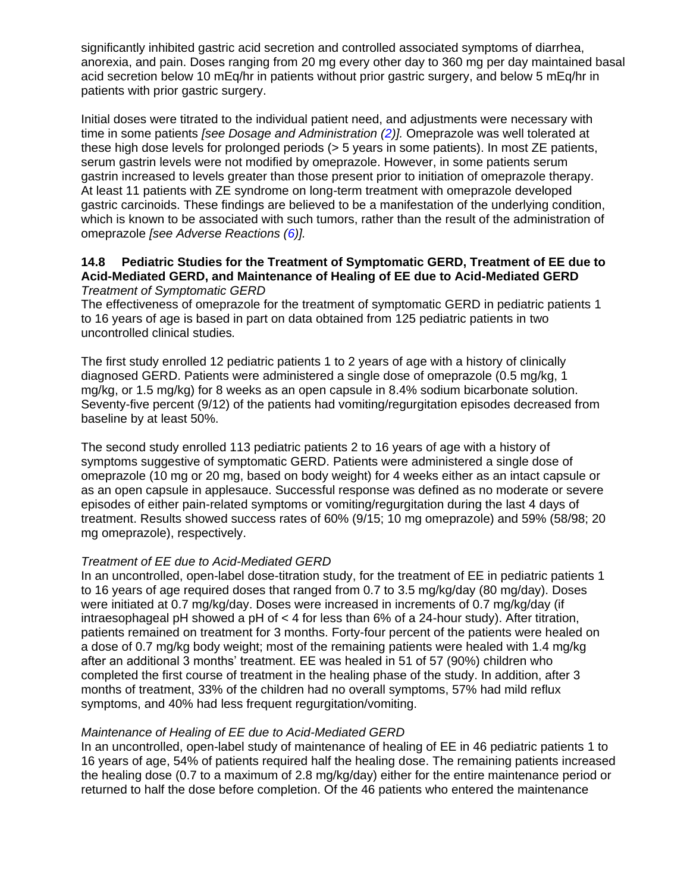significantly inhibited gastric acid secretion and controlled associated symptoms of diarrhea, anorexia, and pain. Doses ranging from 20 mg every other day to 360 mg per day maintained basal acid secretion below 10 mEq/hr in patients without prior gastric surgery, and below 5 mEq/hr in patients with prior gastric surgery.

Initial doses were titrated to the individual patient need, and adjustments were necessary with time in some patients *[see Dosage and Administration [\(2\)](#page-3-3)].* Omeprazole was well tolerated at these high dose levels for prolonged periods (> 5 years in some patients). In most ZE patients, serum gastrin levels were not modified by omeprazole. However, in some patients serum gastrin increased to levels greater than those present prior to initiation of omeprazole therapy. At least 11 patients with ZE syndrome on long-term treatment with omeprazole developed gastric carcinoids. These findings are believed to be a manifestation of the underlying condition, which is known to be associated with such tumors, rather than the result of the administration of omeprazole *[see Adverse Reactions [\(6\)](#page-7-6)].*

#### <span id="page-31-0"></span>**14.8 Pediatric Studies for the Treatment of Symptomatic GERD, Treatment of EE due to Acid-Mediated GERD, and Maintenance of Healing of EE due to Acid-Mediated GERD** *Treatment of Symptomatic GERD*

The effectiveness of omeprazole for the treatment of symptomatic GERD in pediatric patients 1 to 16 years of age is based in part on data obtained from 125 pediatric patients in two uncontrolled clinical studies*.*

The first study enrolled 12 pediatric patients 1 to 2 years of age with a history of clinically diagnosed GERD. Patients were administered a single dose of omeprazole (0.5 mg/kg, 1 mg/kg, or 1.5 mg/kg) for 8 weeks as an open capsule in 8.4% sodium bicarbonate solution. Seventy-five percent (9/12) of the patients had vomiting/regurgitation episodes decreased from baseline by at least 50%.

The second study enrolled 113 pediatric patients 2 to 16 years of age with a history of symptoms suggestive of symptomatic GERD. Patients were administered a single dose of omeprazole (10 mg or 20 mg, based on body weight) for 4 weeks either as an intact capsule or as an open capsule in applesauce. Successful response was defined as no moderate or severe episodes of either pain-related symptoms or vomiting/regurgitation during the last 4 days of treatment. Results showed success rates of 60% (9/15; 10 mg omeprazole) and 59% (58/98; 20 mg omeprazole), respectively.

### *Treatment of EE due to Acid-Mediated GERD*

In an uncontrolled, open-label dose-titration study, for the treatment of EE in pediatric patients 1 to 16 years of age required doses that ranged from 0.7 to 3.5 mg/kg/day (80 mg/day). Doses were initiated at 0.7 mg/kg/day. Doses were increased in increments of 0.7 mg/kg/day (if intraesophageal pH showed a pH of < 4 for less than 6% of a 24-hour study). After titration, patients remained on treatment for 3 months. Forty-four percent of the patients were healed on a dose of 0.7 mg/kg body weight; most of the remaining patients were healed with 1.4 mg/kg after an additional 3 months' treatment. EE was healed in 51 of 57 (90%) children who completed the first course of treatment in the healing phase of the study. In addition, after 3 months of treatment, 33% of the children had no overall symptoms, 57% had mild reflux symptoms, and 40% had less frequent regurgitation/vomiting.

### *Maintenance of Healing of EE due to Acid-Mediated GERD*

In an uncontrolled, open-label study of maintenance of healing of EE in 46 pediatric patients 1 to 16 years of age, 54% of patients required half the healing dose. The remaining patients increased the healing dose (0.7 to a maximum of 2.8 mg/kg/day) either for the entire maintenance period or returned to half the dose before completion. Of the 46 patients who entered the maintenance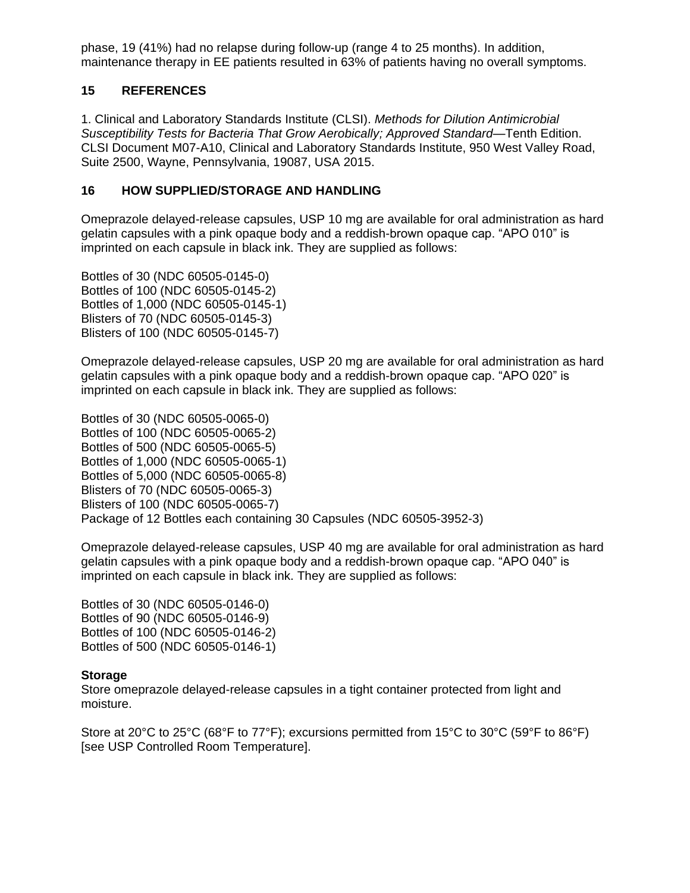phase, 19 (41%) had no relapse during follow-up (range 4 to 25 months). In addition, maintenance therapy in EE patients resulted in 63% of patients having no overall symptoms.

### <span id="page-32-0"></span>**15 REFERENCES**

1. Clinical and Laboratory Standards Institute (CLSI). *Methods for Dilution Antimicrobial Susceptibility Tests for Bacteria That Grow Aerobically; Approved Standard*—Tenth Edition. CLSI Document M07-A10, Clinical and Laboratory Standards Institute, 950 West Valley Road, Suite 2500, Wayne, Pennsylvania, 19087, USA 2015.

### <span id="page-32-1"></span>**16 HOW SUPPLIED/STORAGE AND HANDLING**

Omeprazole delayed-release capsules, USP 10 mg are available for oral administration as hard gelatin capsules with a pink opaque body and a reddish-brown opaque cap. "APO 010" is imprinted on each capsule in black ink. They are supplied as follows:

Bottles of 30 (NDC 60505-0145-0) Bottles of 100 (NDC 60505-0145-2) Bottles of 1,000 (NDC 60505-0145-1) Blisters of 70 (NDC 60505-0145-3) Blisters of 100 (NDC 60505-0145-7)

Omeprazole delayed-release capsules, USP 20 mg are available for oral administration as hard gelatin capsules with a pink opaque body and a reddish-brown opaque cap. "APO 020" is imprinted on each capsule in black ink. They are supplied as follows:

Bottles of 30 (NDC 60505-0065-0) Bottles of 100 (NDC 60505-0065-2) Bottles of 500 (NDC 60505-0065-5) Bottles of 1,000 (NDC 60505-0065-1) Bottles of 5,000 (NDC 60505-0065-8) Blisters of 70 (NDC 60505-0065-3) Blisters of 100 (NDC 60505-0065-7) Package of 12 Bottles each containing 30 Capsules (NDC 60505-3952-3)

Omeprazole delayed-release capsules, USP 40 mg are available for oral administration as hard gelatin capsules with a pink opaque body and a reddish-brown opaque cap. "APO 040" is imprinted on each capsule in black ink. They are supplied as follows:

Bottles of 30 (NDC 60505-0146-0) Bottles of 90 (NDC 60505-0146-9) Bottles of 100 (NDC 60505-0146-2) Bottles of 500 (NDC 60505-0146-1)

### **Storage**

Store omeprazole delayed-release capsules in a tight container protected from light and moisture.

Store at 20°C to 25°C (68°F to 77°F); excursions permitted from 15°C to 30°C (59°F to 86°F) [see USP Controlled Room Temperature].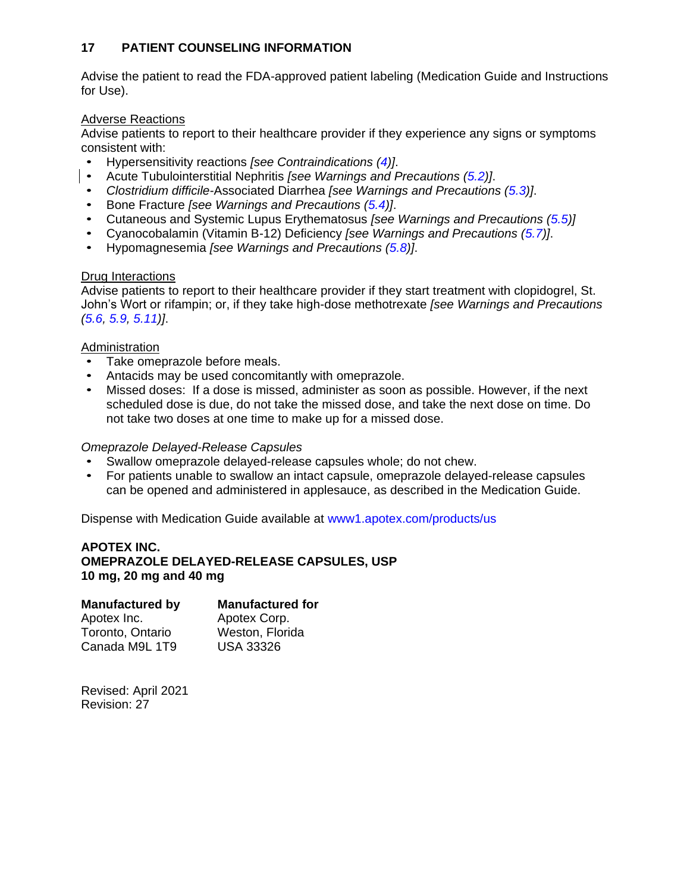### <span id="page-33-0"></span>**17 PATIENT COUNSELING INFORMATION**

Advise the patient to read the FDA-approved patient labeling (Medication Guide and Instructions for Use).

### Adverse Reactions

Advise patients to report to their healthcare provider if they experience any signs or symptoms consistent with:

- Hypersensitivity reactions *[see Contraindications [\(4\)](#page-5-2)]*.
- Acute Tubulointerstitial Nephritis *[see Warnings and Precautions [\(5.2\)](#page-5-0)]*.
- *Clostridium difficile-Associated Diarrhea <i>[see Warnings and Precautions [\(5.3\)](#page-6-0)]*.<br>• Bone Fracture *Isee Warnings and Precautions (5.4)]*
- Bone Fracture *[see Warnings and Precautions [\(5.4\)](#page-6-1)]*.
- Cutaneous and Systemic Lupus Erythematosus *[see Warnings and Precautions [\(5.5\)](#page-6-2)]*
- Cyanocobalamin (Vitamin B-12) Deficiency *[see Warnings and Precautions [\(5.7\)](#page-7-0)]*.
- Hypomagnesemia *[see Warnings and Precautions [\(5.8\)](#page-7-1)]*.

### Drug Interactions

Advise patients to report to their healthcare provider if they start treatment with clopidogrel, St. John's Wort or rifampin; or, if they take high-dose methotrexate *[see Warnings and Precautions [\(5.6,](#page-6-3) [5.9,](#page-7-2) [5.11\)](#page-7-4)]*.

### Administration

- Take omeprazole before meals.
- Antacids may be used concomitantly with omeprazole.
- Missed doses: If a dose is missed, administer as soon as possible. However, if the next scheduled dose is due, do not take the missed dose, and take the next dose on time. Do not take two doses at one time to make up for a missed dose.

#### *Omeprazole Delayed-Release Capsules*

- Swallow omeprazole delayed-release capsules whole; do not chew.
- For patients unable to swallow an intact capsule, omeprazole delayed-release capsules can be opened and administered in applesauce, as described in the Medication Guide.

Dispense with Medication Guide available at<www1.apotex.com/products/us>

### **APOTEX INC. OMEPRAZOLE DELAYED-RELEASE CAPSULES, USP 10 mg, 20 mg and 40 mg**

#### **Manufactured by Manufactured for**

Apotex Inc. Toronto, Ontario Canada M9L 1T9

Apotex Corp. Weston, Florida USA 33326

Revised: April 2021 Revision: 27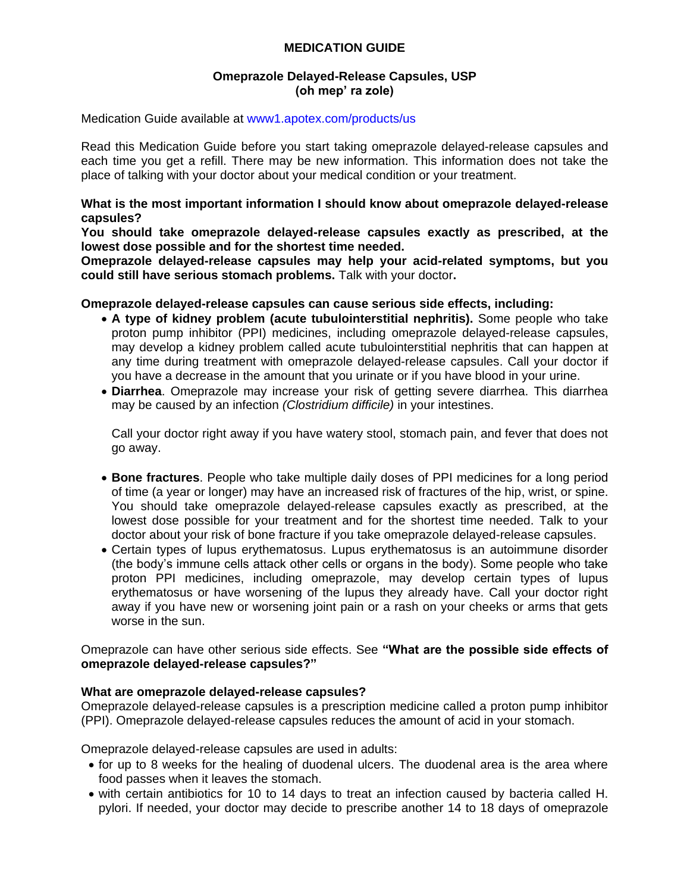### **MEDICATION GUIDE**

### **Omeprazole Delayed-Release Capsules, USP (oh mep' ra zole)**

Medication Guide available at<www1.apotex.com/products/us>

Read this Medication Guide before you start taking omeprazole delayed-release capsules and each time you get a refill. There may be new information. This information does not take the place of talking with your doctor about your medical condition or your treatment.

**What is the most important information I should know about omeprazole delayed-release capsules?**

**You should take omeprazole delayed-release capsules exactly as prescribed, at the lowest dose possible and for the shortest time needed.**

**Omeprazole delayed-release capsules may help your acid-related symptoms, but you could still have serious stomach problems.** Talk with your doctor**.** 

#### **Omeprazole delayed-release capsules can cause serious side effects, including:**

- **A type of kidney problem (acute tubulointerstitial nephritis).** Some people who take proton pump inhibitor (PPI) medicines, including omeprazole delayed-release capsules, may develop a kidney problem called acute tubulointerstitial nephritis that can happen at any time during treatment with omeprazole delayed-release capsules. Call your doctor if you have a decrease in the amount that you urinate or if you have blood in your urine.
- **Diarrhea**. Omeprazole may increase your risk of getting severe diarrhea. This diarrhea may be caused by an infection *(Clostridium difficile)* in your intestines.

Call your doctor right away if you have watery stool, stomach pain, and fever that does not go away.

- **Bone fractures**. People who take multiple daily doses of PPI medicines for a long period of time (a year or longer) may have an increased risk of fractures of the hip, wrist, or spine. You should take omeprazole delayed-release capsules exactly as prescribed, at the lowest dose possible for your treatment and for the shortest time needed. Talk to your doctor about your risk of bone fracture if you take omeprazole delayed-release capsules.
- Certain types of lupus erythematosus. Lupus erythematosus is an autoimmune disorder (the body's immune cells attack other cells or organs in the body). Some people who take proton PPI medicines, including omeprazole, may develop certain types of lupus erythematosus or have worsening of the lupus they already have. Call your doctor right away if you have new or worsening joint pain or a rash on your cheeks or arms that gets worse in the sun.

Omeprazole can have other serious side effects. See **"What are the possible side effects of omeprazole delayed-release capsules?"**

#### **What are omeprazole delayed-release capsules?**

Omeprazole delayed-release capsules is a prescription medicine called a proton pump inhibitor (PPI). Omeprazole delayed-release capsules reduces the amount of acid in your stomach.

Omeprazole delayed-release capsules are used in adults:

- for up to 8 weeks for the healing of duodenal ulcers. The duodenal area is the area where food passes when it leaves the stomach.
- with certain antibiotics for 10 to 14 days to treat an infection caused by bacteria called H. pylori. If needed, your doctor may decide to prescribe another 14 to 18 days of omeprazole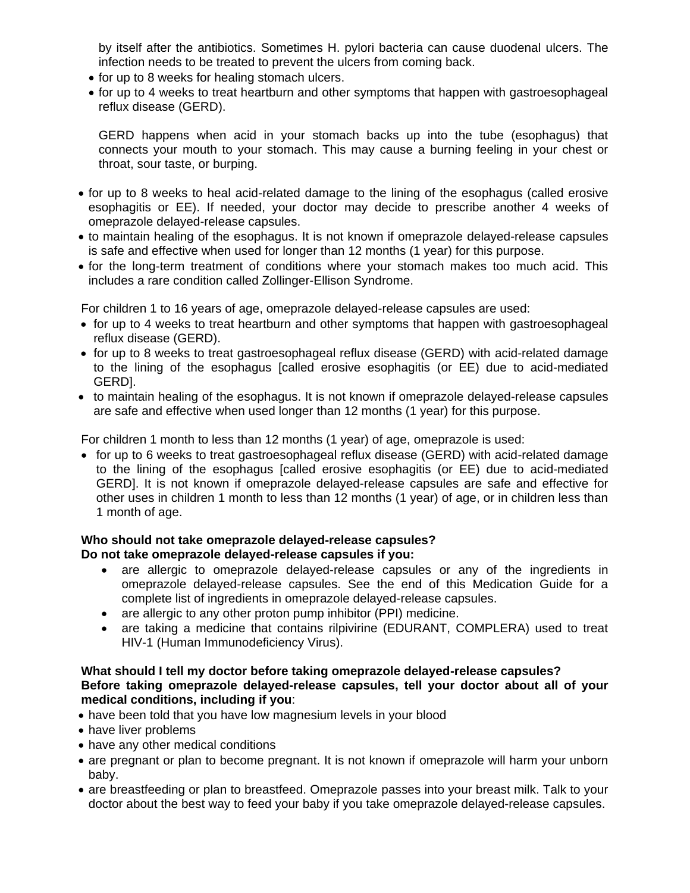by itself after the antibiotics. Sometimes H. pylori bacteria can cause duodenal ulcers. The infection needs to be treated to prevent the ulcers from coming back.

- for up to 8 weeks for healing stomach ulcers.
- for up to 4 weeks to treat heartburn and other symptoms that happen with gastroesophageal reflux disease (GERD).

GERD happens when acid in your stomach backs up into the tube (esophagus) that connects your mouth to your stomach. This may cause a burning feeling in your chest or throat, sour taste, or burping.

- for up to 8 weeks to heal acid-related damage to the lining of the esophagus (called erosive esophagitis or EE). If needed, your doctor may decide to prescribe another 4 weeks of omeprazole delayed-release capsules.
- to maintain healing of the esophagus. It is not known if omeprazole delayed-release capsules is safe and effective when used for longer than 12 months (1 year) for this purpose.
- for the long-term treatment of conditions where your stomach makes too much acid. This includes a rare condition called Zollinger-Ellison Syndrome.

For children 1 to 16 years of age, omeprazole delayed-release capsules are used:

- for up to 4 weeks to treat heartburn and other symptoms that happen with gastroesophageal reflux disease (GERD).
- for up to 8 weeks to treat gastroesophageal reflux disease (GERD) with acid-related damage to the lining of the esophagus [called erosive esophagitis (or EE) due to acid-mediated GERD].
- to maintain healing of the esophagus. It is not known if omeprazole delayed-release capsules are safe and effective when used longer than 12 months (1 year) for this purpose.

For children 1 month to less than 12 months (1 year) of age, omeprazole is used:

• for up to 6 weeks to treat gastroesophageal reflux disease (GERD) with acid-related damage to the lining of the esophagus [called erosive esophagitis (or EE) due to acid-mediated GERD]. It is not known if omeprazole delayed-release capsules are safe and effective for other uses in children 1 month to less than 12 months (1 year) of age, or in children less than 1 month of age.

#### **Who should not take omeprazole delayed-release capsules? Do not take omeprazole delayed-release capsules if you:**

- are allergic to omeprazole delayed-release capsules or any of the ingredients in omeprazole delayed-release capsules. See the end of this Medication Guide for a complete list of ingredients in omeprazole delayed-release capsules.
- are allergic to any other proton pump inhibitor (PPI) medicine.
- are taking a medicine that contains rilpivirine (EDURANT, COMPLERA) used to treat HIV-1 (Human Immunodeficiency Virus).

### **What should I tell my doctor before taking omeprazole delayed-release capsules? Before taking omeprazole delayed-release capsules, tell your doctor about all of your medical conditions, including if you**:

- have been told that you have low magnesium levels in your blood
- have liver problems
- have any other medical conditions
- are pregnant or plan to become pregnant. It is not known if omeprazole will harm your unborn baby.
- are breastfeeding or plan to breastfeed. Omeprazole passes into your breast milk. Talk to your doctor about the best way to feed your baby if you take omeprazole delayed-release capsules.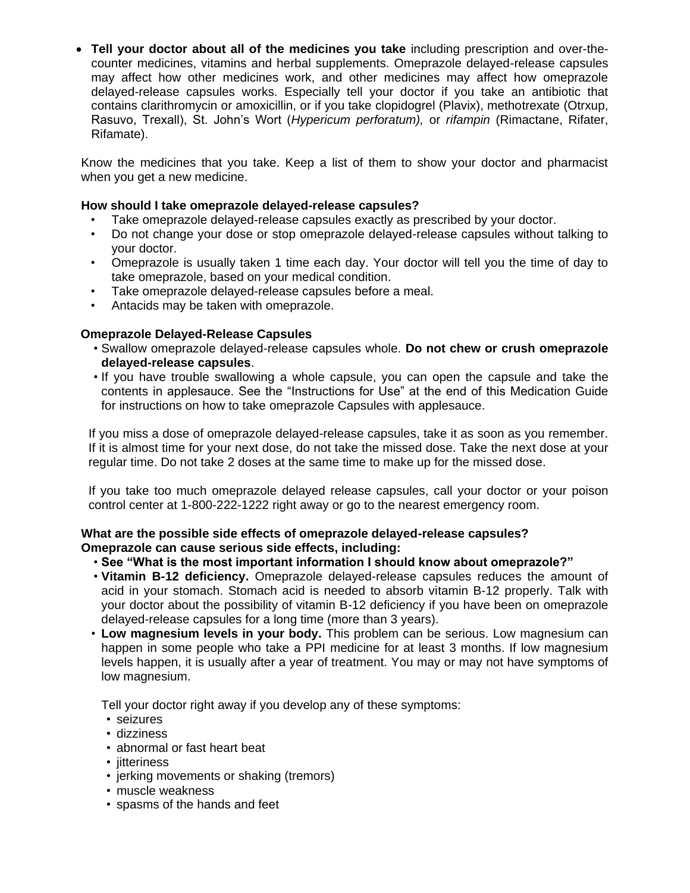• **Tell your doctor about all of the medicines you take** including prescription and over-thecounter medicines, vitamins and herbal supplements. Omeprazole delayed-release capsules may affect how other medicines work, and other medicines may affect how omeprazole delayed-release capsules works. Especially tell your doctor if you take an antibiotic that contains clarithromycin or amoxicillin, or if you take clopidogrel (Plavix), methotrexate (Otrxup, Rasuvo, Trexall), St. John's Wort (*Hypericum perforatum),* or *rifampin* (Rimactane, Rifater, Rifamate).

Know the medicines that you take. Keep a list of them to show your doctor and pharmacist when you get a new medicine.

### **How should I take omeprazole delayed-release capsules?**

- Take omeprazole delayed-release capsules exactly as prescribed by your doctor.
- Do not change your dose or stop omeprazole delayed-release capsules without talking to your doctor.
- Omeprazole is usually taken 1 time each day. Your doctor will tell you the time of day to take omeprazole, based on your medical condition.
- Take omeprazole delayed-release capsules before a meal.
- Antacids may be taken with omeprazole.

### **Omeprazole Delayed-Release Capsules**

- Swallow omeprazole delayed-release capsules whole. **Do not chew or crush omeprazole delayed-release capsules**.
- If you have trouble swallowing a whole capsule, you can open the capsule and take the contents in applesauce. See the "Instructions for Use" at the end of this Medication Guide for instructions on how to take omeprazole Capsules with applesauce.

If you miss a dose of omeprazole delayed-release capsules, take it as soon as you remember. If it is almost time for your next dose, do not take the missed dose. Take the next dose at your regular time. Do not take 2 doses at the same time to make up for the missed dose.

If you take too much omeprazole delayed release capsules, call your doctor or your poison control center at 1-800-222-1222 right away or go to the nearest emergency room.

### **What are the possible side effects of omeprazole delayed-release capsules? Omeprazole can cause serious side effects, including:**

- **See "What is the most important information I should know about omeprazole?"**
- **Vitamin B-12 deficiency.** Omeprazole delayed-release capsules reduces the amount of acid in your stomach. Stomach acid is needed to absorb vitamin B-12 properly. Talk with your doctor about the possibility of vitamin B-12 deficiency if you have been on omeprazole delayed-release capsules for a long time (more than 3 years).
- **Low magnesium levels in your body.** This problem can be serious. Low magnesium can happen in some people who take a PPI medicine for at least 3 months. If low magnesium levels happen, it is usually after a year of treatment. You may or may not have symptoms of low magnesium.

Tell your doctor right away if you develop any of these symptoms:

- seizures
- dizziness
- abnormal or fast heart beat
- jitteriness
- jerking movements or shaking (tremors)
- muscle weakness
- spasms of the hands and feet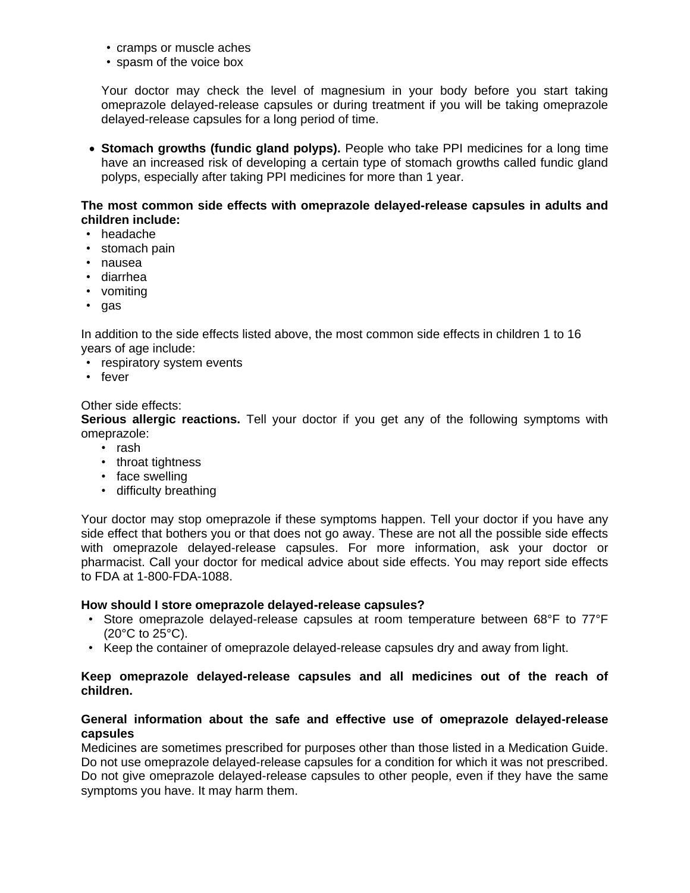- cramps or muscle aches
- spasm of the voice box

Your doctor may check the level of magnesium in your body before you start taking omeprazole delayed-release capsules or during treatment if you will be taking omeprazole delayed-release capsules for a long period of time.

• **Stomach growths (fundic gland polyps).** People who take PPI medicines for a long time have an increased risk of developing a certain type of stomach growths called fundic gland polyps, especially after taking PPI medicines for more than 1 year.

### **The most common side effects with omeprazole delayed-release capsules in adults and children include:**

- headache
- stomach pain
- nausea
- diarrhea
- vomiting
- gas

In addition to the side effects listed above, the most common side effects in children 1 to 16 years of age include:

- respiratory system events
- fever

### Other side effects:

**Serious allergic reactions.** Tell your doctor if you get any of the following symptoms with omeprazole:

- rash
- throat tightness
- face swelling
- difficulty breathing

Your doctor may stop omeprazole if these symptoms happen. Tell your doctor if you have any side effect that bothers you or that does not go away. These are not all the possible side effects with omeprazole delayed-release capsules. For more information, ask your doctor or pharmacist. Call your doctor for medical advice about side effects. You may report side effects to FDA at 1-800-FDA-1088.

#### **How should I store omeprazole delayed-release capsules?**

- Store omeprazole delayed-release capsules at room temperature between 68°F to 77°F (20°C to 25°C).
- Keep the container of omeprazole delayed-release capsules dry and away from light.

### **Keep omeprazole delayed-release capsules and all medicines out of the reach of children.**

### **General information about the safe and effective use of omeprazole delayed-release capsules**

Medicines are sometimes prescribed for purposes other than those listed in a Medication Guide. Do not use omeprazole delayed-release capsules for a condition for which it was not prescribed. Do not give omeprazole delayed-release capsules to other people, even if they have the same symptoms you have. It may harm them.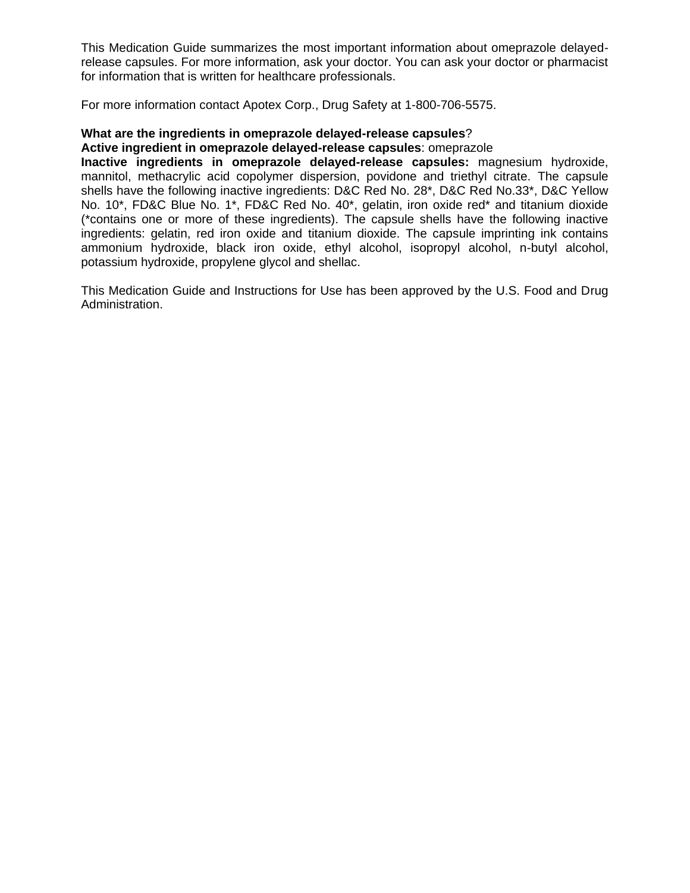This Medication Guide summarizes the most important information about omeprazole delayedrelease capsules. For more information, ask your doctor. You can ask your doctor or pharmacist for information that is written for healthcare professionals.

For more information contact Apotex Corp., Drug Safety at 1-800-706-5575.

### **What are the ingredients in omeprazole delayed-release capsules**?

#### **Active ingredient in omeprazole delayed-release capsules**: omeprazole

**Inactive ingredients in omeprazole delayed-release capsules:** magnesium hydroxide, mannitol, methacrylic acid copolymer dispersion, povidone and triethyl citrate. The capsule shells have the following inactive ingredients: D&C Red No. 28\*, D&C Red No.33\*, D&C Yellow No. 10\*, FD&C Blue No. 1\*, FD&C Red No. 40\*, gelatin, iron oxide red\* and titanium dioxide (\*contains one or more of these ingredients). The capsule shells have the following inactive ingredients: gelatin, red iron oxide and titanium dioxide. The capsule imprinting ink contains ammonium hydroxide, black iron oxide, ethyl alcohol, isopropyl alcohol, n-butyl alcohol, potassium hydroxide, propylene glycol and shellac.

This Medication Guide and Instructions for Use has been approved by the U.S. Food and Drug Administration.